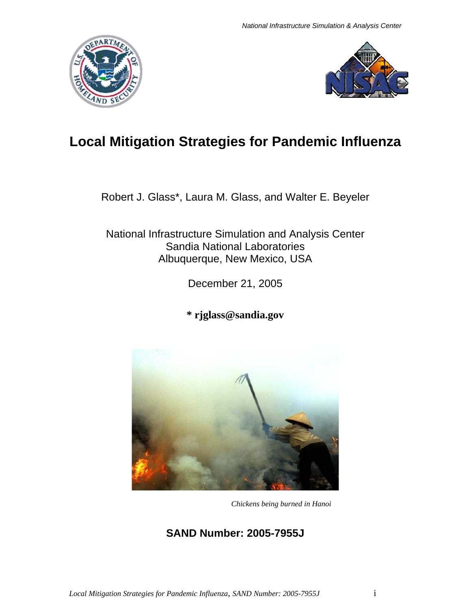



# **Local Mitigation Strategies for Pandemic Influenza**

Robert J. Glass\*, Laura M. Glass, and Walter E. Beyeler

National Infrastructure Simulation and Analysis Center Sandia National Laboratories Albuquerque, New Mexico, USA

December 21, 2005

**\* rjglass@sandia.gov** 



*Chickens being burned in Hanoi* 

## **SAND Number: 2005-7955J**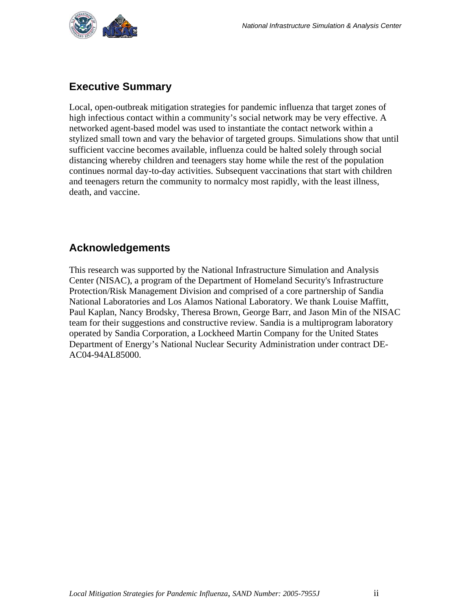<span id="page-1-0"></span>

## <span id="page-1-1"></span>**Executive Summary**

Local, open-outbreak mitigation strategies for pandemic influenza that target zones of high infectious contact within a community's social network may be very effective. A networked agent-based model was used to instantiate the contact network within a stylized small town and vary the behavior of targeted groups. Simulations show that until sufficient vaccine becomes available, influenza could be halted solely through social distancing whereby children and teenagers stay home while the rest of the population continues normal day-to-day activities. Subsequent vaccinations that start with children and teenagers return the community to normalcy most rapidly, with the least illness, death, and vaccine.

### <span id="page-1-2"></span>**Acknowledgements**

This research was supported by the National Infrastructure Simulation and Analysis Center (NISAC), a program of the Department of Homeland Security's Infrastructure Protection/Risk Management Division and comprised of a core partnership of Sandia National Laboratories and Los Alamos National Laboratory. We thank Louise Maffitt, Paul Kaplan, Nancy Brodsky, Theresa Brown, George Barr, and Jason Min of the NISAC team for their suggestions and constructive review. Sandia is a multiprogram laboratory operated by Sandia Corporation, a Lockheed Martin Company for the United States Department of Energy's National Nuclear Security Administration under contract DE-AC04-94AL85000.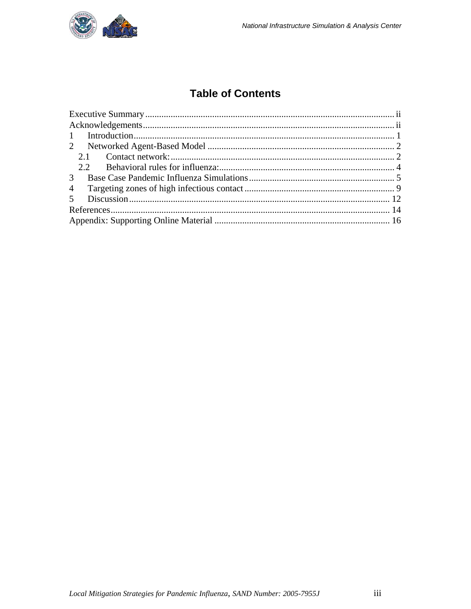

## **Table of Contents**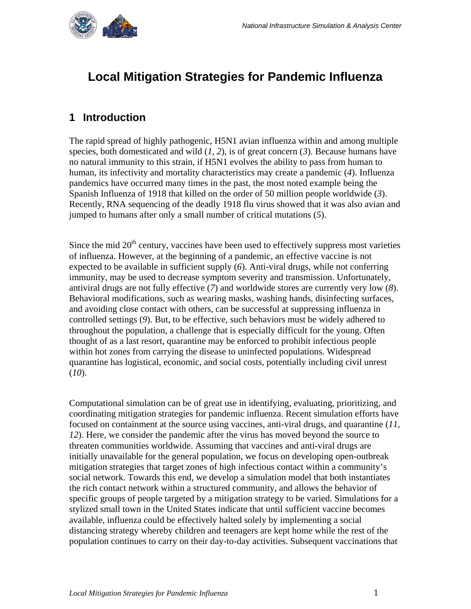<span id="page-3-0"></span>

## **Local Mitigation Strategies for Pandemic Influenza**

## <span id="page-3-1"></span>**1 Introduction**

The rapid spread of highly pathogenic, H5N1 avian influenza within and among multiple species, both domesticated and wild (*1, 2*), is of great concern (*3*). Because humans have no natural immunity to this strain, if H5N1 evolves the ability to pass from human to human, its infectivity and mortality characteristics may create a pandemic (*4*). Influenza pandemics have occurred many times in the past, the most noted example being the Spanish Influenza of 1918 that killed on the order of 50 million people worldwide (*3*). Recently, RNA sequencing of the deadly 1918 flu virus showed that it was also avian and jumped to humans after only a small number of critical mutations (*5*).

Since the mid  $20<sup>th</sup>$  century, vaccines have been used to effectively suppress most varieties of influenza. However, at the beginning of a pandemic, an effective vaccine is not expected to be available in sufficient supply (*6*). Anti-viral drugs, while not conferring immunity, may be used to decrease symptom severity and transmission. Unfortunately, antiviral drugs are not fully effective (*7*) and worldwide stores are currently very low (*8*). Behavioral modifications, such as wearing masks, washing hands, disinfecting surfaces, and avoiding close contact with others, can be successful at suppressing influenza in controlled settings (*9*). But, to be effective, such behaviors must be widely adhered to throughout the population, a challenge that is especially difficult for the young. Often thought of as a last resort, quarantine may be enforced to prohibit infectious people within hot zones from carrying the disease to uninfected populations. Widespread quarantine has logistical, economic, and social costs, potentially including civil unrest (*10*).

Computational simulation can be of great use in identifying, evaluating, prioritizing, and coordinating mitigation strategies for pandemic influenza. Recent simulation efforts have focused on containment at the source using vaccines, anti-viral drugs, and quarantine (*11, 12*). Here, we consider the pandemic after the virus has moved beyond the source to threaten communities worldwide. Assuming that vaccines and anti-viral drugs are initially unavailable for the general population, we focus on developing open-outbreak mitigation strategies that target zones of high infectious contact within a community's social network. Towards this end, we develop a simulation model that both instantiates the rich contact network within a structured community, and allows the behavior of specific groups of people targeted by a mitigation strategy to be varied. Simulations for a stylized small town in the United States indicate that until sufficient vaccine becomes available, influenza could be effectively halted solely by implementing a social distancing strategy whereby children and teenagers are kept home while the rest of the population continues to carry on their day-to-day activities. Subsequent vaccinations that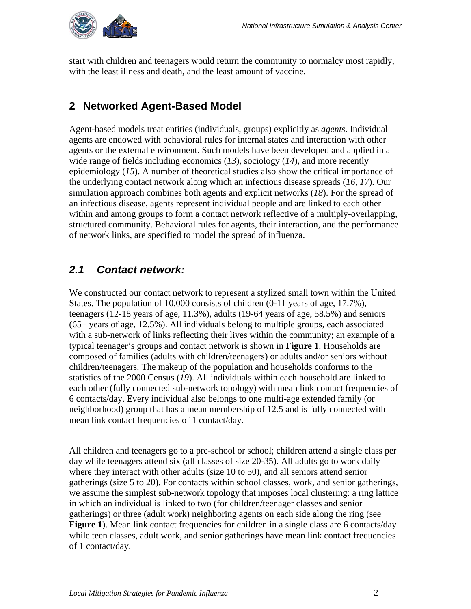<span id="page-4-0"></span>

start with children and teenagers would return the community to normalcy most rapidly, with the least illness and death, and the least amount of vaccine.

## <span id="page-4-1"></span>**2 Networked Agent-Based Model**

Agent-based models treat entities (individuals, groups) explicitly as *agents*. Individual agents are endowed with behavioral rules for internal states and interaction with other agents or the external environment. Such models have been developed and applied in a wide range of fields including economics (*13*), sociology (*14*), and more recently epidemiology (*15*). A number of theoretical studies also show the critical importance of the underlying contact network along which an infectious disease spreads (*16, 17*). Our simulation approach combines both agents and explicit networks (*18*). For the spread of an infectious disease, agents represent individual people and are linked to each other within and among groups to form a contact network reflective of a multiply-overlapping, structured community. Behavioral rules for agents, their interaction, and the performance of network links, are specified to model the spread of influenza.

## <span id="page-4-2"></span>*2.1 Contact network:*

We constructed our contact network to represent a stylized small town within the United States. The population of 10,000 consists of children (0-11 years of age, 17.7%), teenagers (12-18 years of age, 11.3%), adults (19-64 years of age, 58.5%) and seniors (65+ years of age, 12.5%). All individuals belong to multiple groups, each associated with a sub-network of links reflecting their lives within the community; an example of a typical teenager's groups and contact network is shown in **Figure 1**. Households are composed of families (adults with children/teenagers) or adults and/or seniors without children/teenagers. The makeup of the population and households conforms to the statistics of the 2000 Census (*19*). All individuals within each household are linked to each other (fully connected sub-network topology) with mean link contact frequencies of 6 contacts/day. Every individual also belongs to one multi-age extended family (or neighborhood) group that has a mean membership of 12.5 and is fully connected with mean link contact frequencies of 1 contact/day.

All children and teenagers go to a pre-school or school; children attend a single class per day while teenagers attend six (all classes of size 20-35). All adults go to work daily where they interact with other adults (size 10 to 50), and all seniors attend senior gatherings (size 5 to 20). For contacts within school classes, work, and senior gatherings, we assume the simplest sub-network topology that imposes local clustering: a ring lattice in which an individual is linked to two (for children/teenager classes and senior gatherings) or three (adult work) neighboring agents on each side along the ring (see **Figure 1**). Mean link contact frequencies for children in a single class are 6 contacts/day while teen classes, adult work, and senior gatherings have mean link contact frequencies of 1 contact/day.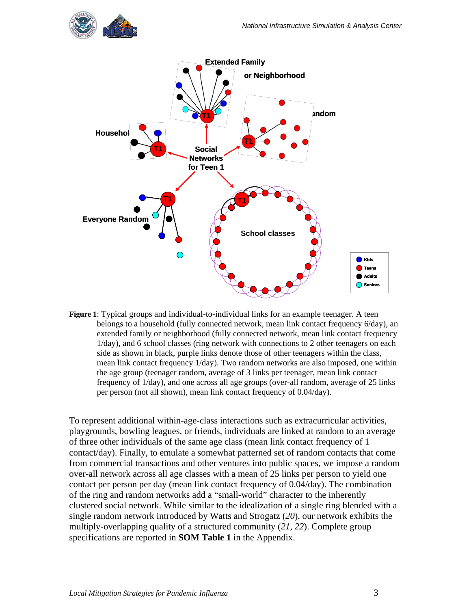

**Figure 1**: Typical groups and individual-to-individual links for an example teenager. A teen belongs to a household (fully connected network, mean link contact frequency 6/day), an extended family or neighborhood (fully connected network, mean link contact frequency 1/day), and 6 school classes (ring network with connections to 2 other teenagers on each side as shown in black, purple links denote those of other teenagers within the class, mean link contact frequency 1/day). Two random networks are also imposed, one within the age group (teenager random, average of 3 links per teenager, mean link contact frequency of 1/day), and one across all age groups (over-all random, average of 25 links per person (not all shown), mean link contact frequency of 0.04/day).

To represent additional within-age-class interactions such as extracurricular activities, playgrounds, bowling leagues, or friends, individuals are linked at random to an average of three other individuals of the same age class (mean link contact frequency of 1 contact/day). Finally, to emulate a somewhat patterned set of random contacts that come from commercial transactions and other ventures into public spaces, we impose a random over-all network across all age classes with a mean of 25 links per person to yield one contact per person per day (mean link contact frequency of 0.04/day). The combination of the ring and random networks add a "small-world" character to the inherently clustered social network. While similar to the idealization of a single ring blended with a single random network introduced by Watts and Strogatz (*20*), our network exhibits the multiply-overlapping quality of a structured community (*21, 22*). Complete group specifications are reported in **SOM Table 1** in the Appendix.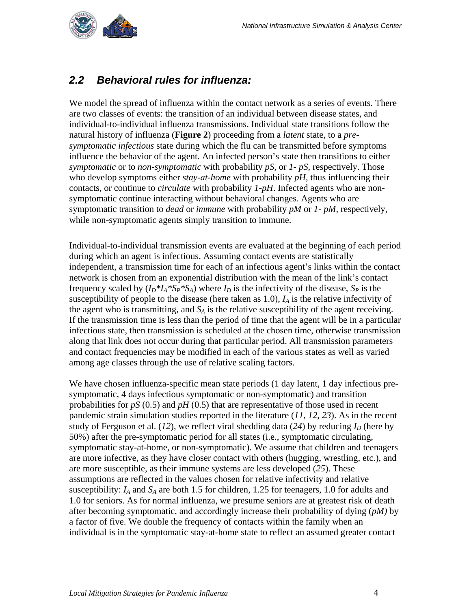<span id="page-6-0"></span>

## <span id="page-6-1"></span>*2.2 Behavioral rules for influenza:*

We model the spread of influenza within the contact network as a series of events. There are two classes of events: the transition of an individual between disease states, and individual-to-individual influenza transmissions. Individual state transitions follow the natural history of influenza (**Figure 2**) proceeding from a *latent* state, to a *presymptomatic infectious* state during which the flu can be transmitted before symptoms influence the behavior of the agent. An infected person's state then transitions to either *symptomatic* or to *non-symptomatic* with probability *pS,* or *1- pS,* respectively. Those who develop symptoms either *stay-at-home* with probability *pH*, thus influencing their contacts, or continue to *circulate* with probability *1-pH*. Infected agents who are nonsymptomatic continue interacting without behavioral changes. Agents who are symptomatic transition to *dead* or *immune* with probability *pM* or *1- pM*, respectively, while non-symptomatic agents simply transition to immune.

Individual-to-individual transmission events are evaluated at the beginning of each period during which an agent is infectious. Assuming contact events are statistically independent, a transmission time for each of an infectious agent's links within the contact network is chosen from an exponential distribution with the mean of the link's contact frequency scaled by  $(I_D * I_A * S_P * S_A)$  where  $I_D$  is the infectivity of the disease,  $S_P$  is the susceptibility of people to the disease (here taken as  $1.0$ ),  $I<sub>A</sub>$  is the relative infectivity of the agent who is transmitting, and  $S_A$  is the relative susceptibility of the agent receiving. If the transmission time is less than the period of time that the agent will be in a particular infectious state, then transmission is scheduled at the chosen time, otherwise transmission along that link does not occur during that particular period. All transmission parameters and contact frequencies may be modified in each of the various states as well as varied among age classes through the use of relative scaling factors.

We have chosen influenza-specific mean state periods (1 day latent, 1 day infectious presymptomatic, 4 days infectious symptomatic or non-symptomatic) and transition probabilities for *pS* (0.5) and *pH* (0.5) that are representative of those used in recent pandemic strain simulation studies reported in the literature (*11, 12, 23*). As in the recent study of Ferguson et al.  $(12)$ , we reflect viral shedding data  $(24)$  by reducing  $I<sub>D</sub>$  (here by 50%) after the pre-symptomatic period for all states (i.e., symptomatic circulating, symptomatic stay-at-home, or non-symptomatic). We assume that children and teenagers are more infective, as they have closer contact with others (hugging, wrestling, etc.), and are more susceptible, as their immune systems are less developed (*25*). These assumptions are reflected in the values chosen for relative infectivity and relative susceptibility: *IA* and *SA* are both 1.5 for children, 1.25 for teenagers, 1.0 for adults and 1.0 for seniors. As for normal influenza, we presume seniors are at greatest risk of death after becoming symptomatic, and accordingly increase their probability of dying (*pM)* by a factor of five. We double the frequency of contacts within the family when an individual is in the symptomatic stay-at-home state to reflect an assumed greater contact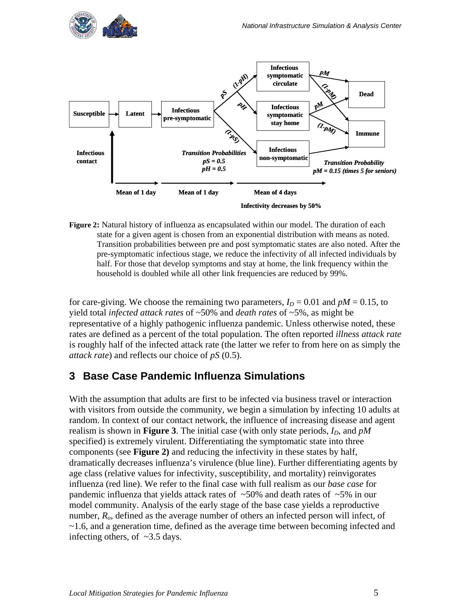<span id="page-7-0"></span>



**Figure 2:** Natural history of influenza as encapsulated within our model. The duration of each state for a given agent is chosen from an exponential distribution with means as noted. Transition probabilities between pre and post symptomatic states are also noted. After the pre-symptomatic infectious stage, we reduce the infectivity of all infected individuals by half. For those that develop symptoms and stay at home, the link frequency within the household is doubled while all other link frequencies are reduced by 99%.

for care-giving. We choose the remaining two parameters,  $I_D = 0.01$  and  $pM = 0.15$ , to yield total *infected attack rates* of ~50% and *death rates* of ~5%, as might be representative of a highly pathogenic influenza pandemic. Unless otherwise noted, these rates are defined as a percent of the total population. The often reported *illness attack rate* is roughly half of the infected attack rate (the latter we refer to from here on as simply the *attack rate*) and reflects our choice of *pS* (0.5).

### <span id="page-7-1"></span>**3 Base Case Pandemic Influenza Simulations**

With the assumption that adults are first to be infected via business travel or interaction with visitors from outside the community, we begin a simulation by infecting 10 adults at random. In context of our contact network, the influence of increasing disease and agent realism is shown in **Figure 3**. The initial case (with only state periods,  $I<sub>D</sub>$ , and  $pM$ specified) is extremely virulent. Differentiating the symptomatic state into three components (see **Figure 2)** and reducing the infectivity in these states by half, dramatically decreases influenza's virulence (blue line). Further differentiating agents by age class (relative values for infectivity, susceptibility, and mortality) reinvigorates influenza (red line). We refer to the final case with full realism as our *base case* for pandemic influenza that yields attack rates of  $~50\%$  and death rates of  $~5\%$  in our model community. Analysis of the early stage of the base case yields a reproductive number, *Ro*, defined as the average number of others an infected person will infect, of ~1.6, and a generation time, defined as the average time between becoming infected and infecting others, of ~3.5 days.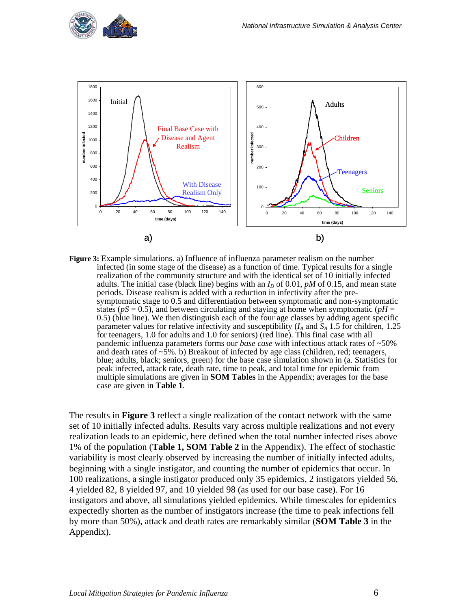



**Figure 3:** Example simulations. a) Influence of influenza parameter realism on the number infected (in some stage of the disease) as a function of time. Typical results for a single realization of the community structure and with the identical set of 10 initially infected adults. The initial case (black line) begins with an  $I<sub>D</sub>$  of 0.01, *pM* of 0.15, and mean state periods. Disease realism is added with a reduction in infectivity after the presymptomatic stage to 0.5 and differentiation between symptomatic and non-symptomatic states ( $pS = 0.5$ ), and between circulating and staying at home when symptomatic ( $pH = 0.5$ ) (blue line). We then distinguish each of the four age classes by adding agent specific parameter values for relative infectivity and susceptibility  $(I_A \text{ and } S_A \text{ 1.5 for children, } 1.25$ for teenagers, 1.0 for adults and 1.0 for seniors) (red line). This final case with all pandemic influenza parameters forms our *base case* with infectious attack rates of ~50% and death rates of  $\sim$ 5%. b) Breakout of infected by age class (children, red; teenagers, blue; adults, black; seniors, green) for the base case simulation shown in (a. Statistics for peak infected, attack rate, death rate, time to peak, and total time for epidemic from multiple simulations are given in **SOM Tables** in the Appendix; averages for the base case are given in **Table 1**.

The results in **Figure 3** reflect a single realization of the contact network with the same set of 10 initially infected adults. Results vary across multiple realizations and not every realization leads to an epidemic, here defined when the total number infected rises above 1% of the population (**Table 1, SOM Table 2** in the Appendix). The effect of stochastic variability is most clearly observed by increasing the number of initially infected adults, beginning with a single instigator, and counting the number of epidemics that occur. In 100 realizations, a single instigator produced only 35 epidemics, 2 instigators yielded 56, 4 yielded 82, 8 yielded 97, and 10 yielded 98 (as used for our base case). For 16 instigators and above, all simulations yielded epidemics. While timescales for epidemics expectedly shorten as the number of instigators increase (the time to peak infections fell by more than 50%), attack and death rates are remarkably similar (**SOM Table 3** in the Appendix).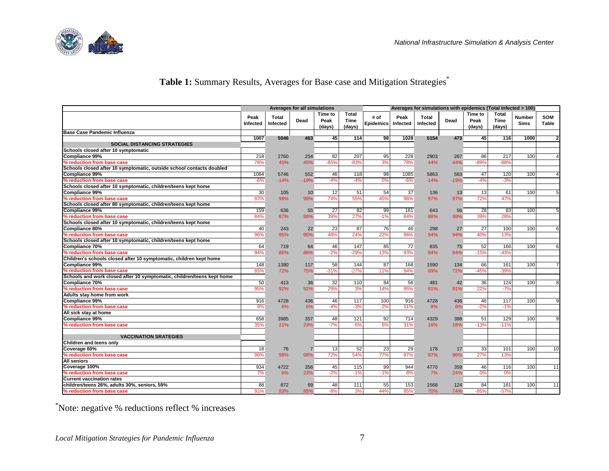

## Table 1: Summary Results, Averages for Base case and Mitigation Strategies\*

|                                                                        |                  |                   | <b>Averages for all simulations</b> |                           |                         |                          |                  | Averages for simulations with epidemics (Total Infected > 100) |        |                           |                         |                       |                     |
|------------------------------------------------------------------------|------------------|-------------------|-------------------------------------|---------------------------|-------------------------|--------------------------|------------------|----------------------------------------------------------------|--------|---------------------------|-------------------------|-----------------------|---------------------|
|                                                                        | Peak<br>Infected | Total<br>Infected | Dead                                | Time to<br>Peak<br>(days) | Total<br>Time<br>(days) | # of<br><b>Epidemics</b> | Peak<br>Infected | Total<br>Infected                                              | Dead   | Time to<br>Peak<br>(days) | Total<br>Time<br>(days) | <b>Number</b><br>Sims | <b>SOM</b><br>Table |
| <b>Base Case Pandemic Influenza</b>                                    |                  |                   |                                     |                           |                         |                          |                  |                                                                |        |                           |                         |                       |                     |
|                                                                        | 1007             | 5046              | 463                                 | 45                        | 114                     | 98                       | 1028             | 5154                                                           | 473    | 45                        | 116                     | 1000                  | $\overline{2}$      |
| <b>SOCIAL DISTANCING STRATEGIES</b>                                    |                  |                   |                                     |                           |                         |                          |                  |                                                                |        |                           |                         |                       |                     |
| Schools closed after 10 symptomatic                                    |                  |                   |                                     |                           |                         |                          |                  |                                                                |        |                           |                         |                       |                     |
| Compliance 99%                                                         | 218              | 2760              | 254                                 | 82                        | 207                     | 95                       | 228              | 2903                                                           | 267    | 86                        | 217                     | 100                   |                     |
| % reduction from base case                                             | 78%              | 45%               | 45%                                 | $-85%$                    | $-83%$                  | 3%                       | 78%              | 44%                                                            | 44%    | $-89%$                    | $-88%$                  |                       |                     |
| Schools closed after 10 symptomatic, outside school contacts doubled   |                  |                   |                                     |                           |                         |                          |                  |                                                                |        |                           |                         |                       |                     |
| <b>Compliance 99%</b>                                                  | 1064             | 5746              | 552                                 | 46                        | 118                     | 98                       | 1085             | 5863                                                           | 563    | 47                        | 120                     | 100                   |                     |
| % reduction from base case                                             | $-6%$            | $-14%$            | $-19%$                              | $-4%$                     | $-4%$                   | 0%                       | $-6%$            | $-14%$                                                         | $-19%$ | $-4%$                     | $-3%$                   |                       |                     |
| Schools closed after 10 symptomatic, children/teens kept home          |                  |                   |                                     |                           |                         |                          |                  |                                                                |        |                           |                         |                       |                     |
| <b>Compliance 99%</b>                                                  | 30               | 105               | 10 <sup>1</sup>                     | 12                        | 51                      | 54                       | 37               | 136                                                            | 13     | 13                        | 61                      | 100                   | 5                   |
| % reduction from base case                                             | 97%              | 98%               | 98%                                 | 74%                       | 55%                     | 45%                      | 96%              | 97%                                                            | 97%    | 72%                       | 47%                     |                       |                     |
| Schools closed after 80 symptomatic, children/teens kept home          |                  |                   |                                     |                           |                         |                          |                  |                                                                |        |                           |                         |                       |                     |
| Compliance 99%                                                         | 159              | 636               | 55                                  | 27                        | 82                      | 99                       | 161              | 643                                                            | 56     | 28                        | 83                      | 100                   | 5                   |
| % reduction from base case                                             | 84%              | 87%               | 88%                                 | 39%                       | 27%                     | $-1%$                    | 84%              | 88%                                                            | 88%    | 39%                       | 28%                     |                       |                     |
| Schools closed after 10 symptomatic, children/teens kept home          |                  |                   |                                     |                           |                         |                          |                  |                                                                |        |                           |                         |                       |                     |
| Compliance 80%                                                         | 40               | 243               | 22                                  | 23                        | 87                      | 76                       | 46               | 298                                                            | 27     | 27                        | 100                     | 100                   | 6                   |
| % reduction from base case                                             | 96%              | 95%               | 95%                                 | 48%                       | 24%                     | 22%                      | 96%              | 94%                                                            | 94%    | 40%                       | 13%                     |                       |                     |
| Schools closed after 10 symptomatic, children/teens kept home          |                  |                   |                                     |                           |                         |                          |                  |                                                                |        |                           |                         |                       |                     |
| <b>Compliance 70%</b>                                                  | 64               | 719               | 64                                  | 46                        | 147                     | 85                       | 72               | 835                                                            | 75     | 52                        | 166                     | 100                   | 6                   |
| % reduction from base case                                             | 94%              | 86%               | 86%                                 | $-2%$                     | $-29%$                  | 13%                      | 93%              | 84%                                                            | 84%    | $-15%$                    | $-43%$                  |                       |                     |
| Children's schools closed after 10 symptomatic, children kept home     |                  |                   |                                     |                           |                         |                          |                  |                                                                |        |                           |                         |                       |                     |
| Compliance 99%                                                         | 148              | 1390              | 117                                 | 58                        | 144                     | 87                       | 168              | 1590                                                           | 134    | 66                        | 161                     | 100                   | $\overline{7}$      |
| % reduction from base case                                             | 85%              | 72%               | 75%                                 | $-31%$                    | $-27%$                  | 11%                      | 84%              | 69%                                                            | 72%    | $-45%$                    | $-39%$                  |                       |                     |
| Schools and work closed after 10 symptomatic, children/teens kept home |                  |                   |                                     |                           |                         |                          |                  |                                                                |        |                           |                         |                       |                     |
| Compliance 70%                                                         | 50               | 413               | 36                                  | 32                        | 110                     | 84                       | 56               | 481                                                            | 42     | 36                        | 124                     | 100                   | 8                   |
| % reduction from base case                                             | 95%              | 92%               | 92%                                 | 29%                       | 3%                      | 14%                      | 95%              | 91%                                                            | 91%    | 22%                       | $-7%$                   |                       |                     |
| Adults stay home from work                                             |                  |                   |                                     |                           |                         |                          |                  |                                                                |        |                           |                         |                       |                     |
| Compliance 99%                                                         | 916              | 4728              | 436                                 | 46                        | 117                     | 100                      | 916              | 4728                                                           | 436    | 46                        | 117                     | 100                   | 9                   |
| % reduction from base case                                             | 9%               | 6%                | 6%                                  | $-4%$                     | $-3%$                   | $-2%$                    | 11%              | 8%                                                             | 8%     | $-2%$                     | $-1%$                   |                       |                     |
| All sick stay at home                                                  |                  |                   |                                     |                           |                         |                          |                  |                                                                |        |                           |                         |                       |                     |
| Compliance 99%                                                         | 658              | 3985              | 357                                 | 48                        | 121                     | 92                       | 714              | 4329                                                           | 388    | 51                        | 129                     | 100                   | 9                   |
| % reduction from base case                                             | 35%              | 21%               | 23%                                 | $-7%$                     | $-6%$                   | 6%                       | 31%              | 16%                                                            | 18%    | $-13%$                    | $-11%$                  |                       |                     |
|                                                                        |                  |                   |                                     |                           |                         |                          |                  |                                                                |        |                           |                         |                       |                     |
| <b>VACCINATION SRATEGIES</b>                                           |                  |                   |                                     |                           |                         |                          |                  |                                                                |        |                           |                         |                       |                     |
| Children and teens only                                                |                  |                   |                                     |                           |                         |                          |                  |                                                                |        |                           |                         |                       |                     |
| Coverage 60%                                                           | 18               | 76                |                                     | 13                        | 52                      | 23                       | 29               | 178                                                            | 17     | 33                        | 101                     | 100                   | 10                  |
| % reduction from base case                                             | 98%              | 98%               | 98%                                 | 72%                       | 54%                     | 77%                      | 97%              | 97%                                                            | 96%    | 27%                       | 13%                     |                       |                     |
| <b>All seniors</b>                                                     |                  |                   |                                     |                           |                         |                          |                  |                                                                |        |                           |                         |                       |                     |
| Coverage 100%                                                          | 934              | 4722              | 356                                 | 45                        | 115                     | 99                       | 944              | 4770                                                           | 359    | 46                        | 116                     | 100                   | 11                  |
| % reduction from base case                                             | 7%               | 6%                | 23%                                 | $-2%$                     | $-1%$                   | $-1%$                    | 8%               | 7%                                                             | 24%    | 0%                        | 0%                      |                       |                     |
| <b>Current vaccination rates</b>                                       |                  |                   |                                     |                           |                         |                          |                  |                                                                |        |                           |                         |                       |                     |
| children/teens 26%, adults 30%, seniors, 59%                           | 88               | 872               | 69                                  | 48                        | 111                     | 55                       | 153              | 1568                                                           | 124    | 84                        | 181                     | 100                   | 11                  |
| % reduction from base case                                             | 91%              | 83%               | 85%                                 | $-8%$                     | 3%                      | 44%                      | 85%              | 70%                                                            | 74%    | $-85%$                    | $-57%$                  |                       |                     |

\*Note: negative % reductions reflect % increases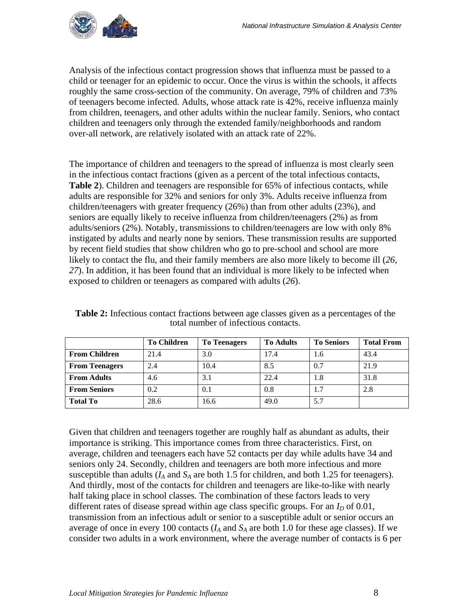

Analysis of the infectious contact progression shows that influenza must be passed to a child or teenager for an epidemic to occur. Once the virus is within the schools, it affects roughly the same cross-section of the community. On average, 79% of children and 73% of teenagers become infected. Adults, whose attack rate is 42%, receive influenza mainly from children, teenagers, and other adults within the nuclear family. Seniors, who contact children and teenagers only through the extended family/neighborhoods and random over-all network, are relatively isolated with an attack rate of 22%.

The importance of children and teenagers to the spread of influenza is most clearly seen in the infectious contact fractions (given as a percent of the total infectious contacts, **Table 2**). Children and teenagers are responsible for 65% of infectious contacts, while adults are responsible for 32% and seniors for only 3%. Adults receive influenza from children/teenagers with greater frequency (26%) than from other adults (23%), and seniors are equally likely to receive influenza from children/teenagers (2%) as from adults/seniors (2%). Notably, transmissions to children/teenagers are low with only 8% instigated by adults and nearly none by seniors. These transmission results are supported by recent field studies that show children who go to pre-school and school are more likely to contact the flu, and their family members are also more likely to become ill (*26, 27*). In addition, it has been found that an individual is more likely to be infected when exposed to children or teenagers as compared with adults (*26*).

|                       | <b>To Children</b> | <b>To Teenagers</b> | <b>To Adults</b> | <b>To Seniors</b> | <b>Total From</b> |
|-----------------------|--------------------|---------------------|------------------|-------------------|-------------------|
| <b>From Children</b>  | 21.4               | 3.0                 | 17.4             | 1.6               | 43.4              |
| <b>From Teenagers</b> | 2.4                | 10.4                | 8.5              | 0.7               | 21.9              |
| <b>From Adults</b>    | 4.6                | 3.1                 | 22.4             | 1.8               | 31.8              |
| <b>From Seniors</b>   | 0.2                | 0.1                 | 0.8              | 1.7               | 2.8               |
| <b>Total To</b>       | 28.6               | 16.6                | 49.0             | 5.7               |                   |

**Table 2:** Infectious contact fractions between age classes given as a percentages of the total number of infectious contacts.

Given that children and teenagers together are roughly half as abundant as adults, their importance is striking. This importance comes from three characteristics. First, on average, children and teenagers each have 52 contacts per day while adults have 34 and seniors only 24. Secondly, children and teenagers are both more infectious and more susceptible than adults  $(I_A \text{ and } S_A \text{ are both 1.5 for children, and both 1.25 for teenagers).$ And thirdly, most of the contacts for children and teenagers are like-to-like with nearly half taking place in school classes. The combination of these factors leads to very different rates of disease spread within age class specific groups. For an  $I<sub>D</sub>$  of 0.01, transmission from an infectious adult or senior to a susceptible adult or senior occurs an average of once in every 100 contacts  $(I_A \text{ and } S_A \text{ are both 1.0 for these age classes})$ . If we consider two adults in a work environment, where the average number of contacts is 6 per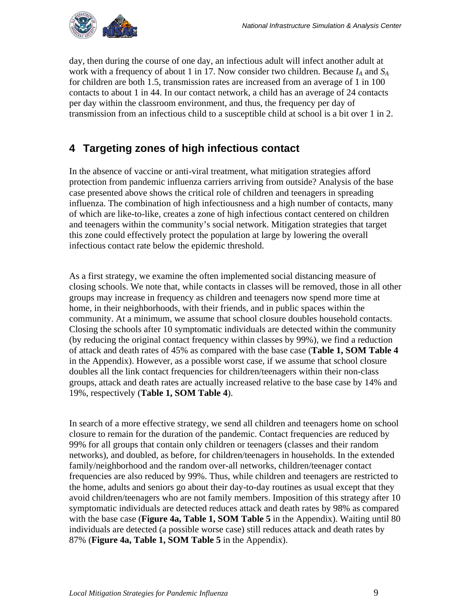<span id="page-11-0"></span>

day, then during the course of one day, an infectious adult will infect another adult at work with a frequency of about 1 in 17. Now consider two children. Because *IA* and *SA* for children are both 1.5, transmission rates are increased from an average of 1 in 100 contacts to about 1 in 44. In our contact network, a child has an average of 24 contacts per day within the classroom environment, and thus, the frequency per day of transmission from an infectious child to a susceptible child at school is a bit over 1 in 2.

## <span id="page-11-1"></span>**4 Targeting zones of high infectious contact**

In the absence of vaccine or anti-viral treatment, what mitigation strategies afford protection from pandemic influenza carriers arriving from outside? Analysis of the base case presented above shows the critical role of children and teenagers in spreading influenza. The combination of high infectiousness and a high number of contacts, many of which are like-to-like, creates a zone of high infectious contact centered on children and teenagers within the community's social network. Mitigation strategies that target this zone could effectively protect the population at large by lowering the overall infectious contact rate below the epidemic threshold.

As a first strategy, we examine the often implemented social distancing measure of closing schools. We note that, while contacts in classes will be removed, those in all other groups may increase in frequency as children and teenagers now spend more time at home, in their neighborhoods, with their friends, and in public spaces within the community. At a minimum, we assume that school closure doubles household contacts. Closing the schools after 10 symptomatic individuals are detected within the community (by reducing the original contact frequency within classes by 99%), we find a reduction of attack and death rates of 45% as compared with the base case (**Table 1, SOM Table 4**  in the Appendix). However, as a possible worst case, if we assume that school closure doubles all the link contact frequencies for children/teenagers within their non-class groups, attack and death rates are actually increased relative to the base case by 14% and 19%, respectively (**Table 1, SOM Table 4**).

In search of a more effective strategy, we send all children and teenagers home on school closure to remain for the duration of the pandemic. Contact frequencies are reduced by 99% for all groups that contain only children or teenagers (classes and their random networks), and doubled, as before, for children/teenagers in households. In the extended family/neighborhood and the random over-all networks, children/teenager contact frequencies are also reduced by 99%. Thus, while children and teenagers are restricted to the home, adults and seniors go about their day-to-day routines as usual except that they avoid children/teenagers who are not family members. Imposition of this strategy after 10 symptomatic individuals are detected reduces attack and death rates by 98% as compared with the base case (**Figure 4a, Table 1, SOM Table 5** in the Appendix). Waiting until 80 individuals are detected (a possible worse case) still reduces attack and death rates by 87% (**Figure 4a, Table 1, SOM Table 5** in the Appendix).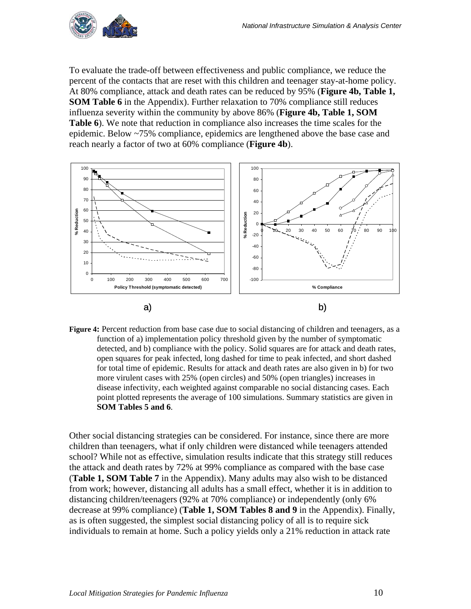

To evaluate the trade-off between effectiveness and public compliance, we reduce the percent of the contacts that are reset with this children and teenager stay-at-home policy. At 80% compliance, attack and death rates can be reduced by 95% (**Figure 4b, Table 1, SOM Table 6** in the Appendix). Further relaxation to 70% compliance still reduces influenza severity within the community by above 86% (**Figure 4b, Table 1, SOM Table 6**). We note that reduction in compliance also increases the time scales for the epidemic. Below ~75% compliance, epidemics are lengthened above the base case and reach nearly a factor of two at 60% compliance (**Figure 4b**).



**Figure 4:** Percent reduction from base case due to social distancing of children and teenagers, as a function of a) implementation policy threshold given by the number of symptomatic detected, and b) compliance with the policy. Solid squares are for attack and death rates, open squares for peak infected, long dashed for time to peak infected, and short dashed for total time of epidemic. Results for attack and death rates are also given in b) for two more virulent cases with 25% (open circles) and 50% (open triangles) increases in disease infectivity, each weighted against comparable no social distancing cases. Each point plotted represents the average of 100 simulations. Summary statistics are given in **SOM Tables 5 and 6**.

Other social distancing strategies can be considered. For instance, since there are more children than teenagers, what if only children were distanced while teenagers attended school? While not as effective, simulation results indicate that this strategy still reduces the attack and death rates by 72% at 99% compliance as compared with the base case (**Table 1, SOM Table 7** in the Appendix). Many adults may also wish to be distanced from work; however, distancing all adults has a small effect, whether it is in addition to distancing children/teenagers (92% at 70% compliance) or independently (only 6% decrease at 99% compliance) (**Table 1, SOM Tables 8 and 9** in the Appendix). Finally, as is often suggested, the simplest social distancing policy of all is to require sick individuals to remain at home. Such a policy yields only a 21% reduction in attack rate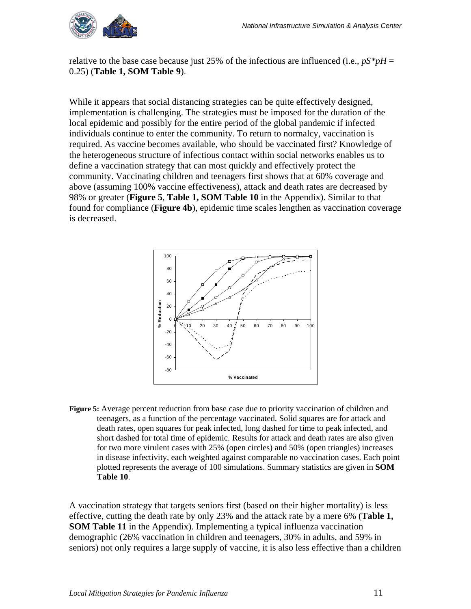

relative to the base case because just 25% of the infectious are influenced (i.e.,  $pS^*pH =$ 0.25) (**Table 1, SOM Table 9**).

While it appears that social distancing strategies can be quite effectively designed, implementation is challenging. The strategies must be imposed for the duration of the local epidemic and possibly for the entire period of the global pandemic if infected individuals continue to enter the community. To return to normalcy, vaccination is required. As vaccine becomes available, who should be vaccinated first? Knowledge of the heterogeneous structure of infectious contact within social networks enables us to define a vaccination strategy that can most quickly and effectively protect the community. Vaccinating children and teenagers first shows that at 60% coverage and above (assuming 100% vaccine effectiveness), attack and death rates are decreased by 98% or greater (**Figure 5**, **Table 1, SOM Table 10** in the Appendix). Similar to that found for compliance (**Figure 4b**), epidemic time scales lengthen as vaccination coverage is decreased.



**Figure 5:** Average percent reduction from base case due to priority vaccination of children and teenagers, as a function of the percentage vaccinated. Solid squares are for attack and death rates, open squares for peak infected, long dashed for time to peak infected, and short dashed for total time of epidemic. Results for attack and death rates are also given for two more virulent cases with 25% (open circles) and 50% (open triangles) increases in disease infectivity, each weighted against comparable no vaccination cases. Each point plotted represents the average of 100 simulations. Summary statistics are given in **SOM Table 10**.

A vaccination strategy that targets seniors first (based on their higher mortality) is less effective, cutting the death rate by only 23% and the attack rate by a mere 6% (**Table 1, SOM Table 11** in the Appendix). Implementing a typical influenza vaccination demographic (26% vaccination in children and teenagers, 30% in adults, and 59% in seniors) not only requires a large supply of vaccine, it is also less effective than a children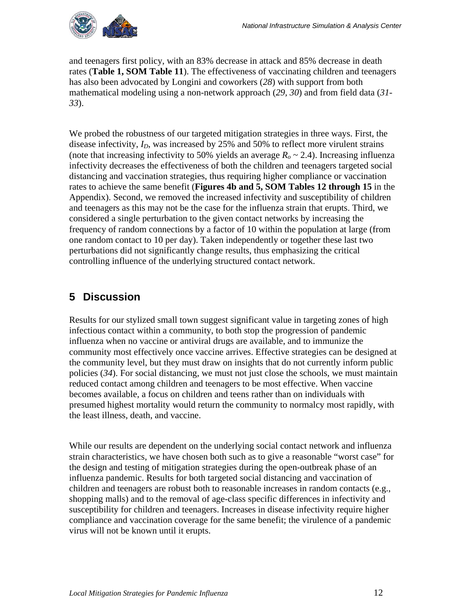<span id="page-14-0"></span>

and teenagers first policy, with an 83% decrease in attack and 85% decrease in death rates (**Table 1, SOM Table 11**). The effectiveness of vaccinating children and teenagers has also been advocated by Longini and coworkers (*28*) with support from both mathematical modeling using a non-network approach (*29, 30*) and from field data (*31- 33*).

We probed the robustness of our targeted mitigation strategies in three ways. First, the disease infectivity,  $I_D$ , was increased by 25% and 50% to reflect more virulent strains (note that increasing infectivity to 50% yields an average  $R<sub>o</sub> \sim 2.4$ ). Increasing influenza infectivity decreases the effectiveness of both the children and teenagers targeted social distancing and vaccination strategies, thus requiring higher compliance or vaccination rates to achieve the same benefit (**Figures 4b and 5, SOM Tables 12 through 15** in the Appendix). Second, we removed the increased infectivity and susceptibility of children and teenagers as this may not be the case for the influenza strain that erupts. Third, we considered a single perturbation to the given contact networks by increasing the frequency of random connections by a factor of 10 within the population at large (from one random contact to 10 per day). Taken independently or together these last two perturbations did not significantly change results, thus emphasizing the critical controlling influence of the underlying structured contact network.

## <span id="page-14-1"></span>**5 Discussion**

Results for our stylized small town suggest significant value in targeting zones of high infectious contact within a community, to both stop the progression of pandemic influenza when no vaccine or antiviral drugs are available, and to immunize the community most effectively once vaccine arrives. Effective strategies can be designed at the community level, but they must draw on insights that do not currently inform public policies (*34*). For social distancing, we must not just close the schools, we must maintain reduced contact among children and teenagers to be most effective. When vaccine becomes available, a focus on children and teens rather than on individuals with presumed highest mortality would return the community to normalcy most rapidly, with the least illness, death, and vaccine.

While our results are dependent on the underlying social contact network and influenza strain characteristics, we have chosen both such as to give a reasonable "worst case" for the design and testing of mitigation strategies during the open-outbreak phase of an influenza pandemic. Results for both targeted social distancing and vaccination of children and teenagers are robust both to reasonable increases in random contacts (e.g., shopping malls) and to the removal of age-class specific differences in infectivity and susceptibility for children and teenagers. Increases in disease infectivity require higher compliance and vaccination coverage for the same benefit; the virulence of a pandemic virus will not be known until it erupts.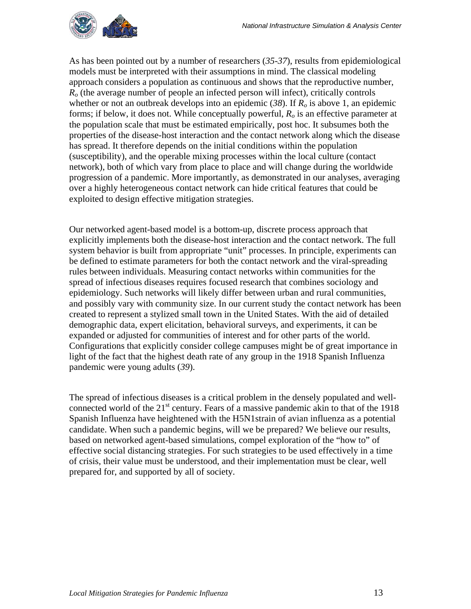

As has been pointed out by a number of researchers (*35-37*), results from epidemiological models must be interpreted with their assumptions in mind. The classical modeling approach considers a population as continuous and shows that the reproductive number, *Ro* (the average number of people an infected person will infect), critically controls whether or not an outbreak develops into an epidemic  $(38)$ . If  $R_0$  is above 1, an epidemic forms; if below, it does not. While conceptually powerful,  $R<sub>o</sub>$  is an effective parameter at the population scale that must be estimated empirically, post hoc. It subsumes both the properties of the disease-host interaction and the contact network along which the disease has spread. It therefore depends on the initial conditions within the population (susceptibility), and the operable mixing processes within the local culture (contact network), both of which vary from place to place and will change during the worldwide progression of a pandemic. More importantly, as demonstrated in our analyses, averaging over a highly heterogeneous contact network can hide critical features that could be exploited to design effective mitigation strategies.

Our networked agent-based model is a bottom-up, discrete process approach that explicitly implements both the disease-host interaction and the contact network. The full system behavior is built from appropriate "unit" processes. In principle, experiments can be defined to estimate parameters for both the contact network and the viral-spreading rules between individuals. Measuring contact networks within communities for the spread of infectious diseases requires focused research that combines sociology and epidemiology. Such networks will likely differ between urban and rural communities, and possibly vary with community size. In our current study the contact network has been created to represent a stylized small town in the United States. With the aid of detailed demographic data, expert elicitation, behavioral surveys, and experiments, it can be expanded or adjusted for communities of interest and for other parts of the world. Configurations that explicitly consider college campuses might be of great importance in light of the fact that the highest death rate of any group in the 1918 Spanish Influenza pandemic were young adults (*39*).

The spread of infectious diseases is a critical problem in the densely populated and wellconnected world of the  $21<sup>st</sup>$  century. Fears of a massive pandemic akin to that of the 1918 Spanish Influenza have heightened with the H5N1strain of avian influenza as a potential candidate. When such a pandemic begins, will we be prepared? We believe our results, based on networked agent-based simulations, compel exploration of the "how to" of effective social distancing strategies. For such strategies to be used effectively in a time of crisis, their value must be understood, and their implementation must be clear, well prepared for, and supported by all of society.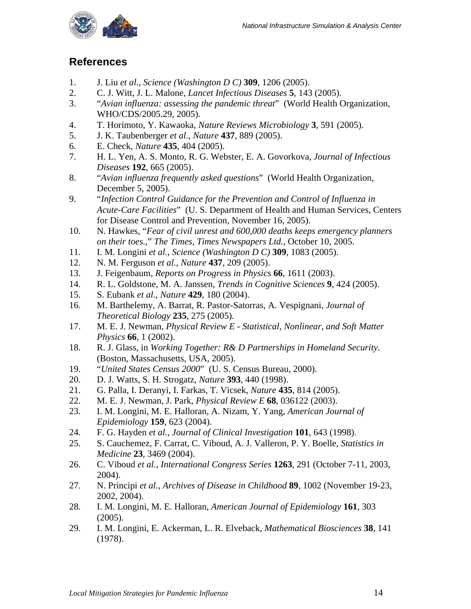<span id="page-16-0"></span>

### <span id="page-16-1"></span>**References**

- 1. J. Liu *et al.*, *Science (Washington D C)* **309**, 1206 (2005).
- 2. C. J. Witt, J. L. Malone, *Lancet Infectious Diseases* **5**, 143 (2005).
- 3. "*Avian influenza: assessing the pandemic threat*" (World Health Organization, WHO/CDS/2005.29, 2005).
- 4. T. Horimoto, Y. Kawaoka, *Nature Reviews Microbiology* **3**, 591 (2005).
- 5. J. K. Taubenberger *et al.*, *Nature* **437**, 889 (2005).
- 6. E. Check, *Nature* **435**, 404 (2005).
- 7. H. L. Yen, A. S. Monto, R. G. Webster, E. A. Govorkova, *Journal of Infectious Diseases* **192**, 665 (2005).
- 8. "*Avian influenza frequently asked questions*" (World Health Organization, December 5, 2005).
- 9. "*Infection Control Guidance for the Prevention and Control of Influenza in Acute-Care Facilities*" (U. S. Department of Health and Human Services, Centers for Disease Control and Prevention, November 16, 2005).
- 10. N. Hawkes, "*Fear of civil unrest and 600,000 deaths keeps emergency planners on their toes.*," *The Times, Times Newspapers Ltd.*, October 10, 2005.
- 11. I. M. Longini *et al.*, *Science (Washington D C)* **309**, 1083 (2005).
- 12. N. M. Ferguson *et al.*, *Nature* **437**, 209 (2005).
- 13. J. Feigenbaum, *Reports on Progress in Physics* **66**, 1611 (2003).
- 14. R. L. Goldstone, M. A. Janssen, *Trends in Cognitive Sciences* **9**, 424 (2005).
- 15. S. Eubank *et al.*, *Nature* **429**, 180 (2004).
- 16. M. Barthelemy, A. Barrat, R. Pastor-Satorras, A. Vespignani, *Journal of Theoretical Biology* **235**, 275 (2005).
- 17. M. E. J. Newman, *Physical Review E Statistical, Nonlinear, and Soft Matter Physics* **66**, 1 (2002).
- 18. R. J. Glass, in *Working Together: R& D Partnerships in Homeland Security*. (Boston, Massachusetts, USA, 2005).
- 19. "*United States Census 2000*" (U. S. Census Bureau, 2000).
- 20. D. J. Watts, S. H. Strogatz, *Nature* **393**, 440 (1998).
- 21. G. Palla, I. Deranyi, I. Farkas, T. Vicsek, *Nature* **435**, 814 (2005).
- 22. M. E. J. Newman, J. Park, *Physical Review E* **68**, 036122 (2003).
- 23. I. M. Longini, M. E. Halloran, A. Nizam, Y. Yang, *American Journal of Epidemiology* **159**, 623 (2004).
- 24. F. G. Hayden *et al.*, *Journal of Clinical Investigation* **101**, 643 (1998).
- 25. S. Cauchemez, F. Carrat, C. Viboud, A. J. Valleron, P. Y. Boelle, *Statistics in Medicine* **23**, 3469 (2004).
- 26. C. Viboud *et al.*, *International Congress Series* **1263**, 291 (October 7-11, 2003, 2004).
- 27. N. Principi *et al.*, *Archives of Disease in Childhood* **89**, 1002 (November 19-23, 2002, 2004).
- 28. I. M. Longini, M. E. Halloran, *American Journal of Epidemiology* **161**, 303 (2005).
- 29. I. M. Longini, E. Ackerman, L. R. Elveback, *Mathematical Biosciences* **38**, 141 (1978).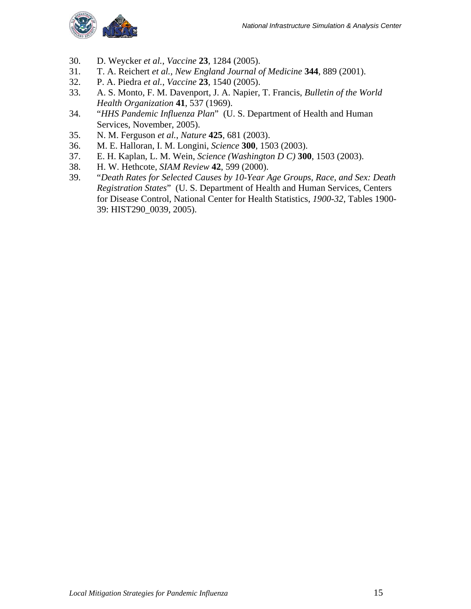

- 30. D. Weycker *et al.*, *Vaccine* **23**, 1284 (2005).
- 31. T. A. Reichert *et al.*, *New England Journal of Medicine* **344**, 889 (2001).
- 32. P. A. Piedra *et al.*, *Vaccine* **23**, 1540 (2005).
- 33. A. S. Monto, F. M. Davenport, J. A. Napier, T. Francis, *Bulletin of the World Health Organization* **41**, 537 (1969).
- 34. "*HHS Pandemic Influenza Plan*" (U. S. Department of Health and Human Services, November, 2005).
- 35. N. M. Ferguson *et al.*, *Nature* **425**, 681 (2003).
- 36. M. E. Halloran, I. M. Longini, *Science* **300**, 1503 (2003).
- 37. E. H. Kaplan, L. M. Wein, *Science (Washington D C)* **300**, 1503 (2003).
- 38. H. W. Hethcote, *SIAM Review* **42**, 599 (2000).
- 39. "*Death Rates for Selected Causes by 10-Year Age Groups, Race, and Sex: Death Registration States*" (U. S. Department of Health and Human Services, Centers for Disease Control, National Center for Health Statistics, *1900-32*, Tables 1900- 39: HIST290\_0039, 2005).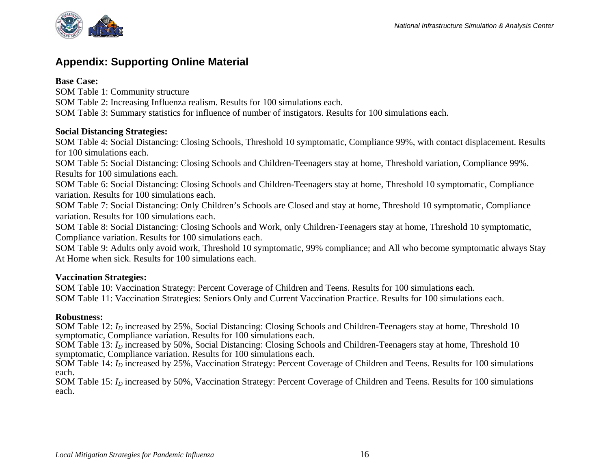

## **Appendix: Supporting Online Material**

#### **Base Case:**

SOM Table 1: Community structure

SOM Table 2: Increasing Influenza realism. Results for 100 simulations each.

SOM Table 3: Summary statistics for influence of number of instigators. Results for 100 simulations each.

#### **Social Distancing Strategies:**

SOM Table 4: Social Distancing: Closing Schools, Threshold 10 symptomatic, Compliance 99%, with contact displacement. Results for 100 simulations each.

SOM Table 5: Social Distancing: Closing Schools and Children-Teenagers stay at home, Threshold variation, Compliance 99%. Results for 100 simulations each.

SOM Table 6: Social Distancing: Closing Schools and Children-Teenagers stay at home, Threshold 10 symptomatic, Compliance variation. Results for 100 simulations each.

SOM Table 7: Social Distancing: Only Children's Schools are Closed and stay at home, Threshold 10 symptomatic, Compliance variation. Results for 100 simulations each.

SOM Table 8: Social Distancing: Closing Schools and Work, only Children-Teenagers stay at home, Threshold 10 symptomatic, Compliance variation. Results for 100 simulations each.

SOM Table 9: Adults only avoid work, Threshold 10 symptomatic, 99% compliance; and All who become symptomatic always Stay At Home when sick. Results for 100 simulations each.

#### **Vaccination Strategies:**

SOM Table 10: Vaccination Strategy: Percent Coverage of Children and Teens. Results for 100 simulations each. SOM Table 11: Vaccination Strategies: Seniors Only and Current Vaccination Practice. Results for 100 simulations each.

#### **Robustness:**

SOM Table 12: *I<sub>D</sub>* increased by 25%, Social Distancing: Closing Schools and Children-Teenagers stay at home, Threshold 10 symptomatic, Compliance variation. Results for 100 simulations each.

SOM Table 13: *I<sub>D</sub>* increased by 50%, Social Distancing: Closing Schools and Children-Teenagers stay at home, Threshold 10 symptomatic, Compliance variation. Results for 100 simulations each.

SOM Table 14: *I<sub>D</sub>* increased by 25%, Vaccination Strategy: Percent Coverage of Children and Teens. Results for 100 simulations each.

<span id="page-18-1"></span><span id="page-18-0"></span>SOM Table 15: *I<sub>D</sub>* increased by 50%, Vaccination Strategy: Percent Coverage of Children and Teens. Results for 100 simulations each.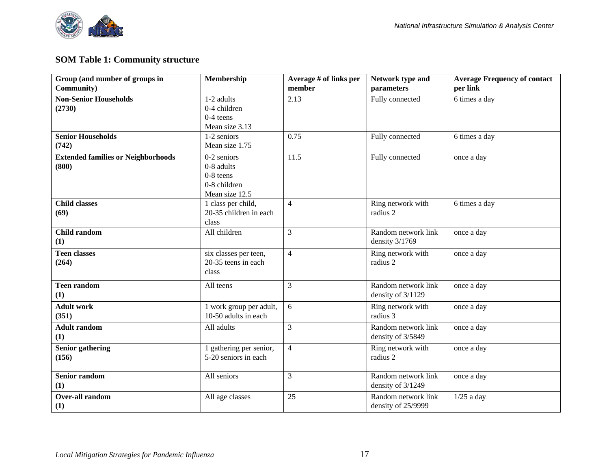

#### **SOM Table 1: Community structure**

| Group (and number of groups in            | Membership              | Average # of links per | Network type and    | <b>Average Frequency of contact</b> |
|-------------------------------------------|-------------------------|------------------------|---------------------|-------------------------------------|
| Community)                                |                         | member                 | parameters          | per link                            |
| <b>Non-Senior Households</b>              | 1-2 adults              | 2.13                   | Fully connected     | 6 times a day                       |
| (2730)                                    | 0-4 children            |                        |                     |                                     |
|                                           | $0-4$ teens             |                        |                     |                                     |
|                                           | Mean size 3.13          |                        |                     |                                     |
| <b>Senior Households</b>                  | 1-2 seniors             | 0.75                   | Fully connected     | 6 times a day                       |
| (742)                                     | Mean size 1.75          |                        |                     |                                     |
| <b>Extended families or Neighborhoods</b> | 0-2 seniors             | 11.5                   | Fully connected     | once a day                          |
| (800)                                     | 0-8 adults              |                        |                     |                                     |
|                                           | $0-8$ teens             |                        |                     |                                     |
|                                           | 0-8 children            |                        |                     |                                     |
|                                           | Mean size 12.5          |                        |                     |                                     |
| <b>Child classes</b>                      | 1 class per child,      | $\overline{4}$         | Ring network with   | 6 times a day                       |
| (69)                                      | 20-35 children in each  |                        | radius 2            |                                     |
|                                           | class                   |                        |                     |                                     |
| Child random                              | All children            | 3                      | Random network link | once a day                          |
| (1)                                       |                         |                        | density 3/1769      |                                     |
| <b>Teen classes</b>                       | six classes per teen,   | $\overline{4}$         | Ring network with   | once a day                          |
| (264)                                     | 20-35 teens in each     |                        | radius 2            |                                     |
|                                           | class                   |                        |                     |                                     |
| <b>Teen random</b>                        | All teens               | $\overline{3}$         | Random network link | once a day                          |
| (1)                                       |                         |                        | density of 3/1129   |                                     |
| <b>Adult work</b>                         | 1 work group per adult, | 6                      | Ring network with   | once a day                          |
| (351)                                     | 10-50 adults in each    |                        | radius 3            |                                     |
| <b>Adult random</b>                       | All adults              | 3                      | Random network link | once a day                          |
| (1)                                       |                         |                        | density of 3/5849   |                                     |
| <b>Senior gathering</b>                   | 1 gathering per senior, | $\overline{4}$         | Ring network with   | once a day                          |
| (156)                                     | 5-20 seniors in each    |                        | radius 2            |                                     |
|                                           |                         |                        |                     |                                     |
| <b>Senior random</b>                      | All seniors             | 3                      | Random network link | once a day                          |
| (1)                                       |                         |                        | density of 3/1249   |                                     |
| <b>Over-all random</b>                    | All age classes         | 25                     | Random network link | $1/25$ a day                        |
| (1)                                       |                         |                        | density of 25/9999  |                                     |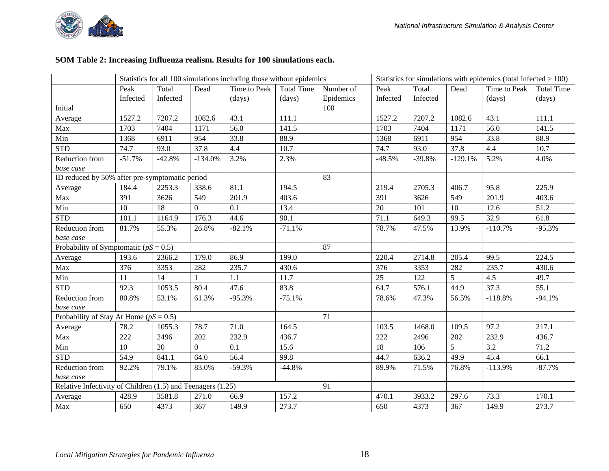

#### **SOM Table 2: Increasing Influenza realism. Results for 100 simulations each.**

|                                                             |          |          |                | Statistics for all 100 simulations including those without epidemics |                   |           | Statistics for simulations with epidemics (total infected $> 100$ ) |          |           |              |                   |
|-------------------------------------------------------------|----------|----------|----------------|----------------------------------------------------------------------|-------------------|-----------|---------------------------------------------------------------------|----------|-----------|--------------|-------------------|
|                                                             | Peak     | Total    | Dead           | Time to Peak                                                         | <b>Total Time</b> | Number of | Peak                                                                | Total    | Dead      | Time to Peak | <b>Total Time</b> |
|                                                             | Infected | Infected |                | (days)                                                               | (days)            | Epidemics | Infected                                                            | Infected |           | (days)       | (days)            |
| Initial                                                     |          |          |                |                                                                      |                   | 100       |                                                                     |          |           |              |                   |
| Average                                                     | 1527.2   | 7207.2   | 1082.6         | 43.1                                                                 | 111.1             |           | 1527.2                                                              | 7207.2   | 1082.6    | 43.1         | 111.1             |
| Max                                                         | 1703     | 7404     | 1171           | 56.0                                                                 | 141.5             |           | 1703                                                                | 7404     | 1171      | 56.0         | 141.5             |
| Min                                                         | 1368     | 6911     | 954            | 33.8                                                                 | 88.9              |           | 1368                                                                | 6911     | 954       | 33.8         | 88.9              |
| <b>STD</b>                                                  | 74.7     | 93.0     | 37.8           | 4.4                                                                  | 10.7              |           | 74.7                                                                | 93.0     | 37.8      | 4.4          | 10.7              |
| Reduction from<br>base case                                 | $-51.7%$ | $-42.8%$ | $-134.0%$      | 3.2%                                                                 | 2.3%              |           | $-48.5%$                                                            | $-39.8%$ | $-129.1%$ | 5.2%         | 4.0%              |
| ID reduced by 50% after pre-symptomatic period              |          |          |                |                                                                      |                   | 83        |                                                                     |          |           |              |                   |
| Average                                                     | 184.4    | 2253.3   | 338.6          | 81.1                                                                 | 194.5             |           | 219.4                                                               | 2705.3   | 406.7     | 95.8         | 225.9             |
| Max                                                         | 391      | 3626     | 549            | 201.9                                                                | 403.6             |           | 391                                                                 | 3626     | 549       | 201.9        | 403.6             |
| Min                                                         | 10       | 18       | $\Omega$       | 0.1                                                                  | 13.4              |           | 20                                                                  | 101      | 10        | 12.6         | 51.2              |
| <b>STD</b>                                                  | 101.1    | 1164.9   | 176.3          | 44.6                                                                 | 90.1              |           | 71.1                                                                | 649.3    | 99.5      | 32.9         | 61.8              |
| Reduction from                                              | 81.7%    | 55.3%    | 26.8%          | $-82.1%$                                                             | $-71.1%$          |           | 78.7%                                                               | 47.5%    | 13.9%     | $-110.7%$    | $-95.3%$          |
| base case                                                   |          |          |                |                                                                      |                   |           |                                                                     |          |           |              |                   |
| Probability of Symptomatic ( $pS = 0.5$ )                   |          |          |                |                                                                      |                   | 87        |                                                                     |          |           |              |                   |
| Average                                                     | 193.6    | 2366.2   | 179.0          | 86.9                                                                 | 199.0             |           | 220.4                                                               | 2714.8   | 205.4     | 99.5         | 224.5             |
| Max                                                         | 376      | 3353     | 282            | 235.7                                                                | 430.6             |           | 376                                                                 | 3353     | 282       | 235.7        | 430.6             |
| Min                                                         | 11       | 14       |                | 1.1                                                                  | 11.7              |           | 25                                                                  | 122      | 5         | 4.5          | 49.7              |
| <b>STD</b>                                                  | 92.3     | 1053.5   | 80.4           | 47.6                                                                 | 83.8              |           | 64.7                                                                | 576.1    | 44.9      | 37.3         | 55.1              |
| Reduction from                                              | 80.8%    | 53.1%    | 61.3%          | $-95.3%$                                                             | $-75.1%$          |           | 78.6%                                                               | 47.3%    | 56.5%     | $-118.8%$    | $-94.1%$          |
| base case                                                   |          |          |                |                                                                      |                   |           |                                                                     |          |           |              |                   |
| Probability of Stay At Home ( $pS = 0.5$ )                  |          |          |                |                                                                      |                   | 71        |                                                                     |          |           |              |                   |
| Average                                                     | 78.2     | 1055.3   | 78.7           | 71.0                                                                 | 164.5             |           | 103.5                                                               | 1468.0   | 109.5     | 97.2         | 217.1             |
| Max                                                         | 222      | 2496     | 202            | 232.9                                                                | 436.7             |           | 222                                                                 | 2496     | 202       | 232.9        | 436.7             |
| Min                                                         | 10       | 20       | $\overline{0}$ | 0.1                                                                  | 15.6              |           | 18                                                                  | 106      | 5         | 3.2          | 71.2              |
| <b>STD</b>                                                  | 54.9     | 841.1    | 64.0           | 56.4                                                                 | 99.8              |           | 44.7                                                                | 636.2    | 49.9      | 45.4         | 66.1              |
| Reduction from                                              | 92.2%    | 79.1%    | 83.0%          | $-59.3%$                                                             | $-44.8%$          |           | 89.9%                                                               | 71.5%    | 76.8%     | $-113.9%$    | $-87.7%$          |
| base case                                                   |          |          |                |                                                                      |                   |           |                                                                     |          |           |              |                   |
| Relative Infectivity of Children (1.5) and Teenagers (1.25) |          |          |                |                                                                      |                   | 91        |                                                                     |          |           |              |                   |
| Average                                                     | 428.9    | 3581.8   | 271.0          | 66.9                                                                 | 157.2             |           | 470.1                                                               | 3933.2   | 297.6     | 73.3         | 170.1             |
| Max                                                         | 650      | 4373     | 367            | 149.9                                                                | 273.7             |           | 650                                                                 | 4373     | 367       | 149.9        | 273.7             |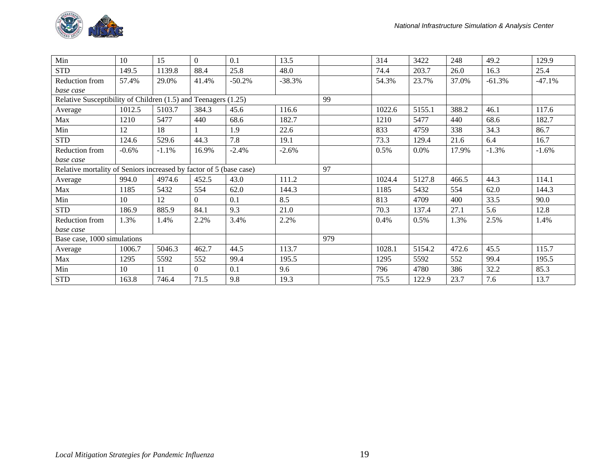| Min                                                                | 10      | 15      | $\theta$ | 0.1      | 13.5     |     | 314    | 3422   | 248   | 49.2     | 129.9    |
|--------------------------------------------------------------------|---------|---------|----------|----------|----------|-----|--------|--------|-------|----------|----------|
| <b>STD</b>                                                         | 149.5   | 1139.8  | 88.4     | 25.8     | 48.0     |     | 74.4   | 203.7  | 26.0  | 16.3     | 25.4     |
| Reduction from                                                     | 57.4%   | 29.0%   | 41.4%    | $-50.2%$ | $-38.3%$ |     | 54.3%  | 23.7%  | 37.0% | $-61.3%$ | $-47.1%$ |
| base case                                                          |         |         |          |          |          |     |        |        |       |          |          |
| Relative Susceptibility of Children (1.5) and Teenagers (1.25)     |         |         |          |          |          | 99  |        |        |       |          |          |
| Average                                                            | 1012.5  | 5103.7  | 384.3    | 45.6     | 116.6    |     | 1022.6 | 5155.1 | 388.2 | 46.1     | 117.6    |
| Max                                                                | 1210    | 5477    | 440      | 68.6     | 182.7    |     | 1210   | 5477   | 440   | 68.6     | 182.7    |
| Min                                                                | 12      | 18      |          | 1.9      | 22.6     |     | 833    | 4759   | 338   | 34.3     | 86.7     |
| <b>STD</b>                                                         | 124.6   | 529.6   | 44.3     | 7.8      | 19.1     |     | 73.3   | 129.4  | 21.6  | 6.4      | 16.7     |
| Reduction from                                                     | $-0.6%$ | $-1.1%$ | 16.9%    | $-2.4%$  | $-2.6%$  |     | 0.5%   | 0.0%   | 17.9% | $-1.3%$  | $-1.6%$  |
| base case                                                          |         |         |          |          |          |     |        |        |       |          |          |
| Relative mortality of Seniors increased by factor of 5 (base case) |         |         |          |          |          | 97  |        |        |       |          |          |
| Average                                                            | 994.0   | 4974.6  | 452.5    | 43.0     | 111.2    |     | 1024.4 | 5127.8 | 466.5 | 44.3     | 114.1    |
| Max                                                                | 1185    | 5432    | 554      | 62.0     | 144.3    |     | 1185   | 5432   | 554   | 62.0     | 144.3    |
| Min                                                                | 10      | 12      | $\Omega$ | 0.1      | 8.5      |     | 813    | 4709   | 400   | 33.5     | 90.0     |
| <b>STD</b>                                                         | 186.9   | 885.9   | 84.1     | 9.3      | 21.0     |     | 70.3   | 137.4  | 27.1  | 5.6      | 12.8     |
| Reduction from                                                     | 1.3%    | 1.4%    | 2.2%     | 3.4%     | 2.2%     |     | 0.4%   | 0.5%   | 1.3%  | 2.5%     | 1.4%     |
| base case                                                          |         |         |          |          |          |     |        |        |       |          |          |
| Base case, 1000 simulations                                        |         |         |          |          |          | 979 |        |        |       |          |          |
| Average                                                            | 1006.7  | 5046.3  | 462.7    | 44.5     | 113.7    |     | 1028.1 | 5154.2 | 472.6 | 45.5     | 115.7    |
| Max                                                                | 1295    | 5592    | 552      | 99.4     | 195.5    |     | 1295   | 5592   | 552   | 99.4     | 195.5    |
| Min                                                                | 10      | 11      | $\Omega$ | 0.1      | 9.6      |     | 796    | 4780   | 386   | 32.2     | 85.3     |
| <b>STD</b>                                                         | 163.8   | 746.4   | 71.5     | 9.8      | 19.3     |     | 75.5   | 122.9  | 23.7  | 7.6      | 13.7     |

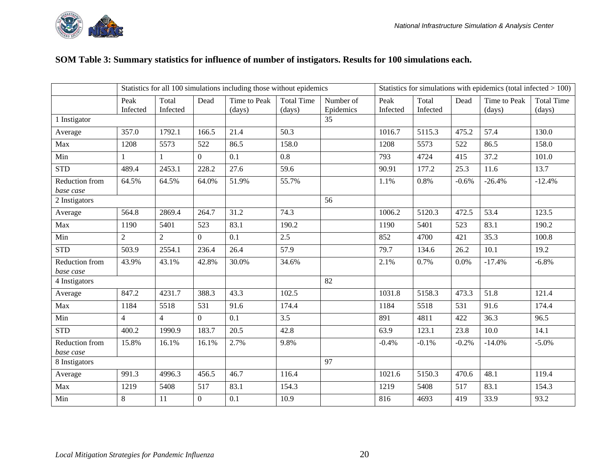#### **SOM Table 3: Summary statistics for influence of number of instigators. Results for 100 simulations each.**

|                             |                |                |                | Statistics for all 100 simulations including those without epidemics |                   |           | Statistics for simulations with epidemics (total infected $> 100$ ) |          |         |              |                   |
|-----------------------------|----------------|----------------|----------------|----------------------------------------------------------------------|-------------------|-----------|---------------------------------------------------------------------|----------|---------|--------------|-------------------|
|                             | Peak           | Total          | Dead           | Time to Peak                                                         | <b>Total Time</b> | Number of | Peak                                                                | Total    | Dead    | Time to Peak | <b>Total Time</b> |
|                             | Infected       | Infected       |                | (days)                                                               | (days)            | Epidemics | Infected                                                            | Infected |         | (days)       | (days)            |
| 1 Instigator                |                |                |                |                                                                      |                   | 35        |                                                                     |          |         |              |                   |
| Average                     | 357.0          | 1792.1         | 166.5          | 21.4                                                                 | 50.3              |           | 1016.7                                                              | 5115.3   | 475.2   | 57.4         | 130.0             |
| Max                         | 1208           | 5573           | 522            | 86.5                                                                 | 158.0             |           | 1208                                                                | 5573     | 522     | 86.5         | 158.0             |
| Min                         | 1              | 1              | $\overline{0}$ | 0.1                                                                  | 0.8               |           | 793                                                                 | 4724     | 415     | 37.2         | 101.0             |
| <b>STD</b>                  | 489.4          | 2453.1         | 228.2          | 27.6                                                                 | 59.6              |           | 90.91                                                               | 177.2    | 25.3    | 11.6         | 13.7              |
| Reduction from              | 64.5%          | 64.5%          | 64.0%          | 51.9%                                                                | 55.7%             |           | 1.1%                                                                | 0.8%     | $-0.6%$ | $-26.4%$     | $-12.4%$          |
| base case                   |                |                |                |                                                                      |                   |           |                                                                     |          |         |              |                   |
| 2 Instigators               |                |                |                |                                                                      |                   | 56        |                                                                     |          |         |              |                   |
| Average                     | 564.8          | 2869.4         | 264.7          | 31.2                                                                 | 74.3              |           | 1006.2                                                              | 5120.3   | 472.5   | 53.4         | 123.5             |
| Max                         | 1190           | 5401           | 523            | 83.1                                                                 | 190.2             |           | 1190                                                                | 5401     | 523     | 83.1         | 190.2             |
| Min                         | $\overline{2}$ | 2              | $\overline{0}$ | 0.1                                                                  | 2.5               |           | 852                                                                 | 4700     | 421     | 35.3         | 100.8             |
| <b>STD</b>                  | 503.9          | 2554.1         | 236.4          | 26.4                                                                 | 57.9              |           | 79.7                                                                | 134.6    | 26.2    | 10.1         | 19.2              |
| Reduction from<br>base case | 43.9%          | 43.1%          | 42.8%          | 30.0%                                                                | 34.6%             |           | 2.1%                                                                | 0.7%     | 0.0%    | $-17.4%$     | $-6.8%$           |
| 4 Instigators               |                |                |                |                                                                      |                   | 82        |                                                                     |          |         |              |                   |
| Average                     | 847.2          | 4231.7         | 388.3          | 43.3                                                                 | 102.5             |           | 1031.8                                                              | 5158.3   | 473.3   | 51.8         | 121.4             |
| Max                         | 1184           | 5518           | 531            | 91.6                                                                 | 174.4             |           | 1184                                                                | 5518     | 531     | 91.6         | 174.4             |
| Min                         | $\overline{4}$ | $\overline{4}$ | $\overline{0}$ | 0.1                                                                  | 3.5               |           | 891                                                                 | 4811     | 422     | 36.3         | 96.5              |
| <b>STD</b>                  | 400.2          | 1990.9         | 183.7          | 20.5                                                                 | 42.8              |           | 63.9                                                                | 123.1    | 23.8    | 10.0         | 14.1              |
| Reduction from              | 15.8%          | 16.1%          | 16.1%          | 2.7%                                                                 | 9.8%              |           | $-0.4%$                                                             | $-0.1%$  | $-0.2%$ | $-14.0%$     | $-5.0\%$          |
| base case                   |                |                |                |                                                                      |                   |           |                                                                     |          |         |              |                   |
| 8 Instigators               |                |                |                |                                                                      |                   | 97        |                                                                     |          |         |              |                   |
| Average                     | 991.3          | 4996.3         | 456.5          | 46.7                                                                 | 116.4             |           | 1021.6                                                              | 5150.3   | 470.6   | 48.1         | 119.4             |
| Max                         | 1219           | 5408           | 517            | 83.1                                                                 | 154.3             |           | 1219                                                                | 5408     | 517     | 83.1         | 154.3             |
| Min                         | $8\,$          | 11             | $\overline{0}$ | 0.1                                                                  | 10.9              |           | 816                                                                 | 4693     | 419     | 33.9         | 93.2              |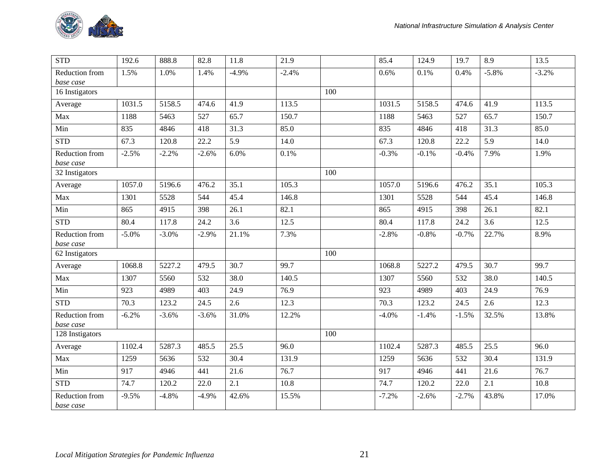

| <b>STD</b>                  | 192.6    | 888.8   | 82.8    | 11.8    | 21.9    |     | 85.4    | 124.9   | 19.7    | 8.9      | 13.5    |
|-----------------------------|----------|---------|---------|---------|---------|-----|---------|---------|---------|----------|---------|
| Reduction from<br>base case | 1.5%     | 1.0%    | 1.4%    | $-4.9%$ | $-2.4%$ |     | 0.6%    | 0.1%    | 0.4%    | $-5.8\%$ | $-3.2%$ |
| 16 Instigators              |          |         |         |         |         | 100 |         |         |         |          |         |
| Average                     | 1031.5   | 5158.5  | 474.6   | 41.9    | 113.5   |     | 1031.5  | 5158.5  | 474.6   | 41.9     | 113.5   |
| Max                         | 1188     | 5463    | 527     | 65.7    | 150.7   |     | 1188    | 5463    | 527     | 65.7     | 150.7   |
| Min                         | 835      | 4846    | 418     | 31.3    | 85.0    |     | 835     | 4846    | 418     | 31.3     | 85.0    |
| <b>STD</b>                  | 67.3     | 120.8   | 22.2    | 5.9     | 14.0    |     | 67.3    | 120.8   | 22.2    | 5.9      | 14.0    |
| Reduction from<br>base case | $-2.5%$  | $-2.2%$ | $-2.6%$ | 6.0%    | 0.1%    |     | $-0.3%$ | $-0.1%$ | $-0.4%$ | 7.9%     | 1.9%    |
| 32 Instigators              |          |         |         |         |         | 100 |         |         |         |          |         |
| Average                     | 1057.0   | 5196.6  | 476.2   | 35.1    | 105.3   |     | 1057.0  | 5196.6  | 476.2   | 35.1     | 105.3   |
| Max                         | 1301     | 5528    | 544     | 45.4    | 146.8   |     | 1301    | 5528    | 544     | 45.4     | 146.8   |
| Min                         | 865      | 4915    | 398     | 26.1    | 82.1    |     | 865     | 4915    | 398     | 26.1     | 82.1    |
| <b>STD</b>                  | 80.4     | 117.8   | 24.2    | 3.6     | 12.5    |     | 80.4    | 117.8   | 24.2    | 3.6      | 12.5    |
| Reduction from<br>base case | $-5.0\%$ | $-3.0%$ | $-2.9%$ | 21.1%   | 7.3%    |     | $-2.8%$ | $-0.8%$ | $-0.7%$ | 22.7%    | 8.9%    |
| $\overline{62}$ Instigators |          |         |         |         |         | 100 |         |         |         |          |         |
| Average                     | 1068.8   | 5227.2  | 479.5   | 30.7    | 99.7    |     | 1068.8  | 5227.2  | 479.5   | 30.7     | 99.7    |
| Max                         | 1307     | 5560    | 532     | 38.0    | 140.5   |     | 1307    | 5560    | 532     | 38.0     | 140.5   |
| Min                         | 923      | 4989    | 403     | 24.9    | 76.9    |     | 923     | 4989    | 403     | 24.9     | 76.9    |
| <b>STD</b>                  | 70.3     | 123.2   | 24.5    | 2.6     | 12.3    |     | 70.3    | 123.2   | 24.5    | 2.6      | 12.3    |
| Reduction from<br>base case | $-6.2%$  | $-3.6%$ | $-3.6%$ | 31.0%   | 12.2%   |     | $-4.0%$ | $-1.4%$ | $-1.5%$ | 32.5%    | 13.8%   |
| 128 Instigators             |          |         |         |         |         | 100 |         |         |         |          |         |
| Average                     | 1102.4   | 5287.3  | 485.5   | 25.5    | 96.0    |     | 1102.4  | 5287.3  | 485.5   | 25.5     | 96.0    |
| Max                         | 1259     | 5636    | 532     | 30.4    | 131.9   |     | 1259    | 5636    | 532     | 30.4     | 131.9   |
| Min                         | 917      | 4946    | 441     | 21.6    | 76.7    |     | 917     | 4946    | 441     | 21.6     | 76.7    |
| <b>STD</b>                  | 74.7     | 120.2   | 22.0    | 2.1     | 10.8    |     | 74.7    | 120.2   | 22.0    | 2.1      | 10.8    |
| Reduction from<br>base case | $-9.5%$  | $-4.8%$ | $-4.9%$ | 42.6%   | 15.5%   |     | $-7.2%$ | $-2.6%$ | $-2.7%$ | 43.8%    | 17.0%   |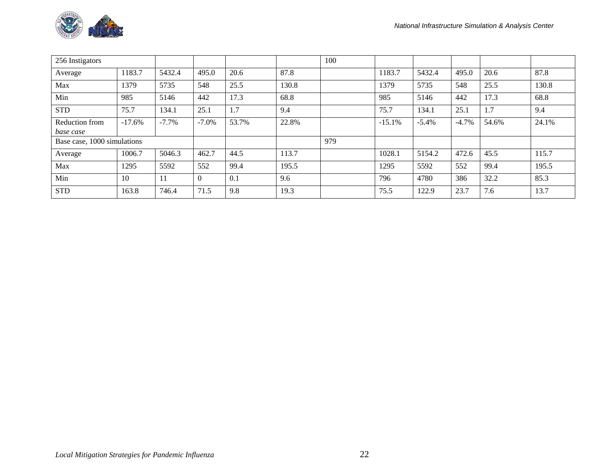

| 256 Instigators             |          |          |                |       |       | 100 |          |         |         |       |       |
|-----------------------------|----------|----------|----------------|-------|-------|-----|----------|---------|---------|-------|-------|
| Average                     | 1183.7   | 5432.4   | 495.0          | 20.6  | 87.8  |     | 1183.7   | 5432.4  | 495.0   | 20.6  | 87.8  |
| Max                         | 1379     | 5735     | 548            | 25.5  | 130.8 |     | 1379     | 5735    | 548     | 25.5  | 130.8 |
| Min                         | 985      | 5146     | 442            | 17.3  | 68.8  |     | 985      | 5146    | 442     | 17.3  | 68.8  |
| <b>STD</b>                  | 75.7     | 134.1    | 25.1           | 1.7   | 9.4   |     | 75.7     | 134.1   | 25.1    | 1.7   | 9.4   |
| Reduction from              | $-17.6%$ | $-7.7\%$ | $-7.0\%$       | 53.7% | 22.8% |     | $-15.1%$ | $-5.4%$ | $-4.7%$ | 54.6% | 24.1% |
| base case                   |          |          |                |       |       |     |          |         |         |       |       |
| Base case, 1000 simulations |          |          |                |       |       | 979 |          |         |         |       |       |
| Average                     | 1006.7   | 5046.3   | 462.7          | 44.5  | 113.7 |     | 1028.1   | 5154.2  | 472.6   | 45.5  | 115.7 |
| Max                         | 1295     | 5592     | 552            | 99.4  | 195.5 |     | 1295     | 5592    | 552     | 99.4  | 195.5 |
| Min                         | 10       | 11       | $\overline{0}$ | 0.1   | 9.6   |     | 796      | 4780    | 386     | 32.2  | 85.3  |
| <b>STD</b>                  | 163.8    | 746.4    | 71.5           | 9.8   | 19.3  |     | 75.5     | 122.9   | 23.7    | 7.6   | 13.7  |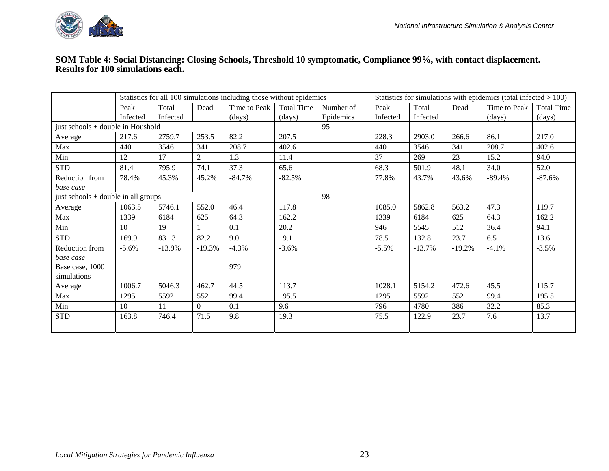

#### **SOM Table 4: Social Distancing: Closing Schools, Threshold 10 symptomatic, Compliance 99%, with contact displacement. Results for 100 simulations each.**

|                                       |          |           |          | Statistics for all 100 simulations including those without epidemics |                   |           | Statistics for simulations with epidemics (total infected $> 100$ ) |          |          |              |                   |
|---------------------------------------|----------|-----------|----------|----------------------------------------------------------------------|-------------------|-----------|---------------------------------------------------------------------|----------|----------|--------------|-------------------|
|                                       | Peak     | Total     | Dead     | Time to Peak                                                         | <b>Total Time</b> | Number of | Peak                                                                | Total    | Dead     | Time to Peak | <b>Total Time</b> |
|                                       | Infected | Infected  |          | (days)                                                               | (days)            | Epidemics | Infected                                                            | Infected |          | (days)       | (days)            |
| just schools + double in Houshold     |          |           |          |                                                                      |                   | 95        |                                                                     |          |          |              |                   |
| Average                               | 217.6    | 2759.7    | 253.5    | 82.2                                                                 | 207.5             |           | 228.3                                                               | 2903.0   | 266.6    | 86.1         | 217.0             |
| Max                                   | 440      | 3546      | 341      | 208.7                                                                | 402.6             |           | 440                                                                 | 3546     | 341      | 208.7        | 402.6             |
| Min                                   | 12       | 17        | 2        | 1.3                                                                  | 11.4              |           | 37                                                                  | 269      | 23       | 15.2         | 94.0              |
| <b>STD</b>                            | 81.4     | 795.9     | 74.1     | 37.3                                                                 | 65.6              |           | 68.3                                                                | 501.9    | 48.1     | 34.0         | 52.0              |
| Reduction from                        | 78.4%    | 45.3%     | 45.2%    | $-84.7%$                                                             | $-82.5%$          |           | 77.8%                                                               | 43.7%    | 43.6%    | $-89.4%$     | $-87.6%$          |
| base case                             |          |           |          |                                                                      |                   |           |                                                                     |          |          |              |                   |
| just schools $+$ double in all groups |          |           |          |                                                                      |                   | 98        |                                                                     |          |          |              |                   |
| Average                               | 1063.5   | 5746.1    | 552.0    | 46.4                                                                 | 117.8             |           | 1085.0                                                              | 5862.8   | 563.2    | 47.3         | 119.7             |
| Max                                   | 1339     | 6184      | 625      | 64.3                                                                 | 162.2             |           | 1339                                                                | 6184     | 625      | 64.3         | 162.2             |
| Min                                   | 10       | 19        |          | 0.1                                                                  | 20.2              |           | 946                                                                 | 5545     | 512      | 36.4         | 94.1              |
| <b>STD</b>                            | 169.9    | 831.3     | 82.2     | 9.0                                                                  | 19.1              |           | 78.5                                                                | 132.8    | 23.7     | 6.5          | 13.6              |
| Reduction from                        | $-5.6\%$ | $-13.9\%$ | $-19.3%$ | $-4.3%$                                                              | $-3.6%$           |           | $-5.5\%$                                                            | $-13.7%$ | $-19.2%$ | $-4.1%$      | $-3.5%$           |
| base case                             |          |           |          |                                                                      |                   |           |                                                                     |          |          |              |                   |
| Base case, 1000                       |          |           |          | 979                                                                  |                   |           |                                                                     |          |          |              |                   |
| simulations                           |          |           |          |                                                                      |                   |           |                                                                     |          |          |              |                   |
| Average                               | 1006.7   | 5046.3    | 462.7    | 44.5                                                                 | 113.7             |           | 1028.1                                                              | 5154.2   | 472.6    | 45.5         | 115.7             |
| Max                                   | 1295     | 5592      | 552      | 99.4                                                                 | 195.5             |           | 1295                                                                | 5592     | 552      | 99.4         | 195.5             |
| Min                                   | 10       | 11        | 0        | 0.1                                                                  | 9.6               |           | 796                                                                 | 4780     | 386      | 32.2         | 85.3              |
| <b>STD</b>                            | 163.8    | 746.4     | 71.5     | 9.8                                                                  | 19.3              |           | 75.5                                                                | 122.9    | 23.7     | 7.6          | 13.7              |
|                                       |          |           |          |                                                                      |                   |           |                                                                     |          |          |              |                   |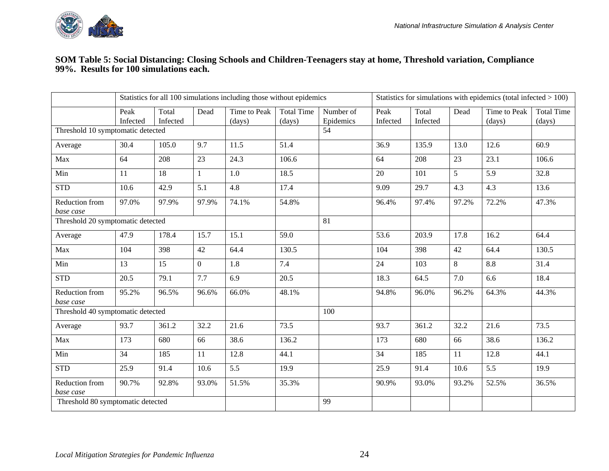

#### **SOM Table 5: Social Distancing: Closing Schools and Children-Teenagers stay at home, Threshold variation, Compliance 99%. Results for 100 simulations each.**

|                                   |                  |                   |                | Statistics for all 100 simulations including those without epidemics |                             |                        | Statistics for simulations with epidemics (total infected $> 100$ ) |                   |       |                        |                             |  |
|-----------------------------------|------------------|-------------------|----------------|----------------------------------------------------------------------|-----------------------------|------------------------|---------------------------------------------------------------------|-------------------|-------|------------------------|-----------------------------|--|
|                                   | Peak<br>Infected | Total<br>Infected | Dead           | Time to Peak<br>(days)                                               | <b>Total Time</b><br>(days) | Number of<br>Epidemics | Peak<br>Infected                                                    | Total<br>Infected | Dead  | Time to Peak<br>(days) | <b>Total Time</b><br>(days) |  |
| Threshold 10 symptomatic detected |                  |                   |                |                                                                      |                             | 54                     |                                                                     |                   |       |                        |                             |  |
| Average                           | 30.4             | 105.0             | 9.7            | 11.5                                                                 | 51.4                        |                        | 36.9                                                                | 135.9             | 13.0  | 12.6                   | 60.9                        |  |
| Max                               | 64               | 208               | 23             | 24.3                                                                 | 106.6                       |                        | 64                                                                  | 208               | 23    | 23.1                   | 106.6                       |  |
| Min                               | 11               | 18                | $\mathbf{1}$   | 1.0                                                                  | 18.5                        |                        | 20                                                                  | 101               | 5     | 5.9                    | 32.8                        |  |
| <b>STD</b>                        | 10.6             | 42.9              | 5.1            | 4.8                                                                  | 17.4                        |                        | 9.09                                                                | 29.7              | 4.3   | 4.3                    | 13.6                        |  |
| Reduction from<br>base case       | 97.0%            | 97.9%             | 97.9%          | 74.1%                                                                | 54.8%                       |                        | 96.4%                                                               | 97.4%             | 97.2% | 72.2%                  | 47.3%                       |  |
| Threshold 20 symptomatic detected |                  |                   |                |                                                                      |                             | 81                     |                                                                     |                   |       |                        |                             |  |
| Average                           | 47.9             | 178.4             | 15.7           | 15.1                                                                 | 59.0                        |                        | 53.6                                                                | 203.9             | 17.8  | 16.2                   | 64.4                        |  |
| Max                               | 104              | 398               | 42             | 64.4                                                                 | 130.5                       |                        | 104                                                                 | 398               | 42    | 64.4                   | 130.5                       |  |
| Min                               | 13               | 15                | $\overline{0}$ | 1.8                                                                  | 7.4                         |                        | 24                                                                  | 103               | 8     | 8.8                    | 31.4                        |  |
| <b>STD</b>                        | 20.5             | 79.1              | 7.7            | 6.9                                                                  | 20.5                        |                        | 18.3                                                                | 64.5              | 7.0   | 6.6                    | 18.4                        |  |
| Reduction from<br>base case       | 95.2%            | 96.5%             | 96.6%          | 66.0%                                                                | 48.1%                       |                        | 94.8%                                                               | 96.0%             | 96.2% | 64.3%                  | 44.3%                       |  |
| Threshold 40 symptomatic detected |                  |                   |                |                                                                      |                             | 100                    |                                                                     |                   |       |                        |                             |  |
| Average                           | 93.7             | 361.2             | 32.2           | 21.6                                                                 | 73.5                        |                        | 93.7                                                                | 361.2             | 32.2  | 21.6                   | 73.5                        |  |
| Max                               | 173              | 680               | 66             | 38.6                                                                 | 136.2                       |                        | 173                                                                 | 680               | 66    | 38.6                   | 136.2                       |  |
| Min                               | 34               | 185               | 11             | 12.8                                                                 | 44.1                        |                        | 34                                                                  | 185               | 11    | 12.8                   | 44.1                        |  |
| <b>STD</b>                        | 25.9             | 91.4              | 10.6           | 5.5                                                                  | 19.9                        |                        | 25.9                                                                | 91.4              | 10.6  | 5.5                    | 19.9                        |  |
| Reduction from<br>base case       | 90.7%            | 92.8%             | 93.0%          | 51.5%                                                                | 35.3%                       |                        | 90.9%                                                               | 93.0%             | 93.2% | 52.5%                  | 36.5%                       |  |
| Threshold 80 symptomatic detected |                  |                   |                |                                                                      |                             | 99                     |                                                                     |                   |       |                        |                             |  |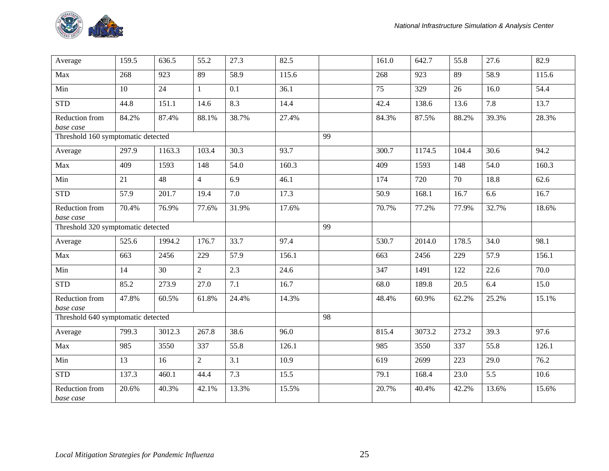

| Average                            | 159.5 | 636.5  | 55.2           | 27.3  | 82.5  |    | 161.0 | 642.7  | 55.8  | 27.6  | 82.9  |
|------------------------------------|-------|--------|----------------|-------|-------|----|-------|--------|-------|-------|-------|
| Max                                | 268   | 923    | 89             | 58.9  | 115.6 |    | 268   | 923    | 89    | 58.9  | 115.6 |
| Min                                | 10    | 24     | $\mathbf{1}$   | 0.1   | 36.1  |    | 75    | 329    | 26    | 16.0  | 54.4  |
| <b>STD</b>                         | 44.8  | 151.1  | 14.6           | 8.3   | 14.4  |    | 42.4  | 138.6  | 13.6  | 7.8   | 13.7  |
| Reduction from<br>base case        | 84.2% | 87.4%  | 88.1%          | 38.7% | 27.4% |    | 84.3% | 87.5%  | 88.2% | 39.3% | 28.3% |
| Threshold 160 symptomatic detected |       |        |                |       |       | 99 |       |        |       |       |       |
| Average                            | 297.9 | 1163.3 | 103.4          | 30.3  | 93.7  |    | 300.7 | 1174.5 | 104.4 | 30.6  | 94.2  |
| Max                                | 409   | 1593   | 148            | 54.0  | 160.3 |    | 409   | 1593   | 148   | 54.0  | 160.3 |
| Min                                | 21    | 48     | $\overline{4}$ | 6.9   | 46.1  |    | 174   | 720    | 70    | 18.8  | 62.6  |
| <b>STD</b>                         | 57.9  | 201.7  | 19.4           | 7.0   | 17.3  |    | 50.9  | 168.1  | 16.7  | 6.6   | 16.7  |
| Reduction from<br>base case        | 70.4% | 76.9%  | 77.6%          | 31.9% | 17.6% |    | 70.7% | 77.2%  | 77.9% | 32.7% | 18.6% |
| Threshold 320 symptomatic detected |       |        |                |       |       | 99 |       |        |       |       |       |
| Average                            | 525.6 | 1994.2 | 176.7          | 33.7  | 97.4  |    | 530.7 | 2014.0 | 178.5 | 34.0  | 98.1  |
| Max                                | 663   | 2456   | 229            | 57.9  | 156.1 |    | 663   | 2456   | 229   | 57.9  | 156.1 |
| Min                                | 14    | 30     | $\overline{2}$ | 2.3   | 24.6  |    | 347   | 1491   | 122   | 22.6  | 70.0  |
| <b>STD</b>                         | 85.2  | 273.9  | 27.0           | 7.1   | 16.7  |    | 68.0  | 189.8  | 20.5  | 6.4   | 15.0  |
| Reduction from<br>base case        | 47.8% | 60.5%  | 61.8%          | 24.4% | 14.3% |    | 48.4% | 60.9%  | 62.2% | 25.2% | 15.1% |
| Threshold 640 symptomatic detected |       |        |                |       |       | 98 |       |        |       |       |       |
| Average                            | 799.3 | 3012.3 | 267.8          | 38.6  | 96.0  |    | 815.4 | 3073.2 | 273.2 | 39.3  | 97.6  |
| Max                                | 985   | 3550   | 337            | 55.8  | 126.1 |    | 985   | 3550   | 337   | 55.8  | 126.1 |
| Min                                | 13    | 16     | $\overline{2}$ | 3.1   | 10.9  |    | 619   | 2699   | 223   | 29.0  | 76.2  |
| <b>STD</b>                         | 137.3 | 460.1  | 44.4           | 7.3   | 15.5  |    | 79.1  | 168.4  | 23.0  | 5.5   | 10.6  |
| Reduction from<br>base case        | 20.6% | 40.3%  | 42.1%          | 13.3% | 15.5% |    | 20.7% | 40.4%  | 42.2% | 13.6% | 15.6% |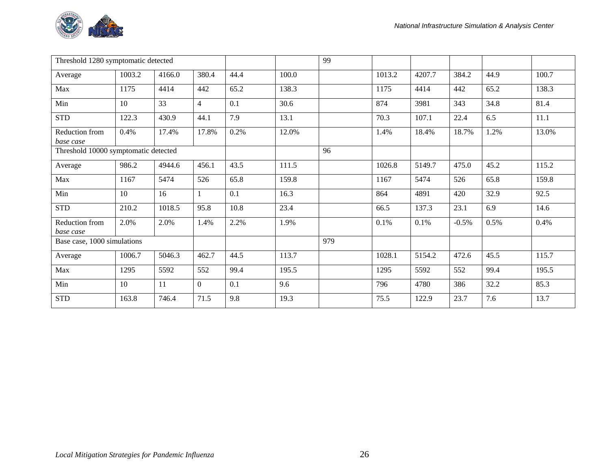

| Threshold 1280 symptomatic detected  |        |        |                |      |       | 99  |        |        |         |      |       |
|--------------------------------------|--------|--------|----------------|------|-------|-----|--------|--------|---------|------|-------|
| Average                              | 1003.2 | 4166.0 | 380.4          | 44.4 | 100.0 |     | 1013.2 | 4207.7 | 384.2   | 44.9 | 100.7 |
| Max                                  | 1175   | 4414   | 442            | 65.2 | 138.3 |     | 1175   | 4414   | 442     | 65.2 | 138.3 |
| Min                                  | 10     | 33     | $\overline{4}$ | 0.1  | 30.6  |     | 874    | 3981   | 343     | 34.8 | 81.4  |
| <b>STD</b>                           | 122.3  | 430.9  | 44.1           | 7.9  | 13.1  |     | 70.3   | 107.1  | 22.4    | 6.5  | 11.1  |
| Reduction from<br>base case          | 0.4%   | 17.4%  | 17.8%          | 0.2% | 12.0% |     | 1.4%   | 18.4%  | 18.7%   | 1.2% | 13.0% |
| Threshold 10000 symptomatic detected |        |        |                |      |       | 96  |        |        |         |      |       |
| Average                              | 986.2  | 4944.6 | 456.1          | 43.5 | 111.5 |     | 1026.8 | 5149.7 | 475.0   | 45.2 | 115.2 |
| Max                                  | 1167   | 5474   | 526            | 65.8 | 159.8 |     | 1167   | 5474   | 526     | 65.8 | 159.8 |
| Min                                  | 10     | 16     |                | 0.1  | 16.3  |     | 864    | 4891   | 420     | 32.9 | 92.5  |
| <b>STD</b>                           | 210.2  | 1018.5 | 95.8           | 10.8 | 23.4  |     | 66.5   | 137.3  | 23.1    | 6.9  | 14.6  |
| Reduction from<br>base case          | 2.0%   | 2.0%   | 1.4%           | 2.2% | 1.9%  |     | 0.1%   | 0.1%   | $-0.5%$ | 0.5% | 0.4%  |
| Base case, 1000 simulations          |        |        |                |      |       | 979 |        |        |         |      |       |
| Average                              | 1006.7 | 5046.3 | 462.7          | 44.5 | 113.7 |     | 1028.1 | 5154.2 | 472.6   | 45.5 | 115.7 |
| Max                                  | 1295   | 5592   | 552            | 99.4 | 195.5 |     | 1295   | 5592   | 552     | 99.4 | 195.5 |
| Min                                  | 10     | 11     | $\overline{0}$ | 0.1  | 9.6   |     | 796    | 4780   | 386     | 32.2 | 85.3  |
| <b>STD</b>                           | 163.8  | 746.4  | 71.5           | 9.8  | 19.3  |     | 75.5   | 122.9  | 23.7    | 7.6  | 13.7  |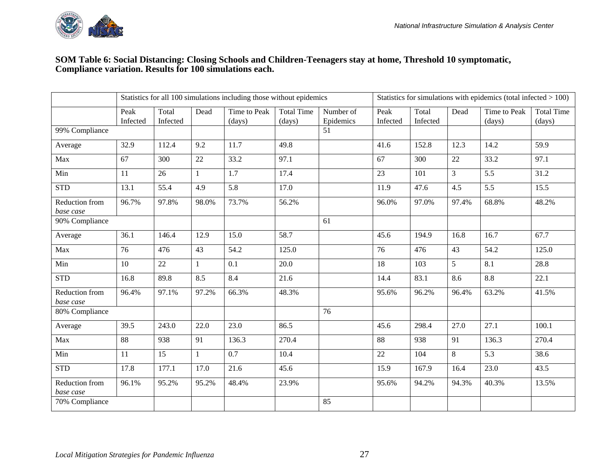

#### **SOM Table 6: Social Distancing: Closing Schools and Children-Teenagers stay at home, Threshold 10 symptomatic, Compliance variation. Results for 100 simulations each.**

|                             |                  |                   |              | Statistics for all 100 simulations including those without epidemics |                             |                        |                  |                   |        | Statistics for simulations with epidemics (total infected $> 100$ ) |                             |
|-----------------------------|------------------|-------------------|--------------|----------------------------------------------------------------------|-----------------------------|------------------------|------------------|-------------------|--------|---------------------------------------------------------------------|-----------------------------|
|                             | Peak<br>Infected | Total<br>Infected | Dead         | Time to Peak<br>(days)                                               | <b>Total Time</b><br>(days) | Number of<br>Epidemics | Peak<br>Infected | Total<br>Infected | Dead   | Time to Peak<br>(days)                                              | <b>Total Time</b><br>(days) |
| 99% Compliance              |                  |                   |              |                                                                      |                             | 51                     |                  |                   |        |                                                                     |                             |
| Average                     | 32.9             | 112.4             | 9.2          | 11.7                                                                 | 49.8                        |                        | 41.6             | 152.8             | 12.3   | 14.2                                                                | 59.9                        |
| Max                         | 67               | 300               | 22           | 33.2                                                                 | 97.1                        |                        | 67               | 300               | $22\,$ | 33.2                                                                | 97.1                        |
| Min                         | 11               | 26                |              | 1.7                                                                  | 17.4                        |                        | 23               | 101               | 3      | 5.5                                                                 | 31.2                        |
| <b>STD</b>                  | 13.1             | 55.4              | 4.9          | 5.8                                                                  | 17.0                        |                        | 11.9             | 47.6              | 4.5    | 5.5                                                                 | 15.5                        |
| Reduction from<br>base case | 96.7%            | 97.8%             | 98.0%        | 73.7%                                                                | 56.2%                       |                        | 96.0%            | 97.0%             | 97.4%  | 68.8%                                                               | 48.2%                       |
| 90% Compliance              |                  |                   |              |                                                                      |                             | 61                     |                  |                   |        |                                                                     |                             |
| Average                     | 36.1             | 146.4             | 12.9         | 15.0                                                                 | 58.7                        |                        | 45.6             | 194.9             | 16.8   | 16.7                                                                | 67.7                        |
| Max                         | 76               | 476               | 43           | 54.2                                                                 | 125.0                       |                        | 76               | 476               | 43     | 54.2                                                                | 125.0                       |
| Min                         | 10               | 22                | $\mathbf{1}$ | 0.1                                                                  | 20.0                        |                        | 18               | 103               | 5      | 8.1                                                                 | 28.8                        |
| <b>STD</b>                  | 16.8             | 89.8              | 8.5          | 8.4                                                                  | 21.6                        |                        | 14.4             | 83.1              | 8.6    | 8.8                                                                 | 22.1                        |
| Reduction from<br>base case | 96.4%            | 97.1%             | 97.2%        | 66.3%                                                                | 48.3%                       |                        | 95.6%            | 96.2%             | 96.4%  | 63.2%                                                               | 41.5%                       |
| 80% Compliance              |                  |                   |              |                                                                      |                             | 76                     |                  |                   |        |                                                                     |                             |
| Average                     | 39.5             | 243.0             | 22.0         | 23.0                                                                 | 86.5                        |                        | 45.6             | 298.4             | 27.0   | 27.1                                                                | 100.1                       |
| Max                         | 88               | 938               | 91           | 136.3                                                                | 270.4                       |                        | 88               | 938               | 91     | 136.3                                                               | 270.4                       |
| Min                         | 11               | 15                | $\mathbf{1}$ | 0.7                                                                  | 10.4                        |                        | 22               | 104               | 8      | 5.3                                                                 | 38.6                        |
| <b>STD</b>                  | 17.8             | 177.1             | 17.0         | 21.6                                                                 | 45.6                        |                        | 15.9             | 167.9             | 16.4   | 23.0                                                                | 43.5                        |
| Reduction from<br>base case | 96.1%            | 95.2%             | 95.2%        | 48.4%                                                                | 23.9%                       |                        | 95.6%            | 94.2%             | 94.3%  | 40.3%                                                               | 13.5%                       |
| 70% Compliance              |                  |                   |              |                                                                      |                             | 85                     |                  |                   |        |                                                                     |                             |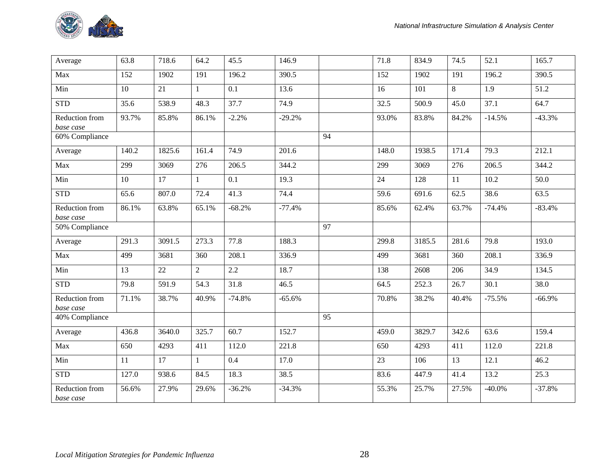

| Average                     | 63.8  | 718.6  | 64.2         | 45.5     | 146.9    |    | 71.8  | 834.9  | 74.5  | 52.1      | 165.7    |
|-----------------------------|-------|--------|--------------|----------|----------|----|-------|--------|-------|-----------|----------|
| Max                         | 152   | 1902   | 191          | 196.2    | 390.5    |    | 152   | 1902   | 191   | 196.2     | 390.5    |
| Min                         | 10    | 21     | 1            | 0.1      | 13.6     |    | 16    | 101    | 8     | 1.9       | 51.2     |
| <b>STD</b>                  | 35.6  | 538.9  | 48.3         | 37.7     | 74.9     |    | 32.5  | 500.9  | 45.0  | 37.1      | 64.7     |
| Reduction from<br>base case | 93.7% | 85.8%  | 86.1%        | $-2.2%$  | $-29.2%$ |    | 93.0% | 83.8%  | 84.2% | $-14.5%$  | $-43.3%$ |
| 60% Compliance              |       |        |              |          |          | 94 |       |        |       |           |          |
| Average                     | 140.2 | 1825.6 | 161.4        | 74.9     | 201.6    |    | 148.0 | 1938.5 | 171.4 | 79.3      | 212.1    |
| Max                         | 299   | 3069   | 276          | 206.5    | 344.2    |    | 299   | 3069   | 276   | 206.5     | 344.2    |
| Min                         | 10    | 17     | $\mathbf{1}$ | 0.1      | 19.3     |    | 24    | 128    | 11    | 10.2      | 50.0     |
| <b>STD</b>                  | 65.6  | 807.0  | 72.4         | 41.3     | 74.4     |    | 59.6  | 691.6  | 62.5  | 38.6      | 63.5     |
| Reduction from<br>base case | 86.1% | 63.8%  | 65.1%        | $-68.2%$ | $-77.4%$ |    | 85.6% | 62.4%  | 63.7% | $-74.4%$  | $-83.4%$ |
| 50% Compliance              |       |        |              |          |          | 97 |       |        |       |           |          |
| Average                     | 291.3 | 3091.5 | 273.3        | 77.8     | 188.3    |    | 299.8 | 3185.5 | 281.6 | 79.8      | 193.0    |
| Max                         | 499   | 3681   | 360          | 208.1    | 336.9    |    | 499   | 3681   | 360   | 208.1     | 336.9    |
| Min                         | 13    | 22     | 2            | 2.2      | 18.7     |    | 138   | 2608   | 206   | 34.9      | 134.5    |
| <b>STD</b>                  | 79.8  | 591.9  | 54.3         | 31.8     | 46.5     |    | 64.5  | 252.3  | 26.7  | 30.1      | 38.0     |
| Reduction from<br>base case | 71.1% | 38.7%  | 40.9%        | $-74.8%$ | $-65.6%$ |    | 70.8% | 38.2%  | 40.4% | $-75.5%$  | $-66.9%$ |
| 40% Compliance              |       |        |              |          |          | 95 |       |        |       |           |          |
| Average                     | 436.8 | 3640.0 | 325.7        | 60.7     | 152.7    |    | 459.0 | 3829.7 | 342.6 | 63.6      | 159.4    |
| Max                         | 650   | 4293   | 411          | 112.0    | 221.8    |    | 650   | 4293   | 411   | 112.0     | 221.8    |
| Min                         | 11    | 17     | $\mathbf{1}$ | 0.4      | 17.0     |    | 23    | 106    | 13    | 12.1      | 46.2     |
| <b>STD</b>                  | 127.0 | 938.6  | 84.5         | 18.3     | 38.5     |    | 83.6  | 447.9  | 41.4  | 13.2      | 25.3     |
| Reduction from<br>base case | 56.6% | 27.9%  | 29.6%        | $-36.2%$ | $-34.3%$ |    | 55.3% | 25.7%  | 27.5% | $-40.0\%$ | $-37.8%$ |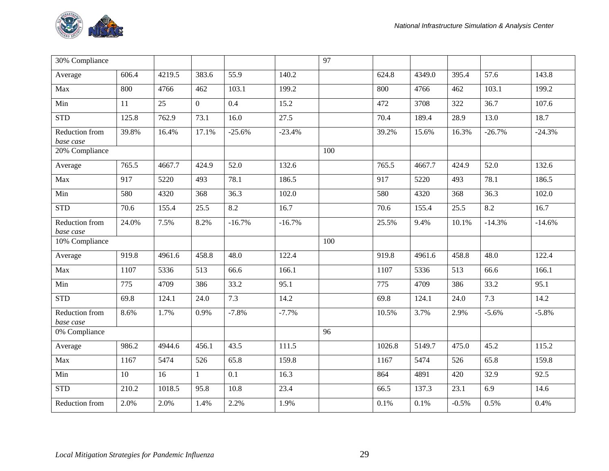

| 30% Compliance              |       |        |                |          |          | 97  |        |        |         |          |          |
|-----------------------------|-------|--------|----------------|----------|----------|-----|--------|--------|---------|----------|----------|
| Average                     | 606.4 | 4219.5 | 383.6          | 55.9     | 140.2    |     | 624.8  | 4349.0 | 395.4   | 57.6     | 143.8    |
| Max                         | 800   | 4766   | 462            | 103.1    | 199.2    |     | 800    | 4766   | 462     | 103.1    | 199.2    |
| Min                         | 11    | 25     | $\overline{0}$ | 0.4      | 15.2     |     | 472    | 3708   | 322     | 36.7     | 107.6    |
| <b>STD</b>                  | 125.8 | 762.9  | 73.1           | 16.0     | 27.5     |     | 70.4   | 189.4  | 28.9    | 13.0     | 18.7     |
| Reduction from<br>base case | 39.8% | 16.4%  | 17.1%          | $-25.6%$ | $-23.4%$ |     | 39.2%  | 15.6%  | 16.3%   | $-26.7%$ | $-24.3%$ |
| 20% Compliance              |       |        |                |          |          | 100 |        |        |         |          |          |
| Average                     | 765.5 | 4667.7 | 424.9          | 52.0     | 132.6    |     | 765.5  | 4667.7 | 424.9   | 52.0     | 132.6    |
| Max                         | 917   | 5220   | 493            | 78.1     | 186.5    |     | 917    | 5220   | 493     | 78.1     | 186.5    |
| Min                         | 580   | 4320   | 368            | 36.3     | 102.0    |     | 580    | 4320   | 368     | 36.3     | 102.0    |
| <b>STD</b>                  | 70.6  | 155.4  | 25.5           | 8.2      | 16.7     |     | 70.6   | 155.4  | 25.5    | 8.2      | 16.7     |
| Reduction from<br>base case | 24.0% | 7.5%   | 8.2%           | $-16.7%$ | $-16.7%$ |     | 25.5%  | 9.4%   | 10.1%   | $-14.3%$ | $-14.6%$ |
| 10% Compliance              |       |        |                |          |          | 100 |        |        |         |          |          |
| Average                     | 919.8 | 4961.6 | 458.8          | 48.0     | 122.4    |     | 919.8  | 4961.6 | 458.8   | 48.0     | 122.4    |
| Max                         | 1107  | 5336   | 513            | 66.6     | 166.1    |     | 1107   | 5336   | 513     | 66.6     | 166.1    |
| Min                         | 775   | 4709   | 386            | 33.2     | 95.1     |     | 775    | 4709   | 386     | 33.2     | 95.1     |
| <b>STD</b>                  | 69.8  | 124.1  | 24.0           | 7.3      | 14.2     |     | 69.8   | 124.1  | 24.0    | 7.3      | 14.2     |
| Reduction from<br>base case | 8.6%  | 1.7%   | 0.9%           | $-7.8%$  | $-7.7%$  |     | 10.5%  | 3.7%   | 2.9%    | $-5.6%$  | $-5.8%$  |
| 0% Compliance               |       |        |                |          |          | 96  |        |        |         |          |          |
| Average                     | 986.2 | 4944.6 | 456.1          | 43.5     | 111.5    |     | 1026.8 | 5149.7 | 475.0   | 45.2     | 115.2    |
| Max                         | 1167  | 5474   | 526            | 65.8     | 159.8    |     | 1167   | 5474   | 526     | 65.8     | 159.8    |
| Min                         | 10    | 16     | $\mathbf{1}$   | 0.1      | 16.3     |     | 864    | 4891   | 420     | 32.9     | 92.5     |
| <b>STD</b>                  | 210.2 | 1018.5 | 95.8           | 10.8     | 23.4     |     | 66.5   | 137.3  | 23.1    | 6.9      | 14.6     |
| Reduction from              | 2.0%  | 2.0%   | 1.4%           | 2.2%     | 1.9%     |     | 0.1%   | 0.1%   | $-0.5%$ | 0.5%     | 0.4%     |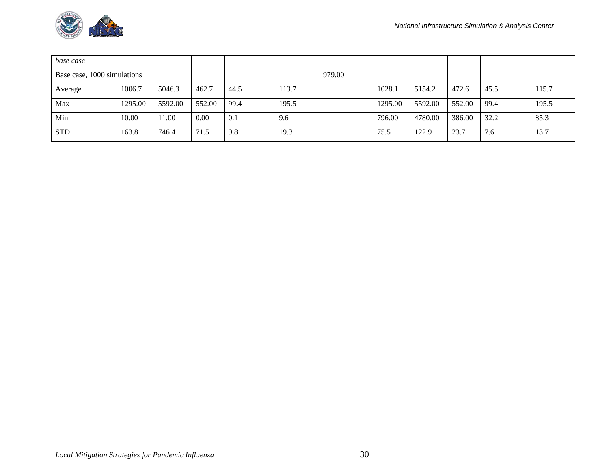

| base case                   |         |         |        |      |       |        |         |         |        |      |       |
|-----------------------------|---------|---------|--------|------|-------|--------|---------|---------|--------|------|-------|
| Base case, 1000 simulations |         |         |        |      |       | 979.00 |         |         |        |      |       |
| Average                     | 1006.7  | 5046.3  | 462.7  | 44.5 | 113.7 |        | 1028.1  | 5154.2  | 472.6  | 45.5 | 115.7 |
| Max                         | 1295.00 | 5592.00 | 552.00 | 99.4 | 195.5 |        | 1295.00 | 5592.00 | 552.00 | 99.4 | 195.5 |
| Min                         | 10.00   | 11.00   | 0.00   | 0.1  | 9.6   |        | 796.00  | 4780.00 | 386.00 | 32.2 | 85.3  |
| <b>STD</b>                  | 163.8   | 746.4   | 71.5   | 9.8  | 19.3  |        | 75.5    | 122.9   | 23.7   | 7.6  | 13.7  |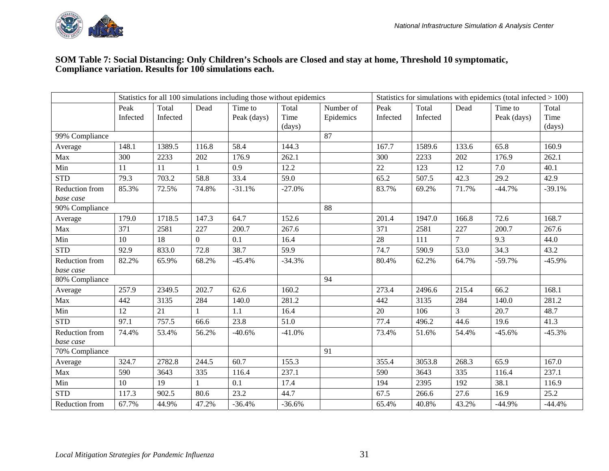

#### **SOM Table 7: Social Distancing: Only Children's Schools are Closed and stay at home, Threshold 10 symptomatic, Compliance variation. Results for 100 simulations each.**

|                |          |          |                | Statistics for all 100 simulations including those without epidemics |          |           |          |          |                | Statistics for simulations with epidemics (total infected $> 100$ ) |          |
|----------------|----------|----------|----------------|----------------------------------------------------------------------|----------|-----------|----------|----------|----------------|---------------------------------------------------------------------|----------|
|                | Peak     | Total    | Dead           | Time to                                                              | Total    | Number of | Peak     | Total    | Dead           | Time to                                                             | Total    |
|                | Infected | Infected |                | Peak (days)                                                          | Time     | Epidemics | Infected | Infected |                | Peak (days)                                                         | Time     |
|                |          |          |                |                                                                      | (days)   |           |          |          |                |                                                                     | (days)   |
| 99% Compliance |          |          |                |                                                                      |          | 87        |          |          |                |                                                                     |          |
| Average        | 148.1    | 1389.5   | 116.8          | 58.4                                                                 | 144.3    |           | 167.7    | 1589.6   | 133.6          | 65.8                                                                | 160.9    |
| Max            | 300      | 2233     | 202            | 176.9                                                                | 262.1    |           | 300      | 2233     | 202            | 176.9                                                               | 262.1    |
| Min            | 11       | 11       |                | 0.9                                                                  | 12.2     |           | 22       | 123      | 12             | 7.0                                                                 | 40.1     |
| <b>STD</b>     | 79.3     | 703.2    | 58.8           | 33.4                                                                 | 59.0     |           | 65.2     | 507.5    | 42.3           | 29.2                                                                | 42.9     |
| Reduction from | 85.3%    | 72.5%    | 74.8%          | $-31.1%$                                                             | $-27.0%$ |           | 83.7%    | 69.2%    | 71.7%          | $-44.7%$                                                            | $-39.1%$ |
| base case      |          |          |                |                                                                      |          |           |          |          |                |                                                                     |          |
| 90% Compliance |          |          |                |                                                                      |          | 88        |          |          |                |                                                                     |          |
| Average        | 179.0    | 1718.5   | 147.3          | 64.7                                                                 | 152.6    |           | 201.4    | 1947.0   | 166.8          | 72.6                                                                | 168.7    |
| Max            | 371      | 2581     | 227            | 200.7                                                                | 267.6    |           | 371      | 2581     | 227            | 200.7                                                               | 267.6    |
| Min            | 10       | 18       | $\overline{0}$ | 0.1                                                                  | 16.4     |           | 28       | 111      | $\overline{7}$ | 9.3                                                                 | 44.0     |
| <b>STD</b>     | 92.9     | 833.0    | 72.8           | 38.7                                                                 | 59.9     |           | 74.7     | 590.9    | 53.0           | 34.3                                                                | 43.2     |
| Reduction from | 82.2%    | 65.9%    | 68.2%          | $-45.4%$                                                             | $-34.3%$ |           | 80.4%    | 62.2%    | 64.7%          | $-59.7%$                                                            | $-45.9%$ |
| base case      |          |          |                |                                                                      |          |           |          |          |                |                                                                     |          |
| 80% Compliance |          |          |                |                                                                      |          | 94        |          |          |                |                                                                     |          |
| Average        | 257.9    | 2349.5   | 202.7          | 62.6                                                                 | 160.2    |           | 273.4    | 2496.6   | 215.4          | 66.2                                                                | 168.1    |
| Max            | 442      | 3135     | 284            | 140.0                                                                | 281.2    |           | 442      | 3135     | 284            | 140.0                                                               | 281.2    |
| Min            | 12       | 21       |                | 1.1                                                                  | 16.4     |           | 20       | 106      | $\mathfrak{Z}$ | 20.7                                                                | 48.7     |
| <b>STD</b>     | 97.1     | 757.5    | 66.6           | 23.8                                                                 | 51.0     |           | 77.4     | 496.2    | 44.6           | 19.6                                                                | 41.3     |
| Reduction from | 74.4%    | 53.4%    | 56.2%          | $-40.6%$                                                             | $-41.0%$ |           | 73.4%    | 51.6%    | 54.4%          | $-45.6%$                                                            | $-45.3%$ |
| base case      |          |          |                |                                                                      |          |           |          |          |                |                                                                     |          |
| 70% Compliance |          |          |                |                                                                      |          | 91        |          |          |                |                                                                     |          |
| Average        | 324.7    | 2782.8   | 244.5          | 60.7                                                                 | 155.3    |           | 355.4    | 3053.8   | 268.3          | 65.9                                                                | 167.0    |
| Max            | 590      | 3643     | 335            | 116.4                                                                | 237.1    |           | 590      | 3643     | 335            | 116.4                                                               | 237.1    |
| Min            | 10       | 19       |                | 0.1                                                                  | 17.4     |           | 194      | 2395     | 192            | 38.1                                                                | 116.9    |
| <b>STD</b>     | 117.3    | 902.5    | 80.6           | 23.2                                                                 | 44.7     |           | 67.5     | 266.6    | 27.6           | 16.9                                                                | 25.2     |
| Reduction from | 67.7%    | 44.9%    | 47.2%          | $-36.4%$                                                             | $-36.6%$ |           | 65.4%    | 40.8%    | 43.2%          | $-44.9%$                                                            | $-44.4%$ |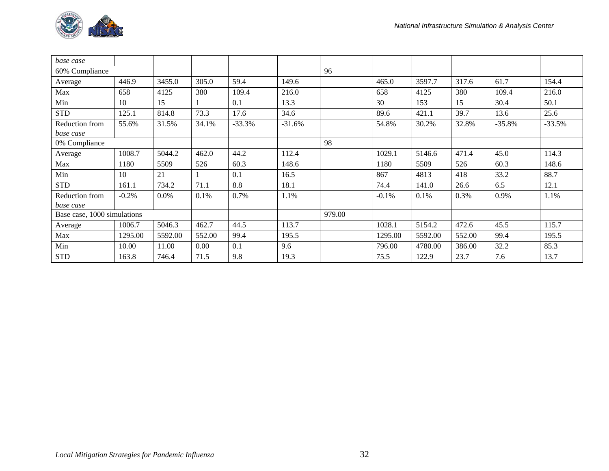

| base case                   |         |         |        |          |          |        |         |         |        |          |          |
|-----------------------------|---------|---------|--------|----------|----------|--------|---------|---------|--------|----------|----------|
| 60% Compliance              |         |         |        |          |          | 96     |         |         |        |          |          |
| Average                     | 446.9   | 3455.0  | 305.0  | 59.4     | 149.6    |        | 465.0   | 3597.7  | 317.6  | 61.7     | 154.4    |
| Max                         | 658     | 4125    | 380    | 109.4    | 216.0    |        | 658     | 4125    | 380    | 109.4    | 216.0    |
| Min                         | 10      | 15      |        | 0.1      | 13.3     |        | 30      | 153     | 15     | 30.4     | 50.1     |
| <b>STD</b>                  | 125.1   | 814.8   | 73.3   | 17.6     | 34.6     |        | 89.6    | 421.1   | 39.7   | 13.6     | 25.6     |
| Reduction from              | 55.6%   | 31.5%   | 34.1%  | $-33.3%$ | $-31.6%$ |        | 54.8%   | 30.2%   | 32.8%  | $-35.8%$ | $-33.5%$ |
| base case                   |         |         |        |          |          |        |         |         |        |          |          |
| 0% Compliance               |         |         |        |          |          | 98     |         |         |        |          |          |
| Average                     | 1008.7  | 5044.2  | 462.0  | 44.2     | 112.4    |        | 1029.1  | 5146.6  | 471.4  | 45.0     | 114.3    |
| Max                         | 1180    | 5509    | 526    | 60.3     | 148.6    |        | 1180    | 5509    | 526    | 60.3     | 148.6    |
| Min                         | 10      | 21      |        | 0.1      | 16.5     |        | 867     | 4813    | 418    | 33.2     | 88.7     |
| <b>STD</b>                  | 161.1   | 734.2   | 71.1   | 8.8      | 18.1     |        | 74.4    | 141.0   | 26.6   | 6.5      | 12.1     |
| Reduction from              | $-0.2%$ | 0.0%    | 0.1%   | 0.7%     | 1.1%     |        | $-0.1%$ | 0.1%    | 0.3%   | 0.9%     | 1.1%     |
| base case                   |         |         |        |          |          |        |         |         |        |          |          |
| Base case, 1000 simulations |         |         |        |          |          | 979.00 |         |         |        |          |          |
| Average                     | 1006.7  | 5046.3  | 462.7  | 44.5     | 113.7    |        | 1028.1  | 5154.2  | 472.6  | 45.5     | 115.7    |
| Max                         | 1295.00 | 5592.00 | 552.00 | 99.4     | 195.5    |        | 1295.00 | 5592.00 | 552.00 | 99.4     | 195.5    |
| Min                         | 10.00   | 11.00   | 0.00   | 0.1      | 9.6      |        | 796.00  | 4780.00 | 386.00 | 32.2     | 85.3     |
| <b>STD</b>                  | 163.8   | 746.4   | 71.5   | 9.8      | 19.3     |        | 75.5    | 122.9   | 23.7   | 7.6      | 13.7     |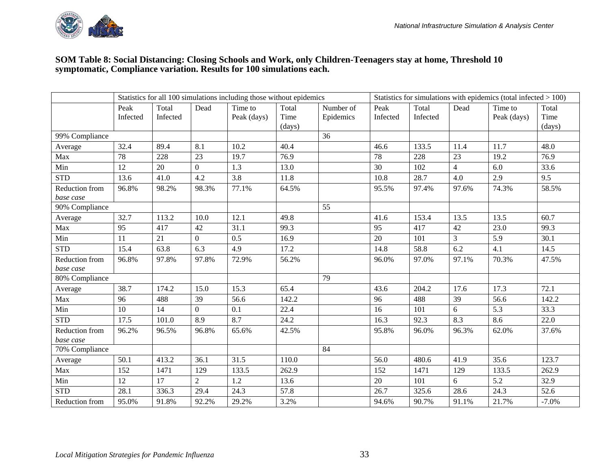

#### **SOM Table 8: Social Distancing: Closing Schools and Work, only Children-Teenagers stay at home, Threshold 10 symptomatic, Compliance variation. Results for 100 simulations each.**

|                |          |          |                | Statistics for all 100 simulations including those without epidemics |        |           |          |          |                | Statistics for simulations with epidemics (total infected $> 100$ ) |         |
|----------------|----------|----------|----------------|----------------------------------------------------------------------|--------|-----------|----------|----------|----------------|---------------------------------------------------------------------|---------|
|                | Peak     | Total    | Dead           | Time to                                                              | Total  | Number of | Peak     | Total    | Dead           | Time to                                                             | Total   |
|                | Infected | Infected |                | Peak (days)                                                          | Time   | Epidemics | Infected | Infected |                | Peak (days)                                                         | Time    |
|                |          |          |                |                                                                      | (days) |           |          |          |                |                                                                     | (days)  |
| 99% Compliance |          |          |                |                                                                      |        | 36        |          |          |                |                                                                     |         |
| Average        | 32.4     | 89.4     | 8.1            | 10.2                                                                 | 40.4   |           | 46.6     | 133.5    | 11.4           | 11.7                                                                | 48.0    |
| Max            | 78       | 228      | 23             | 19.7                                                                 | 76.9   |           | 78       | 228      | 23             | 19.2                                                                | 76.9    |
| Min            | 12       | 20       | $\overline{0}$ | 1.3                                                                  | 13.0   |           | 30       | 102      | $\overline{4}$ | 6.0                                                                 | 33.6    |
| <b>STD</b>     | 13.6     | 41.0     | 4.2            | 3.8                                                                  | 11.8   |           | 10.8     | 28.7     | 4.0            | 2.9                                                                 | 9.5     |
| Reduction from | 96.8%    | 98.2%    | 98.3%          | 77.1%                                                                | 64.5%  |           | 95.5%    | 97.4%    | 97.6%          | 74.3%                                                               | 58.5%   |
| base case      |          |          |                |                                                                      |        |           |          |          |                |                                                                     |         |
| 90% Compliance |          |          |                |                                                                      |        | 55        |          |          |                |                                                                     |         |
| Average        | 32.7     | 113.2    | 10.0           | 12.1                                                                 | 49.8   |           | 41.6     | 153.4    | 13.5           | 13.5                                                                | 60.7    |
| Max            | 95       | 417      | 42             | 31.1                                                                 | 99.3   |           | 95       | 417      | 42             | 23.0                                                                | 99.3    |
| Min            | 11       | 21       | $\Omega$       | 0.5                                                                  | 16.9   |           | 20       | 101      | $\overline{3}$ | 5.9                                                                 | 30.1    |
| <b>STD</b>     | 15.4     | 63.8     | 6.3            | 4.9                                                                  | 17.2   |           | 14.8     | 58.8     | 6.2            | 4.1                                                                 | 14.5    |
| Reduction from | 96.8%    | 97.8%    | 97.8%          | 72.9%                                                                | 56.2%  |           | 96.0%    | 97.0%    | 97.1%          | 70.3%                                                               | 47.5%   |
| base case      |          |          |                |                                                                      |        |           |          |          |                |                                                                     |         |
| 80% Compliance |          |          |                |                                                                      |        | 79        |          |          |                |                                                                     |         |
| Average        | 38.7     | 174.2    | 15.0           | 15.3                                                                 | 65.4   |           | 43.6     | 204.2    | 17.6           | 17.3                                                                | 72.1    |
| Max            | 96       | 488      | 39             | 56.6                                                                 | 142.2  |           | 96       | 488      | 39             | 56.6                                                                | 142.2   |
| Min            | 10       | 14       | $\Omega$       | 0.1                                                                  | 22.4   |           | 16       | 101      | 6              | 5.3                                                                 | 33.3    |
| <b>STD</b>     | 17.5     | 101.0    | 8.9            | 8.7                                                                  | 24.2   |           | 16.3     | 92.3     | 8.3            | 8.6                                                                 | 22.0    |
| Reduction from | 96.2%    | 96.5%    | 96.8%          | 65.6%                                                                | 42.5%  |           | 95.8%    | 96.0%    | 96.3%          | 62.0%                                                               | 37.6%   |
| base case      |          |          |                |                                                                      |        |           |          |          |                |                                                                     |         |
| 70% Compliance |          |          |                |                                                                      |        | 84        |          |          |                |                                                                     |         |
| Average        | 50.1     | 413.2    | 36.1           | 31.5                                                                 | 110.0  |           | 56.0     | 480.6    | 41.9           | 35.6                                                                | 123.7   |
| Max            | 152      | 1471     | 129            | 133.5                                                                | 262.9  |           | 152      | 1471     | 129            | 133.5                                                               | 262.9   |
| Min            | 12       | 17       | $\overline{2}$ | 1.2                                                                  | 13.6   |           | 20       | 101      | 6              | 5.2                                                                 | 32.9    |
| <b>STD</b>     | 28.1     | 336.3    | 29.4           | 24.3                                                                 | 57.8   |           | 26.7     | 325.6    | 28.6           | 24.3                                                                | 52.6    |
| Reduction from | 95.0%    | 91.8%    | 92.2%          | 29.2%                                                                | 3.2%   |           | 94.6%    | 90.7%    | 91.1%          | 21.7%                                                               | $-7.0%$ |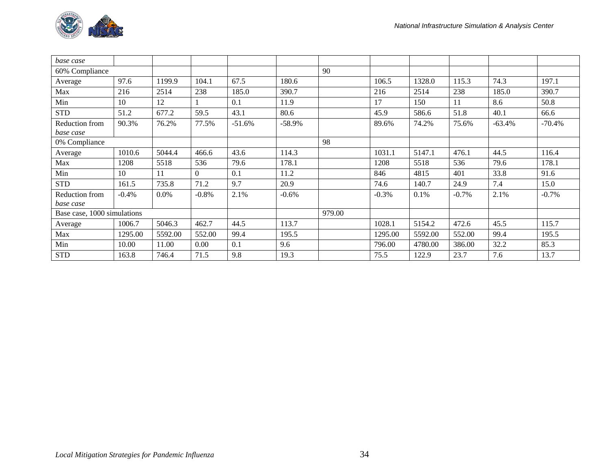

| base case                   |         |         |          |          |           |        |         |         |         |          |          |
|-----------------------------|---------|---------|----------|----------|-----------|--------|---------|---------|---------|----------|----------|
| 60% Compliance              |         |         |          |          |           | 90     |         |         |         |          |          |
| Average                     | 97.6    | 1199.9  | 104.1    | 67.5     | 180.6     |        | 106.5   | 1328.0  | 115.3   | 74.3     | 197.1    |
| Max                         | 216     | 2514    | 238      | 185.0    | 390.7     |        | 216     | 2514    | 238     | 185.0    | 390.7    |
| Min                         | 10      | 12      |          | 0.1      | 11.9      |        | 17      | 150     | 11      | 8.6      | 50.8     |
| <b>STD</b>                  | 51.2    | 677.2   | 59.5     | 43.1     | 80.6      |        | 45.9    | 586.6   | 51.8    | 40.1     | 66.6     |
| Reduction from              | 90.3%   | 76.2%   | 77.5%    | $-51.6%$ | $-58.9\%$ |        | 89.6%   | 74.2%   | 75.6%   | $-63.4%$ | $-70.4%$ |
| base case                   |         |         |          |          |           |        |         |         |         |          |          |
| 0% Compliance               |         |         |          |          |           | 98     |         |         |         |          |          |
| Average                     | 1010.6  | 5044.4  | 466.6    | 43.6     | 114.3     |        | 1031.1  | 5147.1  | 476.1   | 44.5     | 116.4    |
| Max                         | 1208    | 5518    | 536      | 79.6     | 178.1     |        | 1208    | 5518    | 536     | 79.6     | 178.1    |
| Min                         | 10      | 11      | $\Omega$ | 0.1      | 11.2      |        | 846     | 4815    | 401     | 33.8     | 91.6     |
| <b>STD</b>                  | 161.5   | 735.8   | 71.2     | 9.7      | 20.9      |        | 74.6    | 140.7   | 24.9    | 7.4      | 15.0     |
| Reduction from              | $-0.4%$ | $0.0\%$ | $-0.8%$  | 2.1%     | $-0.6%$   |        | $-0.3%$ | 0.1%    | $-0.7%$ | 2.1%     | $-0.7%$  |
| base case                   |         |         |          |          |           |        |         |         |         |          |          |
| Base case, 1000 simulations |         |         |          |          |           | 979.00 |         |         |         |          |          |
| Average                     | 1006.7  | 5046.3  | 462.7    | 44.5     | 113.7     |        | 1028.1  | 5154.2  | 472.6   | 45.5     | 115.7    |
| Max                         | 1295.00 | 5592.00 | 552.00   | 99.4     | 195.5     |        | 1295.00 | 5592.00 | 552.00  | 99.4     | 195.5    |
| Min                         | 10.00   | 11.00   | 0.00     | 0.1      | 9.6       |        | 796.00  | 4780.00 | 386.00  | 32.2     | 85.3     |
| <b>STD</b>                  | 163.8   | 746.4   | 71.5     | 9.8      | 19.3      |        | 75.5    | 122.9   | 23.7    | 7.6      | 13.7     |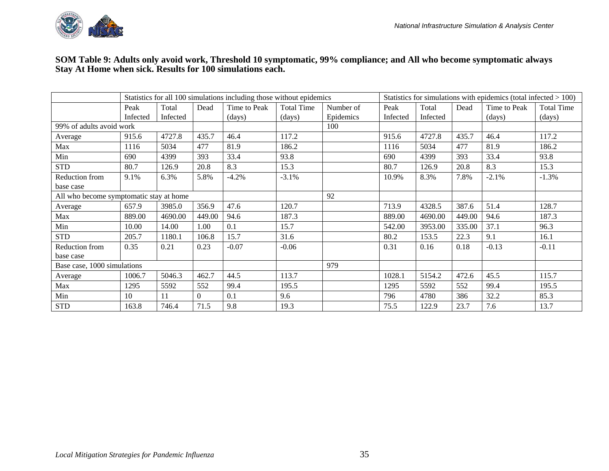

#### **SOM Table 9: Adults only avoid work, Threshold 10 symptomatic, 99% compliance; and All who become symptomatic always Stay At Home when sick. Results for 100 simulations each.**

|                                         |          |          |          | Statistics for all 100 simulations including those without epidemics |                   |           |          |          |        | Statistics for simulations with epidemics (total infected $> 100$ ) |                   |
|-----------------------------------------|----------|----------|----------|----------------------------------------------------------------------|-------------------|-----------|----------|----------|--------|---------------------------------------------------------------------|-------------------|
|                                         | Peak     | Total    | Dead     | Time to Peak                                                         | <b>Total Time</b> | Number of | Peak     | Total    | Dead   | Time to Peak                                                        | <b>Total Time</b> |
|                                         | Infected | Infected |          | (days)                                                               | (days)            | Epidemics | Infected | Infected |        | (days)                                                              | (days)            |
| 99% of adults avoid work                |          |          |          |                                                                      |                   | 100       |          |          |        |                                                                     |                   |
| Average                                 | 915.6    | 4727.8   | 435.7    | 46.4                                                                 | 117.2             |           | 915.6    | 4727.8   | 435.7  | 46.4                                                                | 117.2             |
| Max                                     | 1116     | 5034     | 477      | 81.9                                                                 | 186.2             |           | 1116     | 5034     | 477    | 81.9                                                                | 186.2             |
| Min                                     | 690      | 4399     | 393      | 33.4                                                                 | 93.8              |           | 690      | 4399     | 393    | 33.4                                                                | 93.8              |
| <b>STD</b>                              | 80.7     | 126.9    | 20.8     | 8.3                                                                  | 15.3              |           | 80.7     | 126.9    | 20.8   | 8.3                                                                 | 15.3              |
| Reduction from                          | 9.1%     | 6.3%     | 5.8%     | $-4.2%$                                                              | $-3.1%$           |           | 10.9%    | 8.3%     | 7.8%   | $-2.1%$                                                             | $-1.3%$           |
| base case                               |          |          |          |                                                                      |                   |           |          |          |        |                                                                     |                   |
| All who become symptomatic stay at home |          |          |          |                                                                      |                   | 92        |          |          |        |                                                                     |                   |
| Average                                 | 657.9    | 3985.0   | 356.9    | 47.6                                                                 | 120.7             |           | 713.9    | 4328.5   | 387.6  | 51.4                                                                | 128.7             |
| Max                                     | 889.00   | 4690.00  | 449.00   | 94.6                                                                 | 187.3             |           | 889.00   | 4690.00  | 449.00 | 94.6                                                                | 187.3             |
| Min                                     | 10.00    | 14.00    | 1.00     | 0.1                                                                  | 15.7              |           | 542.00   | 3953.00  | 335.00 | 37.1                                                                | 96.3              |
| <b>STD</b>                              | 205.7    | 1180.1   | 106.8    | 15.7                                                                 | 31.6              |           | 80.2     | 153.5    | 22.3   | 9.1                                                                 | 16.1              |
| Reduction from                          | 0.35     | 0.21     | 0.23     | $-0.07$                                                              | $-0.06$           |           | 0.31     | 0.16     | 0.18   | $-0.13$                                                             | $-0.11$           |
| base case                               |          |          |          |                                                                      |                   |           |          |          |        |                                                                     |                   |
| Base case, 1000 simulations             |          |          |          |                                                                      |                   | 979       |          |          |        |                                                                     |                   |
| Average                                 | 1006.7   | 5046.3   | 462.7    | 44.5                                                                 | 113.7             |           | 1028.1   | 5154.2   | 472.6  | 45.5                                                                | 115.7             |
| Max                                     | 1295     | 5592     | 552      | 99.4                                                                 | 195.5             |           | 1295     | 5592     | 552    | 99.4                                                                | 195.5             |
| Min                                     | 10       | 11       | $\Omega$ | 0.1                                                                  | 9.6               |           | 796      | 4780     | 386    | 32.2                                                                | 85.3              |
| <b>STD</b>                              | 163.8    | 746.4    | 71.5     | 9.8                                                                  | 19.3              |           | 75.5     | 122.9    | 23.7   | 7.6                                                                 | 13.7              |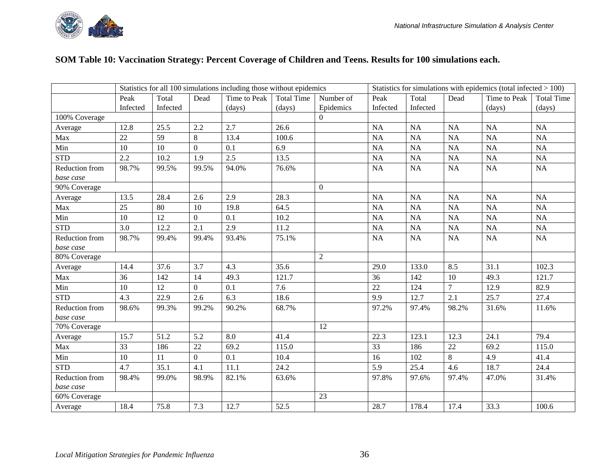#### **SOM Table 10: Vaccination Strategy: Percent Coverage of Children and Teens. Results for 100 simulations each.**

|                             |          |          |                  | Statistics for all 100 simulations including those without epidemics |                   |                  |           |           |                | Statistics for simulations with epidemics (total infected $> 100$ ) |                   |
|-----------------------------|----------|----------|------------------|----------------------------------------------------------------------|-------------------|------------------|-----------|-----------|----------------|---------------------------------------------------------------------|-------------------|
|                             | Peak     | Total    | Dead             | Time to Peak                                                         | <b>Total Time</b> | Number of        | Peak      | Total     | Dead           | Time to Peak                                                        | <b>Total Time</b> |
|                             | Infected | Infected |                  | (days)                                                               | (days)            | Epidemics        | Infected  | Infected  |                | (days)                                                              | (days)            |
| 100% Coverage               |          |          |                  |                                                                      |                   | $\boldsymbol{0}$ |           |           |                |                                                                     |                   |
| Average                     | 12.8     | 25.5     | 2.2              | 2.7                                                                  | 26.6              |                  | <b>NA</b> | NA        | <b>NA</b>      | <b>NA</b>                                                           | NA                |
| Max                         | 22       | 59       | 8                | 13.4                                                                 | 100.6             |                  | NA        | NA        | NA             | NA                                                                  | NA                |
| Min                         | 10       | 10       | $\mathbf{0}$     | 0.1                                                                  | 6.9               |                  | NA        | NA        | <b>NA</b>      | <b>NA</b>                                                           | NA                |
| <b>STD</b>                  | 2.2      | 10.2     | 1.9              | 2.5                                                                  | 13.5              |                  | NA        | $\rm NA$  | <b>NA</b>      | <b>NA</b>                                                           | $\rm NA$          |
| Reduction from              | 98.7%    | 99.5%    | 99.5%            | 94.0%                                                                | 76.6%             |                  | NA        | NA        | NA             | NA                                                                  | NA                |
| base case                   |          |          |                  |                                                                      |                   |                  |           |           |                |                                                                     |                   |
| 90% Coverage                |          |          |                  |                                                                      |                   | $\mathbf{0}$     |           |           |                |                                                                     |                   |
| Average                     | 13.5     | 28.4     | 2.6              | 2.9                                                                  | 28.3              |                  | <b>NA</b> | NA        | <b>NA</b>      | <b>NA</b>                                                           | NA                |
| Max                         | 25       | 80       | 10               | 19.8                                                                 | 64.5              |                  | <b>NA</b> | NA        | <b>NA</b>      | <b>NA</b>                                                           | NA                |
| Min                         | 10       | 12       | $\boldsymbol{0}$ | 0.1                                                                  | 10.2              |                  | NA        | NA        | <b>NA</b>      | <b>NA</b>                                                           | NA                |
| <b>STD</b>                  | 3.0      | 12.2     | 2.1              | 2.9                                                                  | 11.2              |                  | NA        | <b>NA</b> | <b>NA</b>      | NA                                                                  | NA                |
| Reduction from              | 98.7%    | 99.4%    | 99.4%            | 93.4%                                                                | 75.1%             |                  | <b>NA</b> | NA        | NA             | <b>NA</b>                                                           | NA                |
| base case                   |          |          |                  |                                                                      |                   |                  |           |           |                |                                                                     |                   |
| 80% Coverage                |          |          |                  |                                                                      |                   | $\sqrt{2}$       |           |           |                |                                                                     |                   |
| Average                     | 14.4     | 37.6     | 3.7              | 4.3                                                                  | 35.6              |                  | 29.0      | 133.0     | 8.5            | 31.1                                                                | 102.3             |
| Max                         | 36       | 142      | 14               | 49.3                                                                 | 121.7             |                  | 36        | 142       | 10             | 49.3                                                                | 121.7             |
| Min                         | 10       | 12       | $\Omega$         | 0.1                                                                  | 7.6               |                  | 22        | 124       | $\overline{7}$ | 12.9                                                                | 82.9              |
| <b>STD</b>                  | 4.3      | 22.9     | 2.6              | 6.3                                                                  | 18.6              |                  | 9.9       | 12.7      | 2.1            | 25.7                                                                | 27.4              |
| Reduction from<br>base case | 98.6%    | 99.3%    | 99.2%            | 90.2%                                                                | 68.7%             |                  | 97.2%     | 97.4%     | 98.2%          | 31.6%                                                               | 11.6%             |
| 70% Coverage                |          |          |                  |                                                                      |                   | 12               |           |           |                |                                                                     |                   |
| Average                     | 15.7     | 51.2     | 5.2              | 8.0                                                                  | 41.4              |                  | 22.3      | 123.1     | 12.3           | 24.1                                                                | 79.4              |
| Max                         | 33       | 186      | 22               | 69.2                                                                 | 115.0             |                  | 33        | 186       | 22             | 69.2                                                                | 115.0             |
| Min                         | 10       | 11       | $\overline{0}$   | 0.1                                                                  | 10.4              |                  | 16        | 102       | 8              | 4.9                                                                 | 41.4              |
| <b>STD</b>                  | 4.7      | 35.1     | 4.1              | 11.1                                                                 | 24.2              |                  | 5.9       | 25.4      | 4.6            | 18.7                                                                | 24.4              |
| Reduction from<br>base case | 98.4%    | 99.0%    | 98.9%            | 82.1%                                                                | 63.6%             |                  | 97.8%     | 97.6%     | 97.4%          | 47.0%                                                               | 31.4%             |
| 60% Coverage                |          |          |                  |                                                                      |                   | 23               |           |           |                |                                                                     |                   |
| Average                     | 18.4     | 75.8     | 7.3              | 12.7                                                                 | 52.5              |                  | 28.7      | 178.4     | 17.4           | 33.3                                                                | 100.6             |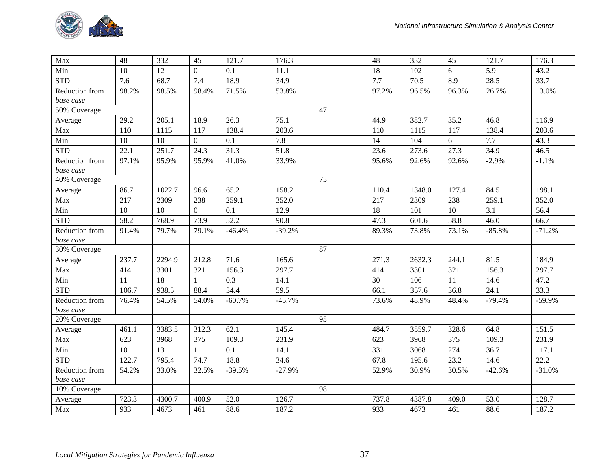

| Max            | 48    | 332             | 45             | 121.7    | 176.3    |    | 48    | 332    | 45    | 121.7    | 176.3    |
|----------------|-------|-----------------|----------------|----------|----------|----|-------|--------|-------|----------|----------|
| Min            | 10    | 12              | $\theta$       | 0.1      | 11.1     |    | 18    | 102    | 6     | 5.9      | 43.2     |
| <b>STD</b>     | 7.6   | 68.7            | 7.4            | 18.9     | 34.9     |    | 7.7   | 70.5   | 8.9   | 28.5     | 33.7     |
| Reduction from | 98.2% | 98.5%           | 98.4%          | 71.5%    | 53.8%    |    | 97.2% | 96.5%  | 96.3% | 26.7%    | 13.0%    |
| base case      |       |                 |                |          |          |    |       |        |       |          |          |
| 50% Coverage   |       |                 |                |          |          | 47 |       |        |       |          |          |
| Average        | 29.2  | 205.1           | 18.9           | 26.3     | 75.1     |    | 44.9  | 382.7  | 35.2  | 46.8     | 116.9    |
| Max            | 110   | 1115            | 117            | 138.4    | 203.6    |    | 110   | 1115   | 117   | 138.4    | 203.6    |
| Min            | 10    | 10              | $\overline{0}$ | 0.1      | 7.8      |    | 14    | 104    | 6     | 7.7      | 43.3     |
| <b>STD</b>     | 22.1  | 251.7           | 24.3           | 31.3     | 51.8     |    | 23.6  | 273.6  | 27.3  | 34.9     | 46.5     |
| Reduction from | 97.1% | 95.9%           | 95.9%          | 41.0%    | 33.9%    |    | 95.6% | 92.6%  | 92.6% | $-2.9%$  | $-1.1%$  |
| base case      |       |                 |                |          |          |    |       |        |       |          |          |
| 40% Coverage   |       |                 |                |          |          | 75 |       |        |       |          |          |
| Average        | 86.7  | 1022.7          | 96.6           | 65.2     | 158.2    |    | 110.4 | 1348.0 | 127.4 | 84.5     | 198.1    |
| Max            | 217   | 2309            | 238            | 259.1    | 352.0    |    | 217   | 2309   | 238   | 259.1    | 352.0    |
| Min            | 10    | 10              | $\mathbf{0}$   | 0.1      | 12.9     |    | 18    | 101    | 10    | 3.1      | 56.4     |
| <b>STD</b>     | 58.2  | 768.9           | 73.9           | 52.2     | 90.8     |    | 47.3  | 601.6  | 58.8  | 46.0     | 66.7     |
| Reduction from | 91.4% | 79.7%           | 79.1%          | $-46.4%$ | $-39.2%$ |    | 89.3% | 73.8%  | 73.1% | $-85.8%$ | $-71.2%$ |
| base case      |       |                 |                |          |          |    |       |        |       |          |          |
| 30% Coverage   |       |                 |                |          |          | 87 |       |        |       |          |          |
| Average        | 237.7 | 2294.9          | 212.8          | 71.6     | 165.6    |    | 271.3 | 2632.3 | 244.1 | 81.5     | 184.9    |
| Max            | 414   | 3301            | 321            | 156.3    | 297.7    |    | 414   | 3301   | 321   | 156.3    | 297.7    |
| Min            | 11    | $\overline{18}$ |                | 0.3      | 14.1     |    | 30    | 106    | 11    | 14.6     | 47.2     |
| <b>STD</b>     | 106.7 | 938.5           | 88.4           | 34.4     | 59.5     |    | 66.1  | 357.6  | 36.8  | 24.1     | 33.3     |
| Reduction from | 76.4% | 54.5%           | 54.0%          | $-60.7%$ | $-45.7%$ |    | 73.6% | 48.9%  | 48.4% | $-79.4%$ | $-59.9%$ |
| base case      |       |                 |                |          |          |    |       |        |       |          |          |
| 20% Coverage   |       |                 |                |          |          | 95 |       |        |       |          |          |
| Average        | 461.1 | 3383.5          | 312.3          | 62.1     | 145.4    |    | 484.7 | 3559.7 | 328.6 | 64.8     | 151.5    |
| Max            | 623   | 3968            | 375            | 109.3    | 231.9    |    | 623   | 3968   | 375   | 109.3    | 231.9    |
| Min            | 10    | 13              |                | 0.1      | 14.1     |    | 331   | 3068   | 274   | 36.7     | 117.1    |
| <b>STD</b>     | 122.7 | 795.4           | 74.7           | 18.8     | 34.6     |    | 67.8  | 195.6  | 23.2  | 14.6     | 22.2     |
| Reduction from | 54.2% | 33.0%           | 32.5%          | $-39.5%$ | $-27.9%$ |    | 52.9% | 30.9%  | 30.5% | $-42.6%$ | $-31.0%$ |
| base case      |       |                 |                |          |          |    |       |        |       |          |          |
| 10% Coverage   |       |                 |                |          |          | 98 |       |        |       |          |          |
| Average        | 723.3 | 4300.7          | 400.9          | 52.0     | 126.7    |    | 737.8 | 4387.8 | 409.0 | 53.0     | 128.7    |
| Max            | 933   | 4673            | 461            | 88.6     | 187.2    |    | 933   | 4673   | 461   | 88.6     | 187.2    |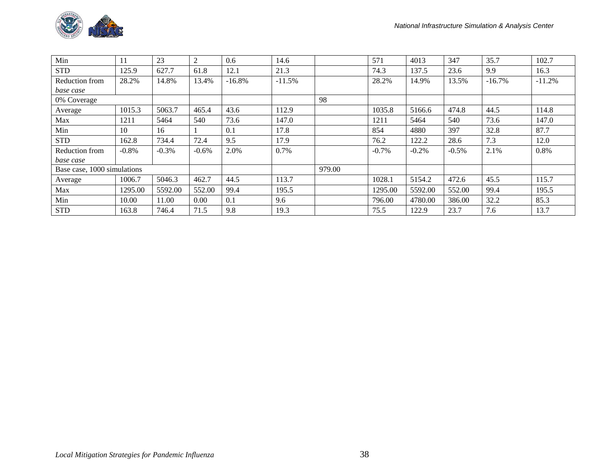

| Min                         | 11      | 23      | 2       | 0.6      | 14.6     |        | 571      | 4013    | 347      | 35.7     | 102.7    |
|-----------------------------|---------|---------|---------|----------|----------|--------|----------|---------|----------|----------|----------|
| <b>STD</b>                  | 125.9   | 627.7   | 61.8    | 12.1     | 21.3     |        | 74.3     | 137.5   | 23.6     | 9.9      | 16.3     |
| Reduction from              | 28.2%   | 14.8%   | 13.4%   | $-16.8%$ | $-11.5%$ |        | 28.2%    | 14.9%   | 13.5%    | $-16.7%$ | $-11.2%$ |
| base case                   |         |         |         |          |          |        |          |         |          |          |          |
| 0% Coverage                 |         |         |         |          |          | 98     |          |         |          |          |          |
| Average                     | 1015.3  | 5063.7  | 465.4   | 43.6     | 112.9    |        | 1035.8   | 5166.6  | 474.8    | 44.5     | 114.8    |
| Max                         | 1211    | 5464    | 540     | 73.6     | 147.0    |        | 1211     | 5464    | 540      | 73.6     | 147.0    |
| Min                         | 10      | 16      |         | 0.1      | 17.8     |        | 854      | 4880    | 397      | 32.8     | 87.7     |
| <b>STD</b>                  | 162.8   | 734.4   | 72.4    | 9.5      | 17.9     |        | 76.2     | 122.2   | 28.6     | 7.3      | 12.0     |
| Reduction from              | $-0.8%$ | $-0.3%$ | $-0.6%$ | 2.0%     | 0.7%     |        | $-0.7\%$ | $-0.2%$ | $-0.5\%$ | 2.1%     | 0.8%     |
| base case                   |         |         |         |          |          |        |          |         |          |          |          |
| Base case, 1000 simulations |         |         |         |          |          | 979.00 |          |         |          |          |          |
| Average                     | 1006.7  | 5046.3  | 462.7   | 44.5     | 113.7    |        | 1028.1   | 5154.2  | 472.6    | 45.5     | 115.7    |
| Max                         | 1295.00 | 5592.00 | 552.00  | 99.4     | 195.5    |        | 1295.00  | 5592.00 | 552.00   | 99.4     | 195.5    |
| Min                         | 10.00   | 11.00   | 0.00    | 0.1      | 9.6      |        | 796.00   | 4780.00 | 386.00   | 32.2     | 85.3     |
| <b>STD</b>                  | 163.8   | 746.4   | 71.5    | 9.8      | 19.3     |        | 75.5     | 122.9   | 23.7     | 7.6      | 13.7     |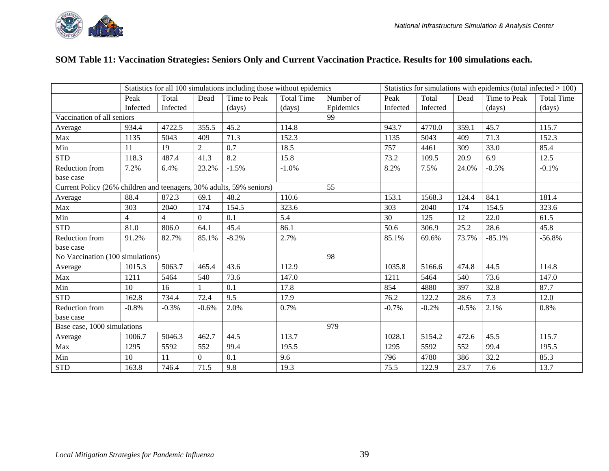

#### **SOM Table 11: Vaccination Strategies: Seniors Only and Current Vaccination Practice. Results for 100 simulations each.**

|                                                                      |                |                |                | Statistics for all 100 simulations including those without epidemics |                   |           |          |          |         | Statistics for simulations with epidemics (total infected $> 100$ ) |                   |
|----------------------------------------------------------------------|----------------|----------------|----------------|----------------------------------------------------------------------|-------------------|-----------|----------|----------|---------|---------------------------------------------------------------------|-------------------|
|                                                                      | Peak           | Total          | Dead           | Time to Peak                                                         | <b>Total Time</b> | Number of | Peak     | Total    | Dead    | Time to Peak                                                        | <b>Total Time</b> |
|                                                                      | Infected       | Infected       |                | (days)                                                               | (days)            | Epidemics | Infected | Infected |         | (days)                                                              | (days)            |
| Vaccination of all seniors                                           |                |                |                |                                                                      |                   | 99        |          |          |         |                                                                     |                   |
| Average                                                              | 934.4          | 4722.5         | 355.5          | 45.2                                                                 | 114.8             |           | 943.7    | 4770.0   | 359.1   | 45.7                                                                | 115.7             |
| Max                                                                  | 1135           | 5043           | 409            | 71.3                                                                 | 152.3             |           | 1135     | 5043     | 409     | 71.3                                                                | 152.3             |
| Min                                                                  | 11             | 19             | $\overline{2}$ | 0.7                                                                  | 18.5              |           | 757      | 4461     | 309     | 33.0                                                                | 85.4              |
| <b>STD</b>                                                           | 118.3          | 487.4          | 41.3           | 8.2                                                                  | 15.8              |           | 73.2     | 109.5    | 20.9    | 6.9                                                                 | 12.5              |
| Reduction from                                                       | 7.2%           | 6.4%           | 23.2%          | $-1.5%$                                                              | $-1.0%$           |           | 8.2%     | 7.5%     | 24.0%   | $-0.5%$                                                             | $-0.1%$           |
| base case                                                            |                |                |                |                                                                      |                   |           |          |          |         |                                                                     |                   |
| Current Policy (26% children and teenagers, 30% adults, 59% seniors) |                |                |                |                                                                      |                   | 55        |          |          |         |                                                                     |                   |
| Average                                                              | 88.4           | 872.3          | 69.1           | 48.2                                                                 | 110.6             |           | 153.1    | 1568.3   | 124.4   | 84.1                                                                | 181.4             |
| Max                                                                  | 303            | 2040           | 174            | 154.5                                                                | 323.6             |           | 303      | 2040     | 174     | 154.5                                                               | 323.6             |
| Min                                                                  | $\overline{4}$ | $\overline{4}$ | $\overline{0}$ | 0.1                                                                  | 5.4               |           | 30       | 125      | 12      | 22.0                                                                | 61.5              |
| <b>STD</b>                                                           | 81.0           | 806.0          | 64.1           | 45.4                                                                 | 86.1              |           | 50.6     | 306.9    | 25.2    | 28.6                                                                | 45.8              |
| Reduction from                                                       | 91.2%          | 82.7%          | 85.1%          | $-8.2%$                                                              | 2.7%              |           | 85.1%    | 69.6%    | 73.7%   | $-85.1%$                                                            | $-56.8%$          |
| base case                                                            |                |                |                |                                                                      |                   |           |          |          |         |                                                                     |                   |
| No Vaccination (100 simulations)                                     |                |                |                |                                                                      |                   | 98        |          |          |         |                                                                     |                   |
| Average                                                              | 1015.3         | 5063.7         | 465.4          | 43.6                                                                 | 112.9             |           | 1035.8   | 5166.6   | 474.8   | 44.5                                                                | 114.8             |
| Max                                                                  | 1211           | 5464           | 540            | 73.6                                                                 | 147.0             |           | 1211     | 5464     | 540     | 73.6                                                                | 147.0             |
| Min                                                                  | 10             | 16             | $\mathbf{1}$   | 0.1                                                                  | 17.8              |           | 854      | 4880     | 397     | 32.8                                                                | 87.7              |
| <b>STD</b>                                                           | 162.8          | 734.4          | 72.4           | 9.5                                                                  | 17.9              |           | 76.2     | 122.2    | 28.6    | 7.3                                                                 | 12.0              |
| Reduction from                                                       | $-0.8%$        | $-0.3%$        | $-0.6%$        | 2.0%                                                                 | 0.7%              |           | $-0.7%$  | $-0.2%$  | $-0.5%$ | 2.1%                                                                | 0.8%              |
| base case                                                            |                |                |                |                                                                      |                   |           |          |          |         |                                                                     |                   |
| Base case, 1000 simulations                                          |                |                |                |                                                                      |                   | 979       |          |          |         |                                                                     |                   |
| Average                                                              | 1006.7         | 5046.3         | 462.7          | 44.5                                                                 | 113.7             |           | 1028.1   | 5154.2   | 472.6   | 45.5                                                                | 115.7             |
| Max                                                                  | 1295           | 5592           | 552            | 99.4                                                                 | 195.5             |           | 1295     | 5592     | 552     | 99.4                                                                | 195.5             |
| Min                                                                  | 10             | 11             | $\overline{0}$ | 0.1                                                                  | 9.6               |           | 796      | 4780     | 386     | 32.2                                                                | 85.3              |
| <b>STD</b>                                                           | 163.8          | 746.4          | 71.5           | 9.8                                                                  | 19.3              |           | 75.5     | 122.9    | 23.7    | 7.6                                                                 | 13.7              |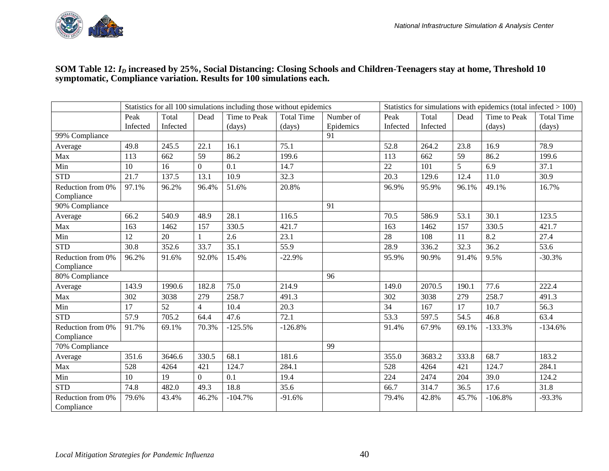

#### **SOM Table 12:** *ID* **increased by 25%, Social Distancing: Closing Schools and Children-Teenagers stay at home, Threshold 10 symptomatic, Compliance variation. Results for 100 simulations each.**

|                                 | Statistics for all 100 simulations including those without epidemics<br>Statistics for simulations with epidemics (total infected $> 100$ )<br>Peak<br>Total<br>Time to Peak<br><b>Total Time</b><br>Number of<br>Total<br>Time to Peak<br>Dead<br>Peak<br>Dead |          |                |           |           |           |          |          |       |           |                   |
|---------------------------------|-----------------------------------------------------------------------------------------------------------------------------------------------------------------------------------------------------------------------------------------------------------------|----------|----------------|-----------|-----------|-----------|----------|----------|-------|-----------|-------------------|
|                                 |                                                                                                                                                                                                                                                                 |          |                |           |           |           |          |          |       |           | <b>Total Time</b> |
|                                 | Infected                                                                                                                                                                                                                                                        | Infected |                | (days)    | (days)    | Epidemics | Infected | Infected |       | (days)    | (days)            |
| 99% Compliance                  |                                                                                                                                                                                                                                                                 |          |                |           |           | 91        |          |          |       |           |                   |
| Average                         | 49.8                                                                                                                                                                                                                                                            | 245.5    | 22.1           | 16.1      | 75.1      |           | 52.8     | 264.2    | 23.8  | 16.9      | 78.9              |
| Max                             | 113                                                                                                                                                                                                                                                             | 662      | 59             | 86.2      | 199.6     |           | 113      | 662      | 59    | 86.2      | 199.6             |
| Min                             | 10                                                                                                                                                                                                                                                              | 16       | $\overline{0}$ | 0.1       | 14.7      |           | 22       | 101      | 5     | 6.9       | 37.1              |
| <b>STD</b>                      | 21.7                                                                                                                                                                                                                                                            | 137.5    | 13.1           | 10.9      | 32.3      |           | 20.3     | 129.6    | 12.4  | 11.0      | 30.9              |
| Reduction from 0%<br>Compliance | 97.1%                                                                                                                                                                                                                                                           | 96.2%    | 96.4%          | 51.6%     | 20.8%     |           | 96.9%    | 95.9%    | 96.1% | 49.1%     | 16.7%             |
| 90% Compliance                  |                                                                                                                                                                                                                                                                 |          |                |           |           | 91        |          |          |       |           |                   |
| Average                         | 66.2                                                                                                                                                                                                                                                            | 540.9    | 48.9           | 28.1      | 116.5     |           | 70.5     | 586.9    | 53.1  | 30.1      | 123.5             |
| Max                             | 163                                                                                                                                                                                                                                                             | 1462     | 157            | 330.5     | 421.7     |           | 163      | 1462     | 157   | 330.5     | 421.7             |
| Min                             | 12                                                                                                                                                                                                                                                              | 20       |                | 2.6       | 23.1      |           | 28       | 108      | 11    | 8.2       | 27.4              |
| <b>STD</b>                      | 30.8                                                                                                                                                                                                                                                            | 352.6    | 33.7           | 35.1      | 55.9      |           | 28.9     | 336.2    | 32.3  | 36.2      | 53.6              |
| Reduction from 0%<br>Compliance | 96.2%                                                                                                                                                                                                                                                           | 91.6%    | 92.0%          | 15.4%     | $-22.9%$  |           | 95.9%    | 90.9%    | 91.4% | 9.5%      | $-30.3%$          |
| 80% Compliance                  |                                                                                                                                                                                                                                                                 |          |                |           |           | 96        |          |          |       |           |                   |
| Average                         | 143.9                                                                                                                                                                                                                                                           | 1990.6   | 182.8          | 75.0      | 214.9     |           | 149.0    | 2070.5   | 190.1 | 77.6      | 222.4             |
| Max                             | 302                                                                                                                                                                                                                                                             | 3038     | 279            | 258.7     | 491.3     |           | 302      | 3038     | 279   | 258.7     | 491.3             |
| Min                             | 17                                                                                                                                                                                                                                                              | 52       | $\overline{4}$ | 10.4      | 20.3      |           | 34       | 167      | 17    | 10.7      | 56.3              |
| <b>STD</b>                      | 57.9                                                                                                                                                                                                                                                            | 705.2    | 64.4           | 47.6      | 72.1      |           | 53.3     | 597.5    | 54.5  | 46.8      | 63.4              |
| Reduction from 0%<br>Compliance | 91.7%                                                                                                                                                                                                                                                           | 69.1%    | 70.3%          | $-125.5%$ | $-126.8%$ |           | 91.4%    | 67.9%    | 69.1% | $-133.3%$ | $-134.6%$         |
| 70% Compliance                  |                                                                                                                                                                                                                                                                 |          |                |           |           | 99        |          |          |       |           |                   |
| Average                         | 351.6                                                                                                                                                                                                                                                           | 3646.6   | 330.5          | 68.1      | 181.6     |           | 355.0    | 3683.2   | 333.8 | 68.7      | 183.2             |
| Max                             | 528                                                                                                                                                                                                                                                             | 4264     | 421            | 124.7     | 284.1     |           | 528      | 4264     | 421   | 124.7     | 284.1             |
| Min                             | 10                                                                                                                                                                                                                                                              | 19       | $\overline{0}$ | 0.1       | 19.4      |           | 224      | 2474     | 204   | 39.0      | 124.2             |
| <b>STD</b>                      | 74.8                                                                                                                                                                                                                                                            | 482.0    | 49.3           | 18.8      | 35.6      |           | 66.7     | 314.7    | 36.5  | 17.6      | 31.8              |
| Reduction from 0%<br>Compliance | 79.6%                                                                                                                                                                                                                                                           | 43.4%    | 46.2%          | $-104.7%$ | $-91.6%$  |           | 79.4%    | 42.8%    | 45.7% | $-106.8%$ | $-93.3%$          |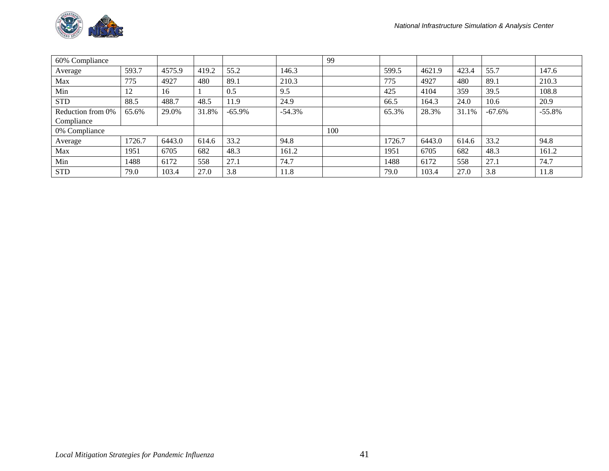

| 60% Compliance    |        |        |       |           |          | 99  |        |        |       |          |          |
|-------------------|--------|--------|-------|-----------|----------|-----|--------|--------|-------|----------|----------|
| Average           | 593.7  | 4575.9 | 419.2 | 55.2      | 146.3    |     | 599.5  | 4621.9 | 423.4 | 55.7     | 147.6    |
| Max               | 775    | 4927   | 480   | 89.1      | 210.3    |     | 775    | 4927   | 480   | 89.1     | 210.3    |
| Min               | 12     | 16     |       | 0.5       | 9.5      |     | 425    | 4104   | 359   | 39.5     | 108.8    |
| <b>STD</b>        | 88.5   | 488.7  | 48.5  | 11.9      | 24.9     |     | 66.5   | 164.3  | 24.0  | 10.6     | 20.9     |
| Reduction from 0% | 65.6%  | 29.0%  | 31.8% | $-65.9\%$ | $-54.3%$ |     | 65.3%  | 28.3%  | 31.1% | $-67.6%$ | $-55.8%$ |
| Compliance        |        |        |       |           |          |     |        |        |       |          |          |
| 0% Compliance     |        |        |       |           |          | 100 |        |        |       |          |          |
| Average           | 1726.7 | 6443.0 | 614.6 | 33.2      | 94.8     |     | 1726.7 | 6443.0 | 614.6 | 33.2     | 94.8     |
| Max               | 1951   | 6705   | 682   | 48.3      | 161.2    |     | 1951   | 6705   | 682   | 48.3     | 161.2    |
| Min               | 1488   | 6172   | 558   | 27.1      | 74.7     |     | 1488   | 6172   | 558   | 27.1     | 74.7     |
| <b>STD</b>        | 79.0   | 103.4  | 27.0  | 3.8       | 11.8     |     | 79.0   | 103.4  | 27.0  | 3.8      | 11.8     |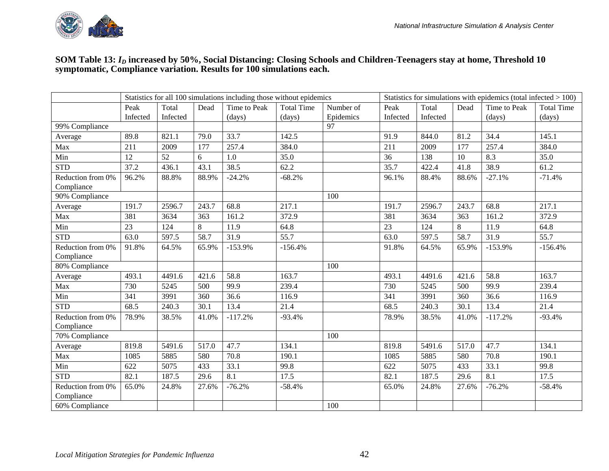

#### **SOM Table 13:** *ID* **increased by 50%, Social Distancing: Closing Schools and Children-Teenagers stay at home, Threshold 10 symptomatic, Compliance variation. Results for 100 simulations each.**

|                                 | Statistics for all 100 simulations including those without epidemics<br>Statistics for simulations with epidemics (total infected $> 100$ )<br>Total<br>Time to Peak<br><b>Total Time</b><br>Peak<br>Number of<br>Peak<br>Total<br>Dead<br>Time to Peak<br>Dead<br>Infected<br>Infected<br>Epidemics<br>Infected<br>(days)<br>Infected<br>(days)<br>(days)<br>(days) |        |       |           |           |     |       |        |       |           |                   |
|---------------------------------|----------------------------------------------------------------------------------------------------------------------------------------------------------------------------------------------------------------------------------------------------------------------------------------------------------------------------------------------------------------------|--------|-------|-----------|-----------|-----|-------|--------|-------|-----------|-------------------|
|                                 |                                                                                                                                                                                                                                                                                                                                                                      |        |       |           |           |     |       |        |       |           | <b>Total Time</b> |
|                                 |                                                                                                                                                                                                                                                                                                                                                                      |        |       |           |           |     |       |        |       |           |                   |
| 99% Compliance                  |                                                                                                                                                                                                                                                                                                                                                                      |        |       |           |           | 97  |       |        |       |           |                   |
| Average                         | 89.8                                                                                                                                                                                                                                                                                                                                                                 | 821.1  | 79.0  | 33.7      | 142.5     |     | 91.9  | 844.0  | 81.2  | 34.4      | 145.1             |
| Max                             | 211                                                                                                                                                                                                                                                                                                                                                                  | 2009   | 177   | 257.4     | 384.0     |     | 211   | 2009   | 177   | 257.4     | 384.0             |
| Min                             | 12                                                                                                                                                                                                                                                                                                                                                                   | 52     | 6     | 1.0       | 35.0      |     | 36    | 138    | 10    | 8.3       | 35.0              |
| <b>STD</b>                      | 37.2                                                                                                                                                                                                                                                                                                                                                                 | 436.1  | 43.1  | 38.5      | 62.2      |     | 35.7  | 422.4  | 41.8  | 38.9      | 61.2              |
| Reduction from 0%<br>Compliance | 96.2%                                                                                                                                                                                                                                                                                                                                                                | 88.8%  | 88.9% | $-24.2%$  | $-68.2%$  |     | 96.1% | 88.4%  | 88.6% | $-27.1%$  | $-71.4%$          |
| 90% Compliance                  |                                                                                                                                                                                                                                                                                                                                                                      |        |       |           |           | 100 |       |        |       |           |                   |
| Average                         | 191.7                                                                                                                                                                                                                                                                                                                                                                | 2596.7 | 243.7 | 68.8      | 217.1     |     | 191.7 | 2596.7 | 243.7 | 68.8      | 217.1             |
| Max                             | 381                                                                                                                                                                                                                                                                                                                                                                  | 3634   | 363   | 161.2     | 372.9     |     | 381   | 3634   | 363   | 161.2     | 372.9             |
| Min                             | 23                                                                                                                                                                                                                                                                                                                                                                   | 124    | 8     | 11.9      | 64.8      |     | 23    | 124    | 8     | 11.9      | 64.8              |
| <b>STD</b>                      | 63.0                                                                                                                                                                                                                                                                                                                                                                 | 597.5  | 58.7  | 31.9      | 55.7      |     | 63.0  | 597.5  | 58.7  | 31.9      | 55.7              |
| Reduction from 0%<br>Compliance | 91.8%                                                                                                                                                                                                                                                                                                                                                                | 64.5%  | 65.9% | $-153.9%$ | $-156.4%$ |     | 91.8% | 64.5%  | 65.9% | $-153.9%$ | $-156.4%$         |
| 80% Compliance                  |                                                                                                                                                                                                                                                                                                                                                                      |        |       |           |           | 100 |       |        |       |           |                   |
| Average                         | 493.1                                                                                                                                                                                                                                                                                                                                                                | 4491.6 | 421.6 | 58.8      | 163.7     |     | 493.1 | 4491.6 | 421.6 | 58.8      | 163.7             |
| Max                             | 730                                                                                                                                                                                                                                                                                                                                                                  | 5245   | 500   | 99.9      | 239.4     |     | 730   | 5245   | 500   | 99.9      | 239.4             |
| Min                             | 341                                                                                                                                                                                                                                                                                                                                                                  | 3991   | 360   | 36.6      | 116.9     |     | 341   | 3991   | 360   | 36.6      | 116.9             |
| <b>STD</b>                      | 68.5                                                                                                                                                                                                                                                                                                                                                                 | 240.3  | 30.1  | 13.4      | 21.4      |     | 68.5  | 240.3  | 30.1  | 13.4      | 21.4              |
| Reduction from 0%<br>Compliance | 78.9%                                                                                                                                                                                                                                                                                                                                                                | 38.5%  | 41.0% | $-117.2%$ | $-93.4%$  |     | 78.9% | 38.5%  | 41.0% | $-117.2%$ | $-93.4%$          |
| 70% Compliance                  |                                                                                                                                                                                                                                                                                                                                                                      |        |       |           |           | 100 |       |        |       |           |                   |
| Average                         | 819.8                                                                                                                                                                                                                                                                                                                                                                | 5491.6 | 517.0 | 47.7      | 134.1     |     | 819.8 | 5491.6 | 517.0 | 47.7      | 134.1             |
| Max                             | 1085                                                                                                                                                                                                                                                                                                                                                                 | 5885   | 580   | 70.8      | 190.1     |     | 1085  | 5885   | 580   | 70.8      | 190.1             |
| Min                             | 622                                                                                                                                                                                                                                                                                                                                                                  | 5075   | 433   | 33.1      | 99.8      |     | 622   | 5075   | 433   | 33.1      | 99.8              |
| <b>STD</b>                      | 82.1                                                                                                                                                                                                                                                                                                                                                                 | 187.5  | 29.6  | 8.1       | 17.5      |     | 82.1  | 187.5  | 29.6  | 8.1       | 17.5              |
| Reduction from 0%<br>Compliance | 65.0%                                                                                                                                                                                                                                                                                                                                                                | 24.8%  | 27.6% | $-76.2%$  | $-58.4%$  |     | 65.0% | 24.8%  | 27.6% | $-76.2%$  | $-58.4%$          |
| 60% Compliance                  |                                                                                                                                                                                                                                                                                                                                                                      |        |       |           |           | 100 |       |        |       |           |                   |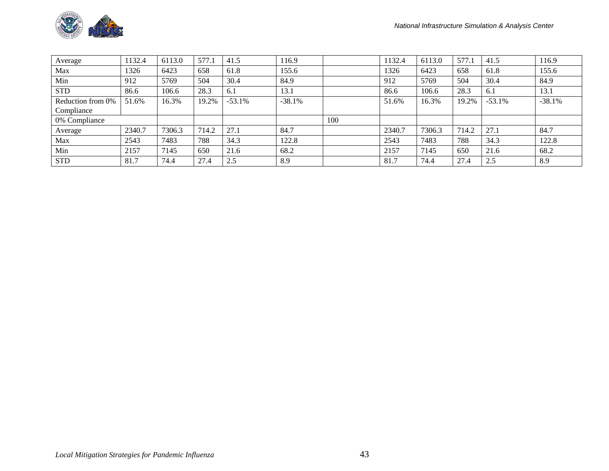

| Average           | 132.4  | 6113.0 | 577.1 | 41.5     | 116.9    |     | 1132.4 | 6113.0 | 577.1 | 41.5     | 116.9    |
|-------------------|--------|--------|-------|----------|----------|-----|--------|--------|-------|----------|----------|
| Max               | 1326   | 6423   | 658   | 61.8     | 155.6    |     | 1326   | 6423   | 658   | 61.8     | 155.6    |
| Min               | 912    | 5769   | 504   | 30.4     | 84.9     |     | 912    | 5769   | 504   | 30.4     | 84.9     |
| <b>STD</b>        | 86.6   | 106.6  | 28.3  | 6.1      | 13.1     |     | 86.6   | 106.6  | 28.3  | 6.1      | 13.1     |
| Reduction from 0% | 51.6%  | 16.3%  | 19.2% | $-53.1%$ | $-38.1%$ |     | 51.6%  | 16.3%  | 19.2% | $-53.1%$ | $-38.1%$ |
| Compliance        |        |        |       |          |          |     |        |        |       |          |          |
| 0% Compliance     |        |        |       |          |          | 100 |        |        |       |          |          |
| Average           | 2340.7 | 7306.3 | 714.2 | 27.1     | 84.7     |     | 2340.7 | 7306.3 | 714.2 | 27.1     | 84.7     |
| Max               | 2543   | 7483   | 788   | 34.3     | 122.8    |     | 2543   | 7483   | 788   | 34.3     | 122.8    |
| Min               | 2157   | 7145   | 650   | 21.6     | 68.2     |     | 2157   | 7145   | 650   | 21.6     | 68.2     |
| <b>STD</b>        | 81.7   | 74.4   | 27.4  | 2.5      | 8.9      |     | 81.7   | 74.4   | 27.4  | 2.5      | 8.9      |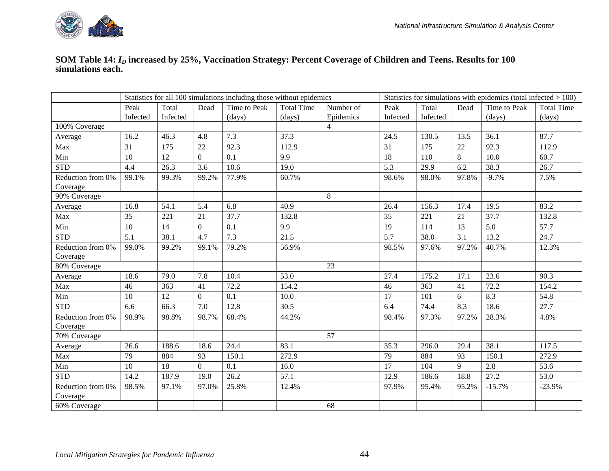

#### **SOM Table 14:** *ID* **increased by 25%, Vaccination Strategy: Percent Coverage of Children and Teens. Results for 100 simulations each.**

|                               | Statistics for all 100 simulations including those without epidemics<br>Statistics for simulations with epidemics (total infected $> 100$ )<br>Total<br>Dead<br><b>Total Time</b><br>Total<br>Time to Peak<br>Peak<br>Number of<br>Peak<br>Dead |          |                |              |        |                |                 |          |       |          |                   |
|-------------------------------|-------------------------------------------------------------------------------------------------------------------------------------------------------------------------------------------------------------------------------------------------|----------|----------------|--------------|--------|----------------|-----------------|----------|-------|----------|-------------------|
|                               |                                                                                                                                                                                                                                                 |          |                | Time to Peak |        |                |                 |          |       |          | <b>Total Time</b> |
|                               | Infected                                                                                                                                                                                                                                        | Infected |                | (days)       | (days) | Epidemics      | Infected        | Infected |       | (days)   | (days)            |
| 100% Coverage                 |                                                                                                                                                                                                                                                 |          |                |              |        | $\overline{4}$ |                 |          |       |          |                   |
| Average                       | 16.2                                                                                                                                                                                                                                            | 46.3     | 4.8            | 7.3          | 37.3   |                | 24.5            | 130.5    | 13.5  | 36.1     | 87.7              |
| Max                           | 31                                                                                                                                                                                                                                              | 175      | 22             | 92.3         | 112.9  |                | 31              | 175      | 22    | 92.3     | 112.9             |
| Min                           | 10                                                                                                                                                                                                                                              | 12       | $\overline{0}$ | 0.1          | 9.9    |                | 18              | 110      | 8     | 10.0     | 60.7              |
| <b>STD</b>                    | 4.4                                                                                                                                                                                                                                             | 26.3     | 3.6            | 10.6         | 19.0   |                | 5.3             | 29.9     | 6.2   | 38.3     | 26.7              |
| Reduction from 0%             | 99.1%                                                                                                                                                                                                                                           | 99.3%    | 99.2%          | 77.9%        | 60.7%  |                | 98.6%           | 98.0%    | 97.8% | $-9.7%$  | 7.5%              |
| Coverage                      |                                                                                                                                                                                                                                                 |          |                |              |        |                |                 |          |       |          |                   |
| 90% Coverage                  |                                                                                                                                                                                                                                                 |          |                |              |        | 8              |                 |          |       |          |                   |
| Average                       | 16.8                                                                                                                                                                                                                                            | 54.1     | 5.4            | 6.8          | 40.9   |                | 26.4            | 156.3    | 17.4  | 19.5     | 83.2              |
| Max                           | 35                                                                                                                                                                                                                                              | 221      | 21             | 37.7         | 132.8  |                | $\overline{35}$ | 221      | 21    | 37.7     | 132.8             |
| Min                           | 10                                                                                                                                                                                                                                              | 14       | $\overline{0}$ | 0.1          | 9.9    |                | 19              | 114      | 13    | 5.0      | 57.7              |
| <b>STD</b>                    | 5.1                                                                                                                                                                                                                                             | 38.1     | 4.7            | 7.3          | 21.5   |                | 5.7             | 38.0     | 3.1   | 13.2     | 24.7              |
| Reduction from 0%             | 99.0%                                                                                                                                                                                                                                           | 99.2%    | 99.1%          | 79.2%        | 56.9%  |                | 98.5%           | 97.6%    | 97.2% | 40.7%    | 12.3%             |
| Coverage                      |                                                                                                                                                                                                                                                 |          |                |              |        |                |                 |          |       |          |                   |
| 80% Coverage                  |                                                                                                                                                                                                                                                 |          |                |              |        | 23             |                 |          |       |          |                   |
| Average                       | 18.6                                                                                                                                                                                                                                            | 79.0     | 7.8            | 10.4         | 53.0   |                | 27.4            | 175.2    | 17.1  | 23.6     | 90.3              |
| Max                           | 46                                                                                                                                                                                                                                              | 363      | 41             | 72.2         | 154.2  |                | 46              | 363      | 41    | 72.2     | 154.2             |
| Min                           | 10                                                                                                                                                                                                                                              | 12       | $\overline{0}$ | 0.1          | 10.0   |                | 17              | 101      | 6     | 8.3      | 54.8              |
| <b>STD</b>                    | 6.6                                                                                                                                                                                                                                             | 66.3     | 7.0            | 12.8         | 30.5   |                | 6.4             | 74.4     | 8.3   | 18.6     | 27.7              |
| Reduction from 0%             | 98.9%                                                                                                                                                                                                                                           | 98.8%    | 98.7%          | 68.4%        | 44.2%  |                | 98.4%           | 97.3%    | 97.2% | 28.3%    | 4.8%              |
| Coverage                      |                                                                                                                                                                                                                                                 |          |                |              |        |                |                 |          |       |          |                   |
| 70% Coverage                  |                                                                                                                                                                                                                                                 |          |                |              |        | 57             |                 |          |       |          |                   |
| Average                       | 26.6                                                                                                                                                                                                                                            | 188.6    | 18.6           | 24.4         | 83.1   |                | 35.3            | 296.0    | 29.4  | 38.1     | 117.5             |
| Max                           | 79                                                                                                                                                                                                                                              | 884      | 93             | 150.1        | 272.9  |                | 79              | 884      | 93    | 150.1    | 272.9             |
| Min                           | 10                                                                                                                                                                                                                                              | 18       | $\overline{0}$ | 0.1          | 16.0   |                | 17              | 104      | 9     | 2.8      | 53.6              |
| <b>STD</b>                    | 14.2                                                                                                                                                                                                                                            | 187.9    | 19.0           | 26.2         | 57.1   |                | 12.9            | 186.6    | 18.8  | 27.2     | 53.0              |
| Reduction from 0%<br>Coverage | 98.5%                                                                                                                                                                                                                                           | 97.1%    | 97.0%          | 25.8%        | 12.4%  |                | 97.9%           | 95.4%    | 95.2% | $-15.7%$ | $-23.9%$          |
| 60% Coverage                  |                                                                                                                                                                                                                                                 |          |                |              |        | 68             |                 |          |       |          |                   |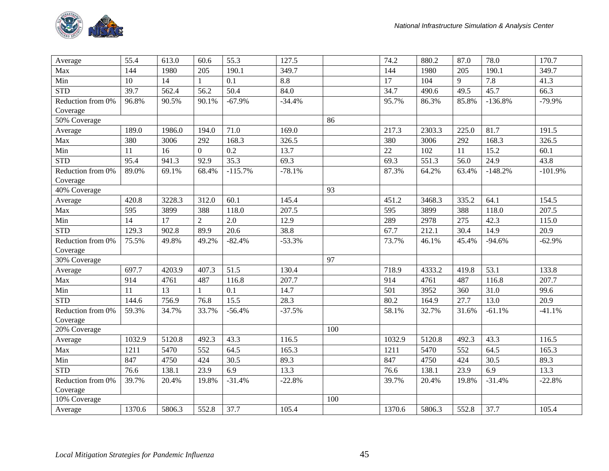

| Average           | 55.4   | 613.0              | 60.6           | $\overline{55.3}$ | 127.5    |     | 74.2   | 880.2  | 87.0               | 78.0      | 170.7     |
|-------------------|--------|--------------------|----------------|-------------------|----------|-----|--------|--------|--------------------|-----------|-----------|
| Max               | 144    | 1980               | 205            | 190.1             | 349.7    |     | 144    | 1980   | 205                | 190.1     | 349.7     |
| Min               | 10     | 14                 | 1              | 0.1               | 8.8      |     | 17     | 104    | 9                  | 7.8       | 41.3      |
| <b>STD</b>        | 39.7   | 562.4              | 56.2           | 50.4              | 84.0     |     | 34.7   | 490.6  | 49.5               | 45.7      | 66.3      |
| Reduction from 0% | 96.8%  | 90.5%              | 90.1%          | $-67.9%$          | $-34.4%$ |     | 95.7%  | 86.3%  | 85.8%              | $-136.8%$ | $-79.9%$  |
| Coverage          |        |                    |                |                   |          |     |        |        |                    |           |           |
| 50% Coverage      |        |                    |                |                   |          | 86  |        |        |                    |           |           |
| Average           | 189.0  | 1986.0             | 194.0          | 71.0              | 169.0    |     | 217.3  | 2303.3 | $225.\overline{0}$ | 81.7      | 191.5     |
| Max               | 380    | 3006               | 292            | 168.3             | 326.5    |     | 380    | 3006   | 292                | 168.3     | 326.5     |
| Min               | 11     | 16                 | $\overline{0}$ | 0.2               | 13.7     |     | 22     | 102    | 11                 | 15.2      | 60.1      |
| <b>STD</b>        | 95.4   | 941.3              | 92.9           | 35.3              | 69.3     |     | 69.3   | 551.3  | 56.0               | 24.9      | 43.8      |
| Reduction from 0% | 89.0%  | 69.1%              | 68.4%          | $-115.7%$         | $-78.1%$ |     | 87.3%  | 64.2%  | 63.4%              | $-148.2%$ | $-101.9%$ |
| Coverage          |        |                    |                |                   |          |     |        |        |                    |           |           |
| 40% Coverage      |        |                    |                |                   |          | 93  |        |        |                    |           |           |
| Average           | 420.8  | 3228.3             | 312.0          | 60.1              | 145.4    |     | 451.2  | 3468.3 | 335.2              | 64.1      | 154.5     |
| Max               | 595    | 3899               | 388            | 118.0             | 207.5    |     | 595    | 3899   | 388                | 118.0     | 207.5     |
| Min               | 14     | 17                 | $\overline{2}$ | 2.0               | 12.9     |     | 289    | 2978   | 275                | 42.3      | 115.0     |
| <b>STD</b>        | 129.3  | 902.8              | 89.9           | 20.6              | 38.8     |     | 67.7   | 212.1  | 30.4               | 14.9      | 20.9      |
| Reduction from 0% | 75.5%  | 49.8%              | 49.2%          | $-82.4%$          | $-53.3%$ |     | 73.7%  | 46.1%  | 45.4%              | $-94.6%$  | $-62.9%$  |
| Coverage          |        |                    |                |                   |          |     |        |        |                    |           |           |
| 30% Coverage      |        |                    |                |                   |          | 97  |        |        |                    |           |           |
| Average           | 697.7  | 4203.9             | 407.3          | 51.5              | 130.4    |     | 718.9  | 4333.2 | 419.8              | 53.1      | 133.8     |
| Max               | 914    | 4761               | 487            | 116.8             | 207.7    |     | 914    | 4761   | 487                | 116.8     | 207.7     |
| Min               | 11     | 13                 | 1              | 0.1               | 14.7     |     | 501    | 3952   | 360                | 31.0      | 99.6      |
| <b>STD</b>        | 144.6  | $\overline{7}56.9$ | 76.8           | 15.5              | 28.3     |     | 80.2   | 164.9  | 27.7               | 13.0      | 20.9      |
| Reduction from 0% | 59.3%  | 34.7%              | 33.7%          | $-56.4%$          | $-37.5%$ |     | 58.1%  | 32.7%  | 31.6%              | $-61.1%$  | $-41.1%$  |
| Coverage          |        |                    |                |                   |          |     |        |        |                    |           |           |
| 20% Coverage      |        |                    |                |                   |          | 100 |        |        |                    |           |           |
| Average           | 1032.9 | 5120.8             | 492.3          | 43.3              | 116.5    |     | 1032.9 | 5120.8 | 492.3              | 43.3      | 116.5     |
| Max               | 1211   | 5470               | 552            | 64.5              | 165.3    |     | 1211   | 5470   | 552                | 64.5      | 165.3     |
| Min               | 847    | 4750               | 424            | 30.5              | 89.3     |     | 847    | 4750   | 424                | 30.5      | 89.3      |
| <b>STD</b>        | 76.6   | 138.1              | 23.9           | 6.9               | 13.3     |     | 76.6   | 138.1  | 23.9               | 6.9       | 13.3      |
| Reduction from 0% | 39.7%  | 20.4%              | 19.8%          | $-31.4%$          | $-22.8%$ |     | 39.7%  | 20.4%  | 19.8%              | $-31.4%$  | $-22.8%$  |
| Coverage          |        |                    |                |                   |          |     |        |        |                    |           |           |
| 10% Coverage      |        |                    |                |                   |          | 100 |        |        |                    |           |           |
| Average           | 1370.6 | 5806.3             | 552.8          | 37.7              | 105.4    |     | 1370.6 | 5806.3 | 552.8              | 37.7      | 105.4     |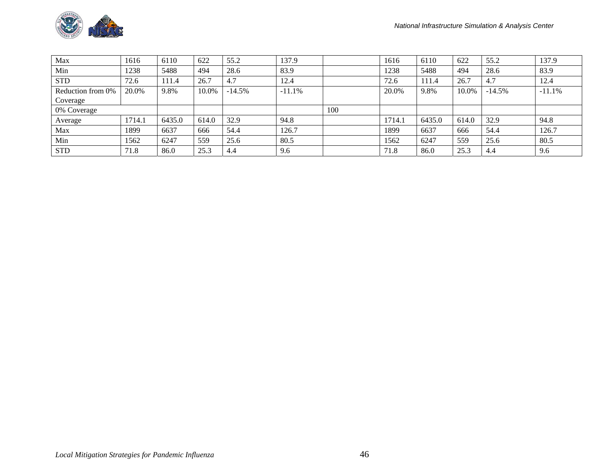

| Max               | 1616   | 6110   | 622   | 55.2     | 137.9    |     | 1616   | 6110   | 622   | 55.2     | 137.9    |
|-------------------|--------|--------|-------|----------|----------|-----|--------|--------|-------|----------|----------|
| Min               | 1238   | 5488   | 494   | 28.6     | 83.9     |     | 1238   | 5488   | 494   | 28.6     | 83.9     |
| <b>STD</b>        | 72.6   | 111.4  | 26.7  | 4.7      | 12.4     |     | 72.6   | 111.4  | 26.7  | 4.7      | 12.4     |
| Reduction from 0% | 20.0%  | 9.8%   | 10.0% | $-14.5%$ | $-11.1%$ |     | 20.0%  | 9.8%   | 10.0% | $-14.5%$ | $-11.1%$ |
| Coverage          |        |        |       |          |          |     |        |        |       |          |          |
| 0% Coverage       |        |        |       |          |          | 100 |        |        |       |          |          |
| Average           | 1714.1 | 6435.0 | 614.0 | 32.9     | 94.8     |     | 1714.1 | 6435.0 | 614.0 | 32.9     | 94.8     |
| Max               | 1899   | 6637   | 666   | 54.4     | 126.7    |     | 1899   | 6637   | 666   | 54.4     | 126.7    |
| Min               | 1562   | 6247   | 559   | 25.6     | 80.5     |     | 1562   | 6247   | 559   | 25.6     | 80.5     |
| <b>STD</b>        | 71.8   | 86.0   | 25.3  | 4.4      | 9.6      |     | 71.8   | 86.0   | 25.3  | -4.4     | 9.6      |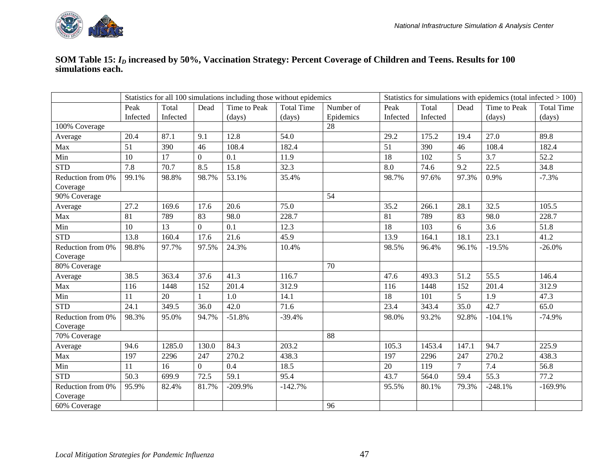

#### **SOM Table 15:** *ID* **increased by 50%, Vaccination Strategy: Percent Coverage of Children and Teens. Results for 100 simulations each.**

|                               | Statistics for all 100 simulations including those without epidemics<br>Statistics for simulations with epidemics (total infected $> 100$ )<br>Total<br>Time to Peak<br><b>Total Time</b><br>Total<br>Time to Peak<br>Peak<br>Dead<br>Number of<br>Peak<br>Dead |          |                |           |                  |           |          |          |                |           |                   |
|-------------------------------|-----------------------------------------------------------------------------------------------------------------------------------------------------------------------------------------------------------------------------------------------------------------|----------|----------------|-----------|------------------|-----------|----------|----------|----------------|-----------|-------------------|
|                               |                                                                                                                                                                                                                                                                 |          |                |           |                  |           |          |          |                |           | <b>Total Time</b> |
|                               | Infected                                                                                                                                                                                                                                                        | Infected |                | (days)    | $\frac{days}{9}$ | Epidemics | Infected | Infected |                | (days)    | (days)            |
| 100% Coverage                 |                                                                                                                                                                                                                                                                 |          |                |           |                  | 28        |          |          |                |           |                   |
| Average                       | 20.4                                                                                                                                                                                                                                                            | 87.1     | 9.1            | 12.8      | 54.0             |           | 29.2     | 175.2    | 19.4           | 27.0      | 89.8              |
| Max                           | $\overline{51}$                                                                                                                                                                                                                                                 | 390      | 46             | 108.4     | 182.4            |           | 51       | 390      | 46             | 108.4     | 182.4             |
| Min                           | 10                                                                                                                                                                                                                                                              | 17       | $\overline{0}$ | 0.1       | 11.9             |           | 18       | 102      | 5              | 3.7       | 52.2              |
| <b>STD</b>                    | 7.8                                                                                                                                                                                                                                                             | 70.7     | 8.5            | 15.8      | 32.3             |           | 8.0      | 74.6     | 9.2            | 22.5      | 34.8              |
| Reduction from 0%<br>Coverage | 99.1%                                                                                                                                                                                                                                                           | 98.8%    | 98.7%          | 53.1%     | 35.4%            |           | 98.7%    | 97.6%    | 97.3%          | 0.9%      | $-7.3%$           |
| 90% Coverage                  |                                                                                                                                                                                                                                                                 |          |                |           |                  | 54        |          |          |                |           |                   |
| Average                       | 27.2                                                                                                                                                                                                                                                            | 169.6    | 17.6           | 20.6      | 75.0             |           | 35.2     | 266.1    | 28.1           | 32.5      | 105.5             |
| Max                           | 81                                                                                                                                                                                                                                                              | 789      | 83             | 98.0      | 228.7            |           | 81       | 789      | 83             | 98.0      | 228.7             |
| Min                           | 10                                                                                                                                                                                                                                                              | 13       | $\overline{0}$ | 0.1       | 12.3             |           | 18       | 103      | 6              | 3.6       | 51.8              |
| <b>STD</b>                    | 13.8                                                                                                                                                                                                                                                            | 160.4    | 17.6           | 21.6      | 45.9             |           | 13.9     | 164.1    | 18.1           | 23.1      | 41.2              |
| Reduction from 0%<br>Coverage | 98.8%                                                                                                                                                                                                                                                           | 97.7%    | 97.5%          | 24.3%     | 10.4%            |           | 98.5%    | 96.4%    | 96.1%          | $-19.5%$  | $-26.0%$          |
| 80% Coverage                  |                                                                                                                                                                                                                                                                 |          |                |           |                  | 70        |          |          |                |           |                   |
| Average                       | 38.5                                                                                                                                                                                                                                                            | 363.4    | 37.6           | 41.3      | 116.7            |           | 47.6     | 493.3    | 51.2           | 55.5      | 146.4             |
| Max                           | 116                                                                                                                                                                                                                                                             | 1448     | 152            | 201.4     | 312.9            |           | 116      | 1448     | 152            | 201.4     | 312.9             |
| Min                           | 11                                                                                                                                                                                                                                                              | 20       |                | 1.0       | 14.1             |           | 18       | 101      | 5              | 1.9       | 47.3              |
| <b>STD</b>                    | 24.1                                                                                                                                                                                                                                                            | 349.5    | 36.0           | 42.0      | 71.6             |           | 23.4     | 343.4    | 35.0           | 42.7      | 65.0              |
| Reduction from 0%<br>Coverage | 98.3%                                                                                                                                                                                                                                                           | 95.0%    | 94.7%          | $-51.8%$  | $-39.4%$         |           | 98.0%    | 93.2%    | 92.8%          | $-104.1%$ | $-74.9%$          |
| 70% Coverage                  |                                                                                                                                                                                                                                                                 |          |                |           |                  | 88        |          |          |                |           |                   |
| Average                       | 94.6                                                                                                                                                                                                                                                            | 1285.0   | 130.0          | 84.3      | 203.2            |           | 105.3    | 1453.4   | 147.1          | 94.7      | 225.9             |
| Max                           | 197                                                                                                                                                                                                                                                             | 2296     | 247            | 270.2     | 438.3            |           | 197      | 2296     | 247            | 270.2     | 438.3             |
| Min                           | 11                                                                                                                                                                                                                                                              | 16       | $\overline{0}$ | 0.4       | 18.5             |           | 20       | 119      | $\overline{7}$ | 7.4       | 56.8              |
| <b>STD</b>                    | 50.3                                                                                                                                                                                                                                                            | 699.9    | 72.5           | 59.1      | 95.4             |           | 43.7     | 564.0    | 59.4           | 55.3      | 77.2              |
| Reduction from 0%<br>Coverage | 95.9%                                                                                                                                                                                                                                                           | 82.4%    | 81.7%          | $-209.9%$ | $-142.7%$        |           | 95.5%    | 80.1%    | 79.3%          | $-248.1%$ | $-169.9%$         |
| 60% Coverage                  |                                                                                                                                                                                                                                                                 |          |                |           |                  | 96        |          |          |                |           |                   |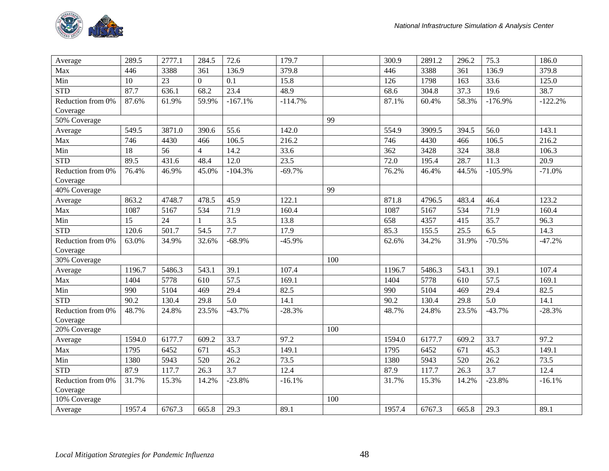

| Average                       | 289.5  | 2777.1 | 284.5          | 72.6              | 179.7     |     | 300.9  | 2891.2 | 296.2 | 75.3              | 186.0     |
|-------------------------------|--------|--------|----------------|-------------------|-----------|-----|--------|--------|-------|-------------------|-----------|
| Max                           | 446    | 3388   | 361            | 136.9             | 379.8     |     | 446    | 3388   | 361   | 136.9             | 379.8     |
| Min                           | 10     | 23     | $\overline{0}$ | 0.1               | 15.8      |     | 126    | 1798   | 163   | 33.6              | 125.0     |
| <b>STD</b>                    | 87.7   | 636.1  | 68.2           | 23.4              | 48.9      |     | 68.6   | 304.8  | 37.3  | 19.6              | 38.7      |
| Reduction from 0%             | 87.6%  | 61.9%  | 59.9%          | $-167.1%$         | $-114.7%$ |     | 87.1%  | 60.4%  | 58.3% | $-176.9%$         | $-122.2%$ |
| Coverage                      |        |        |                |                   |           |     |        |        |       |                   |           |
| 50% Coverage                  |        |        |                |                   |           | 99  |        |        |       |                   |           |
| Average                       | 549.5  | 3871.0 | 390.6          | 55.6              | 142.0     |     | 554.9  | 3909.5 | 394.5 | 56.0              | 143.1     |
| Max                           | 746    | 4430   | 466            | 106.5             | 216.2     |     | 746    | 4430   | 466   | 106.5             | 216.2     |
| Min                           | 18     | 56     | $\overline{4}$ | 14.2              | 33.6      |     | 362    | 3428   | 324   | 38.8              | 106.3     |
| <b>STD</b>                    | 89.5   | 431.6  | 48.4           | 12.0              | 23.5      |     | 72.0   | 195.4  | 28.7  | 11.3              | 20.9      |
| Reduction from 0%             | 76.4%  | 46.9%  | 45.0%          | $-104.3%$         | $-69.7%$  |     | 76.2%  | 46.4%  | 44.5% | $-105.9%$         | $-71.0%$  |
| Coverage                      |        |        |                |                   |           |     |        |        |       |                   |           |
| 40% Coverage                  |        |        |                |                   |           | 99  |        |        |       |                   |           |
| Average                       | 863.2  | 4748.7 | 478.5          | 45.9              | 122.1     |     | 871.8  | 4796.5 | 483.4 | 46.4              | 123.2     |
| Max                           | 1087   | 5167   | 534            | 71.9              | 160.4     |     | 1087   | 5167   | 534   | 71.9              | 160.4     |
| Min                           | 15     | 24     | $\mathbf{1}$   | 3.5               | 13.8      |     | 658    | 4357   | 415   | 35.7              | 96.3      |
| <b>STD</b>                    | 120.6  | 501.7  | 54.5           | $\overline{7.7}$  | 17.9      |     | 85.3   | 155.5  | 25.5  | 6.5               | 14.3      |
| Reduction from 0%             | 63.0%  | 34.9%  | 32.6%          | $-68.9%$          | $-45.9%$  |     | 62.6%  | 34.2%  | 31.9% | $-70.5%$          | $-47.2%$  |
| Coverage                      |        |        |                |                   |           |     |        |        |       |                   |           |
| 30% Coverage                  |        |        |                |                   |           | 100 |        |        |       |                   |           |
| Average                       | 1196.7 | 5486.3 | 543.1          | 39.1              | 107.4     |     | 1196.7 | 5486.3 | 543.1 | 39.1              | 107.4     |
| Max                           | 1404   | 5778   | 610            | $\overline{57.5}$ | 169.1     |     | 1404   | 5778   | 610   | $\overline{57.5}$ | 169.1     |
| Min                           | 990    | 5104   | 469            | 29.4              | 82.5      |     | 990    | 5104   | 469   | 29.4              | 82.5      |
| <b>STD</b>                    | 90.2   | 130.4  | 29.8           | $\overline{5.0}$  | 14.1      |     | 90.2   | 130.4  | 29.8  | $\overline{5.0}$  | 14.1      |
| Reduction from 0%<br>Coverage | 48.7%  | 24.8%  | 23.5%          | $-43.7%$          | $-28.3%$  |     | 48.7%  | 24.8%  | 23.5% | $-43.7%$          | $-28.3%$  |
| 20% Coverage                  |        |        |                |                   |           | 100 |        |        |       |                   |           |
| Average                       | 1594.0 | 6177.7 | 609.2          | 33.7              | 97.2      |     | 1594.0 | 6177.7 | 609.2 | 33.7              | 97.2      |
| Max                           | 1795   | 6452   | 671            | 45.3              | 149.1     |     | 1795   | 6452   | 671   | 45.3              | 149.1     |
| Min                           | 1380   | 5943   | 520            | 26.2              | 73.5      |     | 1380   | 5943   | 520   | 26.2              | 73.5      |
| <b>STD</b>                    | 87.9   | 117.7  | 26.3           | 3.7               | 12.4      |     | 87.9   | 117.7  | 26.3  | 3.7               | 12.4      |
| Reduction from 0%             | 31.7%  | 15.3%  | 14.2%          | $-23.8%$          | $-16.1%$  |     | 31.7%  | 15.3%  | 14.2% | $-23.8%$          | $-16.1%$  |
| Coverage                      |        |        |                |                   |           |     |        |        |       |                   |           |
| 10% Coverage                  |        |        |                |                   |           | 100 |        |        |       |                   |           |
| Average                       | 1957.4 | 6767.3 | 665.8          | 29.3              | 89.1      |     | 1957.4 | 6767.3 | 665.8 | 29.3              | 89.1      |